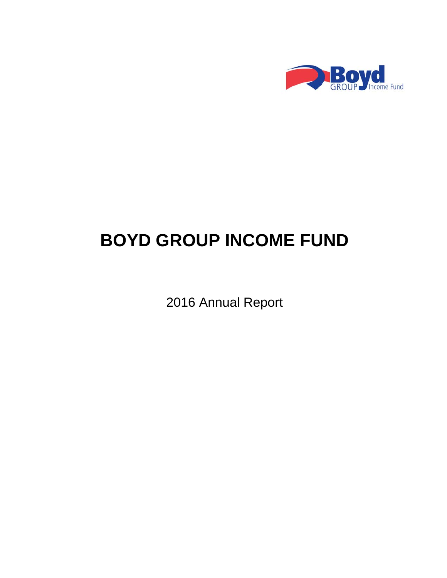

2016 Annual Report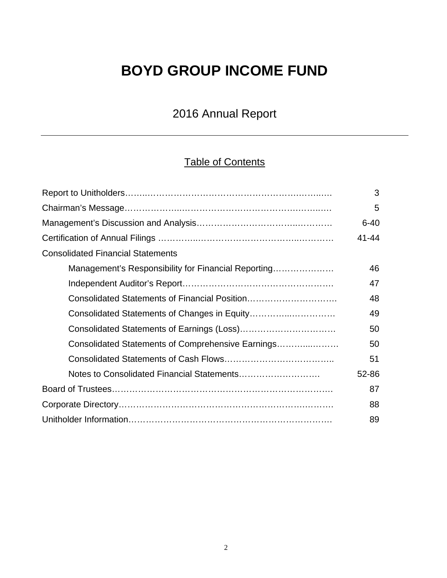## 2016 Annual Report

## Table of Contents

|                                                     | 3        |
|-----------------------------------------------------|----------|
|                                                     | 5        |
|                                                     | $6 - 40$ |
|                                                     | 41-44    |
| <b>Consolidated Financial Statements</b>            |          |
| Management's Responsibility for Financial Reporting | 46       |
|                                                     | 47       |
|                                                     | 48       |
|                                                     | 49       |
|                                                     | 50       |
| Consolidated Statements of Comprehensive Earnings   | 50       |
|                                                     | 51       |
|                                                     | 52-86    |
|                                                     | 87       |
|                                                     | 88       |
|                                                     | 89       |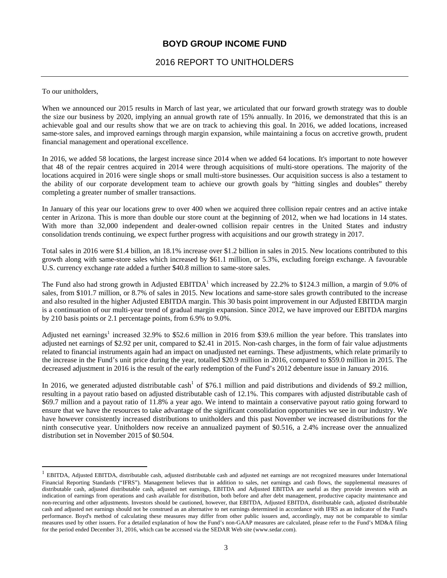## 2016 REPORT TO UNITHOLDERS

To our unitholders,

 $\overline{a}$ 

When we announced our 2015 results in March of last year, we articulated that our forward growth strategy was to double the size our business by 2020, implying an annual growth rate of 15% annually. In 2016, we demonstrated that this is an achievable goal and our results show that we are on track to achieving this goal. In 2016, we added locations, increased same-store sales, and improved earnings through margin expansion, while maintaining a focus on accretive growth, prudent financial management and operational excellence.

In 2016, we added 58 locations, the largest increase since 2014 when we added 64 locations. It's important to note however that 48 of the repair centres acquired in 2014 were through acquisitions of multi-store operations. The majority of the locations acquired in 2016 were single shops or small multi-store businesses. Our acquisition success is also a testament to the ability of our corporate development team to achieve our growth goals by "hitting singles and doubles" thereby completing a greater number of smaller transactions.

In January of this year our locations grew to over 400 when we acquired three collision repair centres and an active intake center in Arizona. This is more than double our store count at the beginning of 2012, when we had locations in 14 states. With more than 32,000 independent and dealer-owned collision repair centres in the United States and industry consolidation trends continuing, we expect further progress with acquisitions and our growth strategy in 2017.

Total sales in 2016 were \$1.4 billion, an 18.1% increase over \$1.2 billion in sales in 2015. New locations contributed to this growth along with same-store sales which increased by \$61.1 million, or 5.3%, excluding foreign exchange. A favourable U.S. currency exchange rate added a further \$40.8 million to same-store sales.

The Fund also had strong growth in Adjusted  $EBITDA<sup>1</sup>$  which increased by 22.2% to \$124.3 million, a margin of 9.0% of sales, from \$101.7 million, or 8.7% of sales in 2015. New locations and same-store sales growth contributed to the increase and also resulted in the higher Adjusted EBITDA margin. This 30 basis point improvement in our Adjusted EBITDA margin is a continuation of our multi-year trend of gradual margin expansion. Since 2012, we have improved our EBITDA margins by 210 basis points or 2.1 percentage points, from 6.9% to 9.0%.

Adjusted net earnings<sup>1</sup> increased 32.9% to \$52.6 million in 2016 from \$39.6 million the year before. This translates into adjusted net earnings of \$2.92 per unit, compared to \$2.41 in 2015. Non-cash charges, in the form of fair value adjustments related to financial instruments again had an impact on unadjusted net earnings. These adjustments, which relate primarily to the increase in the Fund's unit price during the year, totalled \$20.9 million in 2016, compared to \$59.0 million in 2015. The decreased adjustment in 2016 is the result of the early redemption of the Fund's 2012 debenture issue in January 2016.

In 2016, we generated adjusted distributable cash<sup>1</sup> of \$76.1 million and paid distributions and dividends of \$9.2 million, resulting in a payout ratio based on adjusted distributable cash of 12.1%. This compares with adjusted distributable cash of \$69.7 million and a payout ratio of 11.8% a year ago. We intend to maintain a conservative payout ratio going forward to ensure that we have the resources to take advantage of the significant consolidation opportunities we see in our industry. We have however consistently increased distributions to unitholders and this past November we increased distributions for the ninth consecutive year. Unitholders now receive an annualized payment of \$0.516, a 2.4% increase over the annualized distribution set in November 2015 of \$0.504.

<sup>1</sup> EBITDA, Adjusted EBITDA, distributable cash, adjusted distributable cash and adjusted net earnings are not recognized measures under International Financial Reporting Standards ("IFRS"). Management believes that in addition to sales, net earnings and cash flows, the supplemental measures of distributable cash, adjusted distributable cash, adjusted net earnings, EBITDA and Adjusted EBITDA are useful as they provide investors with an indication of earnings from operations and cash available for distribution, both before and after debt management, productive capacity maintenance and non-recurring and other adjustments. Investors should be cautioned, however, that EBITDA, Adjusted EBITDA, distributable cash, adjusted distributable cash and adjusted net earnings should not be construed as an alternative to net earnings determined in accordance with IFRS as an indicator of the Fund's performance. Boyd's method of calculating these measures may differ from other public issuers and, accordingly, may not be comparable to similar measures used by other issuers. For a detailed explanation of how the Fund's non-GAAP measures are calculated, please refer to the Fund's MD&A filing for the period ended December 31, 2016, which can be accessed via the SEDAR Web site (www.sedar.com).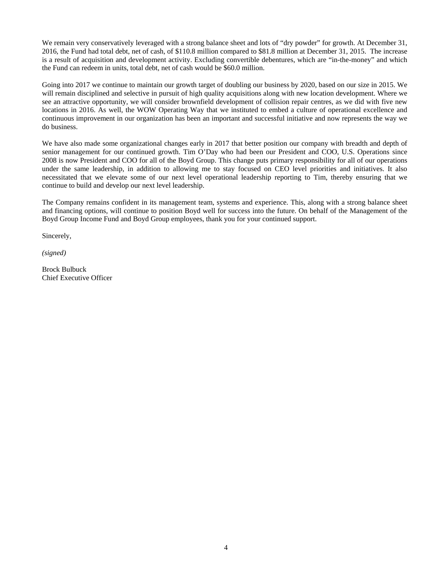We remain very conservatively leveraged with a strong balance sheet and lots of "dry powder" for growth. At December 31, 2016, the Fund had total debt, net of cash, of \$110.8 million compared to \$81.8 million at December 31, 2015. The increase is a result of acquisition and development activity. Excluding convertible debentures, which are "in-the-money" and which the Fund can redeem in units, total debt, net of cash would be \$60.0 million.

Going into 2017 we continue to maintain our growth target of doubling our business by 2020, based on our size in 2015. We will remain disciplined and selective in pursuit of high quality acquisitions along with new location development. Where we see an attractive opportunity, we will consider brownfield development of collision repair centres, as we did with five new locations in 2016. As well, the WOW Operating Way that we instituted to embed a culture of operational excellence and continuous improvement in our organization has been an important and successful initiative and now represents the way we do business.

We have also made some organizational changes early in 2017 that better position our company with breadth and depth of senior management for our continued growth. Tim O'Day who had been our President and COO, U.S. Operations since 2008 is now President and COO for all of the Boyd Group. This change puts primary responsibility for all of our operations under the same leadership, in addition to allowing me to stay focused on CEO level priorities and initiatives. It also necessitated that we elevate some of our next level operational leadership reporting to Tim, thereby ensuring that we continue to build and develop our next level leadership.

The Company remains confident in its management team, systems and experience. This, along with a strong balance sheet and financing options, will continue to position Boyd well for success into the future. On behalf of the Management of the Boyd Group Income Fund and Boyd Group employees, thank you for your continued support.

Sincerely,

*(signed)* 

Brock Bulbuck Chief Executive Officer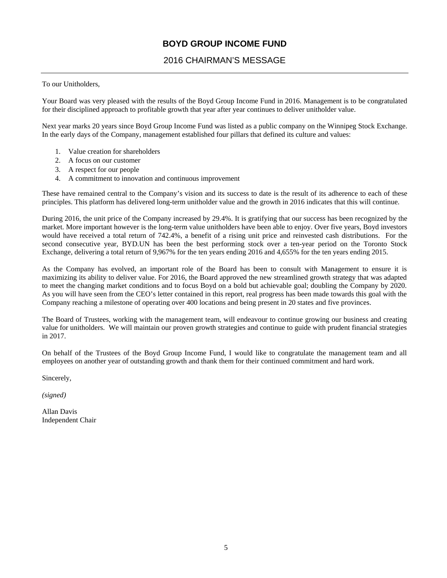## 2016 CHAIRMAN'S MESSAGE

#### To our Unitholders,

Your Board was very pleased with the results of the Boyd Group Income Fund in 2016. Management is to be congratulated for their disciplined approach to profitable growth that year after year continues to deliver unitholder value.

Next year marks 20 years since Boyd Group Income Fund was listed as a public company on the Winnipeg Stock Exchange. In the early days of the Company, management established four pillars that defined its culture and values:

- 1. Value creation for shareholders
- 2. A focus on our customer
- 3. A respect for our people
- 4. A commitment to innovation and continuous improvement

These have remained central to the Company's vision and its success to date is the result of its adherence to each of these principles. This platform has delivered long-term unitholder value and the growth in 2016 indicates that this will continue.

During 2016, the unit price of the Company increased by 29.4%. It is gratifying that our success has been recognized by the market. More important however is the long-term value unitholders have been able to enjoy. Over five years, Boyd investors would have received a total return of 742.4%, a benefit of a rising unit price and reinvested cash distributions. For the second consecutive year, BYD.UN has been the best performing stock over a ten-year period on the Toronto Stock Exchange, delivering a total return of 9,967% for the ten years ending 2016 and 4,655% for the ten years ending 2015.

As the Company has evolved, an important role of the Board has been to consult with Management to ensure it is maximizing its ability to deliver value. For 2016, the Board approved the new streamlined growth strategy that was adapted to meet the changing market conditions and to focus Boyd on a bold but achievable goal; doubling the Company by 2020. As you will have seen from the CEO's letter contained in this report, real progress has been made towards this goal with the Company reaching a milestone of operating over 400 locations and being present in 20 states and five provinces.

The Board of Trustees, working with the management team, will endeavour to continue growing our business and creating value for unitholders. We will maintain our proven growth strategies and continue to guide with prudent financial strategies in 2017.

On behalf of the Trustees of the Boyd Group Income Fund, I would like to congratulate the management team and all employees on another year of outstanding growth and thank them for their continued commitment and hard work.

Sincerely,

*(signed)* 

Allan Davis Independent Chair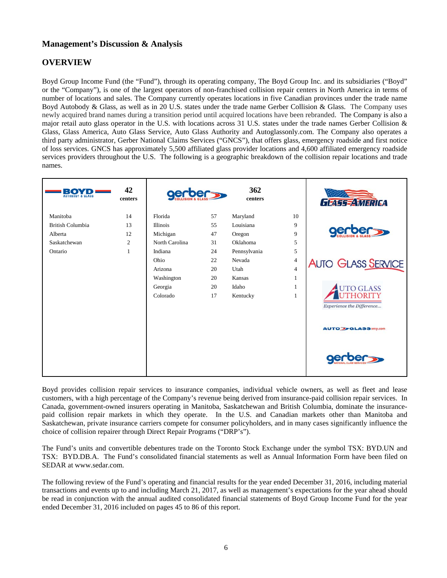## **Management's Discussion & Analysis**

## **OVERVIEW**

Boyd Group Income Fund (the "Fund"), through its operating company, The Boyd Group Inc. and its subsidiaries ("Boyd" or the "Company"), is one of the largest operators of non-franchised collision repair centers in North America in terms of number of locations and sales. The Company currently operates locations in five Canadian provinces under the trade name Boyd Autobody & Glass, as well as in 20 U.S. states under the trade name Gerber Collision & Glass. The Company uses newly acquired brand names during a transition period until acquired locations have been rebranded. The Company is also a major retail auto glass operator in the U.S. with locations across 31 U.S. states under the trade names Gerber Collision & Glass, Glass America, Auto Glass Service, Auto Glass Authority and Autoglassonly.com. The Company also operates a third party administrator, Gerber National Claims Services ("GNCS"), that offers glass, emergency roadside and first notice of loss services. GNCS has approximately 5,500 affiliated glass provider locations and 4,600 affiliated emergency roadside services providers throughout the U.S. The following is a geographic breakdown of the collision repair locations and trade names.

| <b>EXCEPT &amp; GLASS</b> | 42<br>centers  |                 |    | 362<br>centers |                | <b>GLASS-AMERICA</b>                               |
|---------------------------|----------------|-----------------|----|----------------|----------------|----------------------------------------------------|
| Manitoba                  | 14             | Florida         | 57 | Maryland       | 10             |                                                    |
| British Columbia          | 13             | <b>Illinois</b> | 55 | Louisiana      | 9              |                                                    |
| Alberta                   | 12             | Michigan        | 47 | Oregon         | 9              | <b>ae</b>                                          |
| Saskatchewan              | $\mathfrak{2}$ | North Carolina  | 31 | Oklahoma       | 5              |                                                    |
| Ontario                   | $\mathbf{1}$   | Indiana         | 24 | Pennsylvania   | 5              |                                                    |
|                           |                | Ohio            | 22 | Nevada         | 4              | <b>AUTO GLASS SERVICE</b>                          |
|                           |                | Arizona         | 20 | Utah           | $\overline{4}$ |                                                    |
|                           |                | Washington      | 20 | Kansas         | $\mathbf{1}$   |                                                    |
|                           |                | Georgia         | 20 | Idaho          | $\mathbf{1}$   |                                                    |
|                           |                | Colorado        | 17 | Kentucky       | 1              | UTO GLASS<br>UTHORITY<br>Experience the Difference |
|                           |                |                 |    |                |                | <b>AUTO &gt; GLASS only.com</b>                    |
|                           |                |                 |    |                |                |                                                    |

Boyd provides collision repair services to insurance companies, individual vehicle owners, as well as fleet and lease customers, with a high percentage of the Company's revenue being derived from insurance-paid collision repair services. In Canada, government-owned insurers operating in Manitoba, Saskatchewan and British Columbia, dominate the insurancepaid collision repair markets in which they operate. In the U.S. and Canadian markets other than Manitoba and Saskatchewan, private insurance carriers compete for consumer policyholders, and in many cases significantly influence the choice of collision repairer through Direct Repair Programs ("DRP's").

The Fund's units and convertible debentures trade on the Toronto Stock Exchange under the symbol TSX: BYD.UN and TSX: BYD.DB.A. The Fund's consolidated financial statements as well as Annual Information Form have been filed on SEDAR at www.sedar.com.

The following review of the Fund's operating and financial results for the year ended December 31, 2016, including material transactions and events up to and including March 21, 2017, as well as management's expectations for the year ahead should be read in conjunction with the annual audited consolidated financial statements of Boyd Group Income Fund for the year ended December 31, 2016 included on pages 45 to 86 of this report.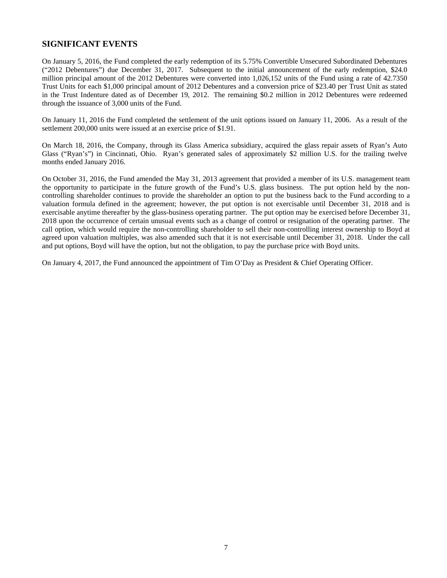## **SIGNIFICANT EVENTS**

On January 5, 2016, the Fund completed the early redemption of its 5.75% Convertible Unsecured Subordinated Debentures ("2012 Debentures") due December 31, 2017. Subsequent to the initial announcement of the early redemption, \$24.0 million principal amount of the 2012 Debentures were converted into 1,026,152 units of the Fund using a rate of 42.7350 Trust Units for each \$1,000 principal amount of 2012 Debentures and a conversion price of \$23.40 per Trust Unit as stated in the Trust Indenture dated as of December 19, 2012. The remaining \$0.2 million in 2012 Debentures were redeemed through the issuance of 3,000 units of the Fund.

On January 11, 2016 the Fund completed the settlement of the unit options issued on January 11, 2006. As a result of the settlement 200,000 units were issued at an exercise price of \$1.91.

On March 18, 2016, the Company, through its Glass America subsidiary, acquired the glass repair assets of Ryan's Auto Glass ("Ryan's") in Cincinnati, Ohio. Ryan's generated sales of approximately \$2 million U.S. for the trailing twelve months ended January 2016.

On October 31, 2016, the Fund amended the May 31, 2013 agreement that provided a member of its U.S. management team the opportunity to participate in the future growth of the Fund's U.S. glass business. The put option held by the noncontrolling shareholder continues to provide the shareholder an option to put the business back to the Fund according to a valuation formula defined in the agreement; however, the put option is not exercisable until December 31, 2018 and is exercisable anytime thereafter by the glass-business operating partner. The put option may be exercised before December 31, 2018 upon the occurrence of certain unusual events such as a change of control or resignation of the operating partner. The call option, which would require the non-controlling shareholder to sell their non-controlling interest ownership to Boyd at agreed upon valuation multiples, was also amended such that it is not exercisable until December 31, 2018. Under the call and put options, Boyd will have the option, but not the obligation, to pay the purchase price with Boyd units.

On January 4, 2017, the Fund announced the appointment of Tim O'Day as President & Chief Operating Officer.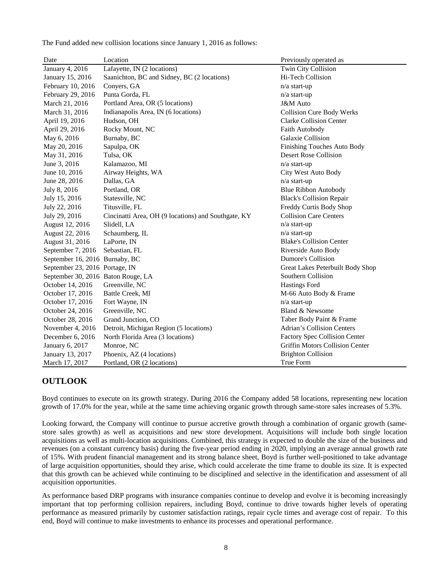| Date                               | Location                                            | Previously operated as                 |
|------------------------------------|-----------------------------------------------------|----------------------------------------|
| January 4, 2016                    | Lafayette, IN (2 locations)                         | Twin City Collision                    |
| January 15, 2016                   | Saanichton, BC and Sidney, BC (2 locations)         | Hi-Tech Collision                      |
| February 10, 2016                  | Convers, GA                                         | $n/a$ start-up                         |
| February 29, 2016                  | Punta Gorda, FL                                     | $n/a$ start-up                         |
| March 21, 2016                     | Portland Area, OR (5 locations)                     | <b>J&amp;M</b> Auto                    |
| March 31, 2016                     | Indianapolis Area, IN (6 locations)                 | <b>Collision Cure Body Werks</b>       |
| April 19, 2016                     | Hudson, OH                                          | <b>Clarke Collision Center</b>         |
| April 29, 2016                     | Rocky Mount, NC                                     | Faith Autobody                         |
| May 6, 2016                        | Burnaby, BC                                         | Galaxie Collision                      |
| May 20, 2016                       | Sapulpa, OK                                         | Finishing Touches Auto Body            |
| May 31, 2016                       | Tulsa, OK                                           | <b>Desert Rose Collision</b>           |
| June 3, 2016                       | Kalamazoo, MI                                       | n/a start-up                           |
| June 10, 2016                      | Airway Heights, WA                                  | City West Auto Body                    |
| June 28, 2016                      | Dallas, GA                                          | n/a start-up                           |
| July 8, 2016                       | Portland, OR                                        | <b>Blue Ribbon Autobody</b>            |
| July 15, 2016                      | Statesville, NC                                     | <b>Black's Collision Repair</b>        |
| July 22, 2016                      | Titusville, FL                                      | Freddy Curtis Body Shop                |
| July 29, 2016                      | Cincinatti Area, OH (9 locations) and Southgate, KY | <b>Collision Care Centers</b>          |
| August 12, 2016                    | Slidell, LA                                         | $n/a$ start-up                         |
| August 22, 2016                    | Schaumberg, IL                                      | n/a start-up                           |
| August 31, 2016                    | LaPorte, IN                                         | <b>Blake's Collision Center</b>        |
| September 7, 2016                  | Sebastian, FL                                       | Riverside Auto Body                    |
| September 16, 2016 Burnaby, BC     |                                                     | <b>Dumore's Collision</b>              |
| September 23, 2016 Portage, IN     |                                                     | Great Lakes Peterbuilt Body Shop       |
| September 30, 2016 Baton Rouge, LA |                                                     | Southern Collision                     |
| October 14, 2016                   | Greenville, NC                                      | <b>Hastings Ford</b>                   |
| October 17, 2016                   | Battle Creek, MI                                    | M-66 Auto Body & Frame                 |
| October 17, 2016                   | Fort Wayne, IN                                      | n/a start-up                           |
| October 24, 2016                   | Greenville, NC                                      | Bland & Newsome                        |
| October 28, 2016                   | Grand Junction, CO                                  | Taber Body Paint & Frame               |
| November 4, 2016                   | Detroit, Michigan Region (5 locations)              | <b>Adrian's Collision Centers</b>      |
| December 6, 2016                   | North Florida Area (3 locations)                    | Factory Spec Collision Center          |
| January 6, 2017                    | Monroe, NC                                          | <b>Griffin Motors Collision Center</b> |
| January 13, 2017                   | Phoenix, AZ (4 locations)                           | <b>Brighton Collision</b>              |
| March 17, 2017                     | Portland, OR (2 locations)                          | True Form                              |

The Fund added new collision locations since January 1, 2016 as follows:

## **OUTLOOK**

Boyd continues to execute on its growth strategy. During 2016 the Company added 58 locations, representing new location growth of 17.0% for the year, while at the same time achieving organic growth through same-store sales increases of 5.3%.

Looking forward, the Company will continue to pursue accretive growth through a combination of organic growth (samestore sales growth) as well as acquisitions and new store development. Acquisitions will include both single location acquisitions as well as multi-location acquisitions. Combined, this strategy is expected to double the size of the business and revenues (on a constant currency basis) during the five-year period ending in 2020, implying an average annual growth rate of 15%. With prudent financial management and its strong balance sheet, Boyd is further well-positioned to take advantage of large acquisition opportunities, should they arise, which could accelerate the time frame to double its size. It is expected that this growth can be achieved while continuing to be disciplined and selective in the identification and assessment of all acquisition opportunities.

As performance based DRP programs with insurance companies continue to develop and evolve it is becoming increasingly important that top performing collision repairers, including Boyd, continue to drive towards higher levels of operating performance as measured primarily by customer satisfaction ratings, repair cycle times and average cost of repair. To this end, Boyd will continue to make investments to enhance its processes and operational performance.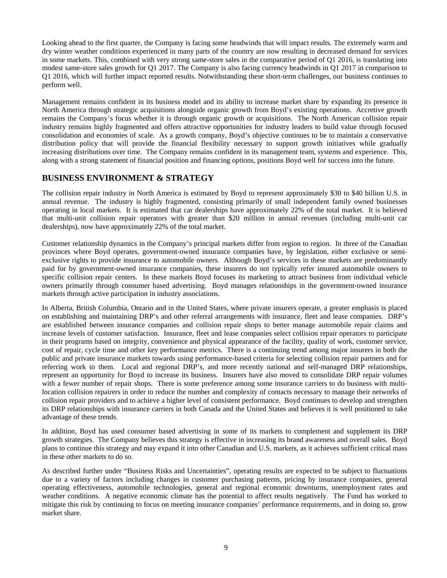Looking ahead to the first quarter, the Company is facing some headwinds that will impact results. The extremely warm and dry winter weather conditions experienced in many parts of the country are now resulting in decreased demand for services in some markets. This, combined with very strong same-store sales in the comparative period of Q1 2016, is translating into modest same-store sales growth for Q1 2017. The Company is also facing currency headwinds in Q1 2017 in comparison to Q1 2016, which will further impact reported results. Notwithstanding these short-term challenges, our business continues to perform well.

Management remains confident in its business model and its ability to increase market share by expanding its presence in North America through strategic acquisitions alongside organic growth from Boyd's existing operations. Accretive growth remains the Company's focus whether it is through organic growth or acquisitions. The North American collision repair industry remains highly fragmented and offers attractive opportunities for industry leaders to build value through focused consolidation and economies of scale. As a growth company, Boyd's objective continues to be to maintain a conservative distribution policy that will provide the financial flexibility necessary to support growth initiatives while gradually increasing distributions over time. The Company remains confident in its management team, systems and experience. This, along with a strong statement of financial position and financing options, positions Boyd well for success into the future.

## **BUSINESS ENVIRONMENT & STRATEGY**

The collision repair industry in North America is estimated by Boyd to represent approximately \$30 to \$40 billion U.S. in annual revenue. The industry is highly fragmented, consisting primarily of small independent family owned businesses operating in local markets. It is estimated that car dealerships have approximately 22% of the total market. It is believed that multi-unit collision repair operators with greater than \$20 million in annual revenues (including multi-unit car dealerships), now have approximately 22% of the total market.

Customer relationship dynamics in the Company's principal markets differ from region to region. In three of the Canadian provinces where Boyd operates, government-owned insurance companies have, by legislation, either exclusive or semiexclusive rights to provide insurance to automobile owners. Although Boyd's services in these markets are predominantly paid for by government-owned insurance companies, these insurers do not typically refer insured automobile owners to specific collision repair centers. In these markets Boyd focuses its marketing to attract business from individual vehicle owners primarily through consumer based advertising. Boyd manages relationships in the government-owned insurance markets through active participation in industry associations.

In Alberta, British Columbia, Ontario and in the United States, where private insurers operate, a greater emphasis is placed on establishing and maintaining DRP's and other referral arrangements with insurance, fleet and lease companies. DRP's are established between insurance companies and collision repair shops to better manage automobile repair claims and increase levels of customer satisfaction. Insurance, fleet and lease companies select collision repair operators to participate in their programs based on integrity, convenience and physical appearance of the facility, quality of work, customer service, cost of repair, cycle time and other key performance metrics. There is a continuing trend among major insurers in both the public and private insurance markets towards using performance-based criteria for selecting collision repair partners and for referring work to them. Local and regional DRP's, and more recently national and self-managed DRP relationships, represent an opportunity for Boyd to increase its business. Insurers have also moved to consolidate DRP repair volumes with a fewer number of repair shops. There is some preference among some insurance carriers to do business with multilocation collision repairers in order to reduce the number and complexity of contacts necessary to manage their networks of collision repair providers and to achieve a higher level of consistent performance. Boyd continues to develop and strengthen its DRP relationships with insurance carriers in both Canada and the United States and believes it is well positioned to take advantage of these trends.

In addition, Boyd has used consumer based advertising in some of its markets to complement and supplement its DRP growth strategies. The Company believes this strategy is effective in increasing its brand awareness and overall sales. Boyd plans to continue this strategy and may expand it into other Canadian and U.S. markets, as it achieves sufficient critical mass in these other markets to do so.

As described further under "Business Risks and Uncertainties", operating results are expected to be subject to fluctuations due to a variety of factors including changes in customer purchasing patterns, pricing by insurance companies, general operating effectiveness, automobile technologies, general and regional economic downturns, unemployment rates and weather conditions. A negative economic climate has the potential to affect results negatively. The Fund has worked to mitigate this risk by continuing to focus on meeting insurance companies' performance requirements, and in doing so, grow market share.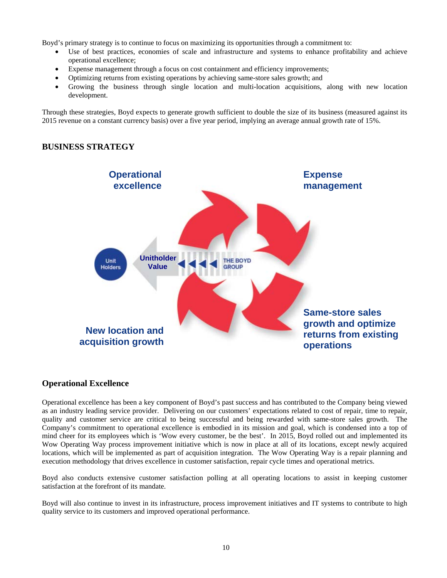Boyd's primary strategy is to continue to focus on maximizing its opportunities through a commitment to:

- Use of best practices, economies of scale and infrastructure and systems to enhance profitability and achieve operational excellence;
- Expense management through a focus on cost containment and efficiency improvements;
- Optimizing returns from existing operations by achieving same-store sales growth; and
- Growing the business through single location and multi-location acquisitions, along with new location development.

Through these strategies, Boyd expects to generate growth sufficient to double the size of its business (measured against its 2015 revenue on a constant currency basis) over a five year period, implying an average annual growth rate of 15%.

## **BUSINESS STRATEGY**



#### **Operational Excellence**

Operational excellence has been a key component of Boyd's past success and has contributed to the Company being viewed as an industry leading service provider. Delivering on our customers' expectations related to cost of repair, time to repair, quality and customer service are critical to being successful and being rewarded with same-store sales growth. The Company's commitment to operational excellence is embodied in its mission and goal, which is condensed into a top of mind cheer for its employees which is 'Wow every customer, be the best'. In 2015, Boyd rolled out and implemented its Wow Operating Way process improvement initiative which is now in place at all of its locations, except newly acquired locations, which will be implemented as part of acquisition integration. The Wow Operating Way is a repair planning and execution methodology that drives excellence in customer satisfaction, repair cycle times and operational metrics.

Boyd also conducts extensive customer satisfaction polling at all operating locations to assist in keeping customer satisfaction at the forefront of its mandate.

Boyd will also continue to invest in its infrastructure, process improvement initiatives and IT systems to contribute to high quality service to its customers and improved operational performance.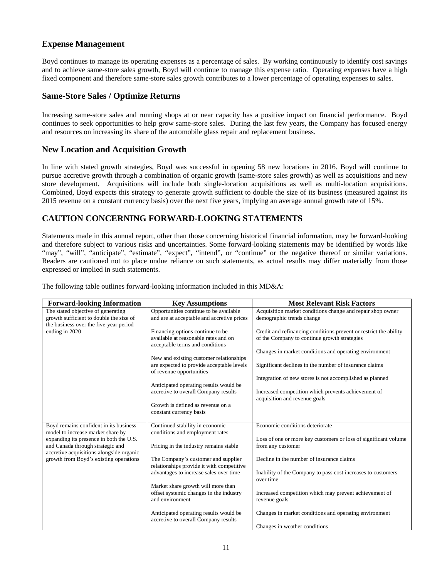## **Expense Management**

Boyd continues to manage its operating expenses as a percentage of sales. By working continuously to identify cost savings and to achieve same-store sales growth, Boyd will continue to manage this expense ratio. Operating expenses have a high fixed component and therefore same-store sales growth contributes to a lower percentage of operating expenses to sales.

#### **Same-Store Sales / Optimize Returns**

Increasing same-store sales and running shops at or near capacity has a positive impact on financial performance. Boyd continues to seek opportunities to help grow same-store sales. During the last few years, the Company has focused energy and resources on increasing its share of the automobile glass repair and replacement business.

### **New Location and Acquisition Growth**

In line with stated growth strategies, Boyd was successful in opening 58 new locations in 2016. Boyd will continue to pursue accretive growth through a combination of organic growth (same-store sales growth) as well as acquisitions and new store development. Acquisitions will include both single-location acquisitions as well as multi-location acquisitions. Combined, Boyd expects this strategy to generate growth sufficient to double the size of its business (measured against its 2015 revenue on a constant currency basis) over the next five years, implying an average annual growth rate of 15%.

## **CAUTION CONCERNING FORWARD-LOOKING STATEMENTS**

Statements made in this annual report, other than those concerning historical financial information, may be forward-looking and therefore subject to various risks and uncertainties. Some forward-looking statements may be identified by words like "may", "will", "anticipate", "estimate", "expect", "intend", or "continue" or the negative thereof or similar variations. Readers are cautioned not to place undue reliance on such statements, as actual results may differ materially from those expressed or implied in such statements.

| <b>Forward-looking Information</b>       | <b>Key Assumptions</b>                     | <b>Most Relevant Risk Factors</b>                                 |
|------------------------------------------|--------------------------------------------|-------------------------------------------------------------------|
| The stated objective of generating       | Opportunities continue to be available     | Acquisition market conditions change and repair shop owner        |
| growth sufficient to double the size of  | and are at acceptable and accretive prices | demographic trends change                                         |
| the business over the five-year period   |                                            |                                                                   |
| ending in 2020                           | Financing options continue to be           | Credit and refinancing conditions prevent or restrict the ability |
|                                          | available at reasonable rates and on       | of the Company to continue growth strategies                      |
|                                          | acceptable terms and conditions            |                                                                   |
|                                          |                                            | Changes in market conditions and operating environment            |
|                                          | New and existing customer relationships    |                                                                   |
|                                          | are expected to provide acceptable levels  | Significant declines in the number of insurance claims            |
|                                          | of revenue opportunities                   |                                                                   |
|                                          |                                            | Integration of new stores is not accomplished as planned          |
|                                          | Anticipated operating results would be     |                                                                   |
|                                          | accretive to overall Company results       | Increased competition which prevents achievement of               |
|                                          | Growth is defined as revenue on a          | acquisition and revenue goals                                     |
|                                          | constant currency basis                    |                                                                   |
|                                          |                                            |                                                                   |
| Boyd remains confident in its business   | Continued stability in economic            | Economic conditions deteriorate                                   |
| model to increase market share by        | conditions and employment rates            |                                                                   |
| expanding its presence in both the U.S.  |                                            | Loss of one or more key customers or loss of significant volume   |
| and Canada through strategic and         | Pricing in the industry remains stable     | from any customer                                                 |
| accretive acquisitions alongside organic |                                            |                                                                   |
| growth from Boyd's existing operations   | The Company's customer and supplier        | Decline in the number of insurance claims                         |
|                                          | relationships provide it with competitive  |                                                                   |
|                                          | advantages to increase sales over time     | Inability of the Company to pass cost increases to customers      |
|                                          |                                            | over time                                                         |
|                                          | Market share growth will more than         |                                                                   |
|                                          | offset systemic changes in the industry    | Increased competition which may prevent achievement of            |
|                                          | and environment                            | revenue goals                                                     |
|                                          |                                            |                                                                   |
|                                          | Anticipated operating results would be     | Changes in market conditions and operating environment            |
|                                          | accretive to overall Company results       |                                                                   |
|                                          |                                            | Changes in weather conditions                                     |

The following table outlines forward-looking information included in this MD&A: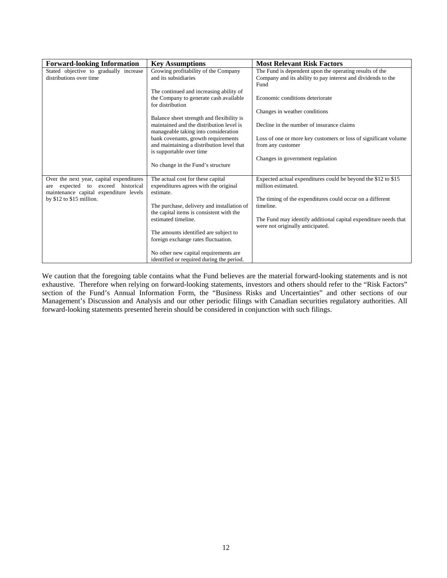| <b>Forward-looking Information</b>       | <b>Key Assumptions</b>                     | <b>Most Relevant Risk Factors</b>                               |
|------------------------------------------|--------------------------------------------|-----------------------------------------------------------------|
| Stated objective to gradually increase   | Growing profitability of the Company       | The Fund is dependent upon the operating results of the         |
| distributions over time                  | and its subsidiaries                       | Company and its ability to pay interest and dividends to the    |
|                                          |                                            | Fund                                                            |
|                                          | The continued and increasing ability of    |                                                                 |
|                                          | the Company to generate cash available     | Economic conditions deteriorate                                 |
|                                          | for distribution                           |                                                                 |
|                                          |                                            | Changes in weather conditions                                   |
|                                          | Balance sheet strength and flexibility is  |                                                                 |
|                                          | maintained and the distribution level is   | Decline in the number of insurance claims                       |
|                                          | manageable taking into consideration       |                                                                 |
|                                          | bank covenants, growth requirements        | Loss of one or more key customers or loss of significant volume |
|                                          | and maintaining a distribution level that  | from any customer                                               |
|                                          | is supportable over time                   |                                                                 |
|                                          |                                            | Changes in government regulation                                |
|                                          | No change in the Fund's structure          |                                                                 |
| Over the next year, capital expenditures | The actual cost for these capital          | Expected actual expenditures could be beyond the \$12 to \$15   |
| exceed historical<br>expected to<br>are  | expenditures agrees with the original      | million estimated.                                              |
| maintenance capital expenditure levels   | estimate.                                  |                                                                 |
| by $$12$ to $$15$ million.               |                                            | The timing of the expenditures could occur on a different       |
|                                          | The purchase, delivery and installation of | timeline.                                                       |
|                                          | the capital items is consistent with the   |                                                                 |
|                                          | estimated timeline.                        | The Fund may identify additional capital expenditure needs that |
|                                          |                                            | were not originally anticipated.                                |
|                                          | The amounts identified are subject to      |                                                                 |
|                                          | foreign exchange rates fluctuation.        |                                                                 |
|                                          |                                            |                                                                 |
|                                          | No other new capital requirements are      |                                                                 |
|                                          | identified or required during the period.  |                                                                 |

We caution that the foregoing table contains what the Fund believes are the material forward-looking statements and is not exhaustive. Therefore when relying on forward-looking statements, investors and others should refer to the "Risk Factors" section of the Fund's Annual Information Form, the "Business Risks and Uncertainties" and other sections of our Management's Discussion and Analysis and our other periodic filings with Canadian securities regulatory authorities. All forward-looking statements presented herein should be considered in conjunction with such filings.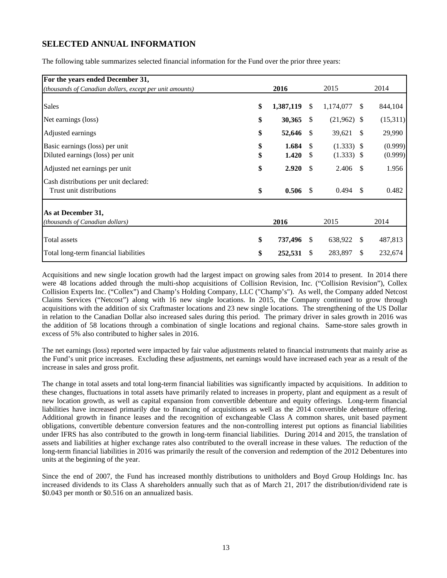## **SELECTED ANNUAL INFORMATION**

| The following table summarizes selected financial information for the Fund over the prior three years: |
|--------------------------------------------------------------------------------------------------------|
|--------------------------------------------------------------------------------------------------------|

| For the years ended December 31,                         |                 |               |               |     |          |
|----------------------------------------------------------|-----------------|---------------|---------------|-----|----------|
| (thousands of Canadian dollars, except per unit amounts) | 2016            |               | 2015          |     | 2014     |
|                                                          |                 |               |               |     |          |
| Sales                                                    | \$<br>1,387,119 | S.            | 1,174,077     | -S  | 844,104  |
| Net earnings (loss)                                      | \$<br>30,365    | -S            | $(21,962)$ \$ |     | (15,311) |
| Adjusted earnings                                        | \$<br>52,646    | <sup>\$</sup> | 39,621        | -\$ | 29,990   |
| Basic earnings (loss) per unit                           | \$<br>1.684     | - \$          | $(1.333)$ \$  |     | (0.999)  |
| Diluted earnings (loss) per unit                         | \$<br>1.420     | - \$          | $(1.333)$ \$  |     | (0.999)  |
| Adjusted net earnings per unit                           | \$<br>2.920     | \$.           | 2.406         | -\$ | 1.956    |
| Cash distributions per unit declared:                    |                 |               |               |     |          |
| Trust unit distributions                                 | \$<br>0.506     | -S            | 0.494         | -S  | 0.482    |
| As at December 31,                                       |                 |               |               |     |          |
| (thousands of Canadian dollars)                          | 2016            |               | 2015          |     | 2014     |
|                                                          |                 |               |               |     |          |
| Total assets                                             | \$<br>737,496   | S             | 638,922       | -S  | 487,813  |
| Total long-term financial liabilities                    | \$<br>252,531   | S             | 283,897       | \$  | 232,674  |

Acquisitions and new single location growth had the largest impact on growing sales from 2014 to present. In 2014 there were 48 locations added through the multi-shop acquisitions of Collision Revision, Inc. ("Collision Revision"), Collex Collision Experts Inc. ("Collex") and Champ's Holding Company, LLC ("Champ's"). As well, the Company added Netcost Claims Services ("Netcost") along with 16 new single locations. In 2015, the Company continued to grow through acquisitions with the addition of six Craftmaster locations and 23 new single locations. The strengthening of the US Dollar in relation to the Canadian Dollar also increased sales during this period. The primary driver in sales growth in 2016 was the addition of 58 locations through a combination of single locations and regional chains. Same-store sales growth in excess of 5% also contributed to higher sales in 2016.

The net earnings (loss) reported were impacted by fair value adjustments related to financial instruments that mainly arise as the Fund's unit price increases. Excluding these adjustments, net earnings would have increased each year as a result of the increase in sales and gross profit.

The change in total assets and total long-term financial liabilities was significantly impacted by acquisitions. In addition to these changes, fluctuations in total assets have primarily related to increases in property, plant and equipment as a result of new location growth, as well as capital expansion from convertible debenture and equity offerings. Long-term financial liabilities have increased primarily due to financing of acquisitions as well as the 2014 convertible debenture offering. Additional growth in finance leases and the recognition of exchangeable Class A common shares, unit based payment obligations, convertible debenture conversion features and the non-controlling interest put options as financial liabilities under IFRS has also contributed to the growth in long-term financial liabilities. During 2014 and 2015, the translation of assets and liabilities at higher exchange rates also contributed to the overall increase in these values. The reduction of the long-term financial liabilities in 2016 was primarily the result of the conversion and redemption of the 2012 Debentures into units at the beginning of the year.

Since the end of 2007, the Fund has increased monthly distributions to unitholders and Boyd Group Holdings Inc. has increased dividends to its Class A shareholders annually such that as of March 21, 2017 the distribution/dividend rate is \$0.043 per month or \$0.516 on an annualized basis.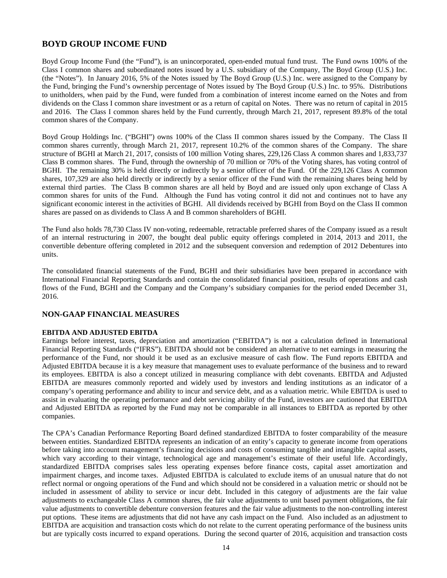Boyd Group Income Fund (the "Fund"), is an unincorporated, open-ended mutual fund trust. The Fund owns 100% of the Class I common shares and subordinated notes issued by a U.S. subsidiary of the Company, The Boyd Group (U.S.) Inc. (the "Notes"). In January 2016, 5% of the Notes issued by The Boyd Group (U.S.) Inc. were assigned to the Company by the Fund, bringing the Fund's ownership percentage of Notes issued by The Boyd Group (U.S.) Inc. to 95%. Distributions to unitholders, when paid by the Fund, were funded from a combination of interest income earned on the Notes and from dividends on the Class I common share investment or as a return of capital on Notes. There was no return of capital in 2015 and 2016. The Class I common shares held by the Fund currently, through March 21, 2017, represent 89.8% of the total common shares of the Company.

Boyd Group Holdings Inc. ("BGHI") owns 100% of the Class II common shares issued by the Company. The Class II common shares currently, through March 21, 2017, represent 10.2% of the common shares of the Company. The share structure of BGHI at March 21, 2017, consists of 100 million Voting shares, 229,126 Class A common shares and 1,833,737 Class B common shares. The Fund, through the ownership of 70 million or 70% of the Voting shares, has voting control of BGHI. The remaining 30% is held directly or indirectly by a senior officer of the Fund. Of the 229,126 Class A common shares, 107,329 are also held directly or indirectly by a senior officer of the Fund with the remaining shares being held by external third parties. The Class B common shares are all held by Boyd and are issued only upon exchange of Class A common shares for units of the Fund. Although the Fund has voting control it did not and continues not to have any significant economic interest in the activities of BGHI. All dividends received by BGHI from Boyd on the Class II common shares are passed on as dividends to Class A and B common shareholders of BGHI.

The Fund also holds 78,730 Class IV non-voting, redeemable, retractable preferred shares of the Company issued as a result of an internal restructuring in 2007, the bought deal public equity offerings completed in 2014, 2013 and 2011, the convertible debenture offering completed in 2012 and the subsequent conversion and redemption of 2012 Debentures into units.

The consolidated financial statements of the Fund, BGHI and their subsidiaries have been prepared in accordance with International Financial Reporting Standards and contain the consolidated financial position, results of operations and cash flows of the Fund, BGHI and the Company and the Company's subsidiary companies for the period ended December 31, 2016.

#### **NON-GAAP FINANCIAL MEASURES**

#### **EBITDA AND ADJUSTED EBITDA**

Earnings before interest, taxes, depreciation and amortization ("EBITDA") is not a calculation defined in International Financial Reporting Standards ("IFRS"). EBITDA should not be considered an alternative to net earnings in measuring the performance of the Fund, nor should it be used as an exclusive measure of cash flow. The Fund reports EBITDA and Adjusted EBITDA because it is a key measure that management uses to evaluate performance of the business and to reward its employees. EBITDA is also a concept utilized in measuring compliance with debt covenants. EBITDA and Adjusted EBITDA are measures commonly reported and widely used by investors and lending institutions as an indicator of a company's operating performance and ability to incur and service debt, and as a valuation metric. While EBITDA is used to assist in evaluating the operating performance and debt servicing ability of the Fund, investors are cautioned that EBITDA and Adjusted EBITDA as reported by the Fund may not be comparable in all instances to EBITDA as reported by other companies.

The CPA's Canadian Performance Reporting Board defined standardized EBITDA to foster comparability of the measure between entities. Standardized EBITDA represents an indication of an entity's capacity to generate income from operations before taking into account management's financing decisions and costs of consuming tangible and intangible capital assets, which vary according to their vintage, technological age and management's estimate of their useful life. Accordingly, standardized EBITDA comprises sales less operating expenses before finance costs, capital asset amortization and impairment charges, and income taxes. Adjusted EBITDA is calculated to exclude items of an unusual nature that do not reflect normal or ongoing operations of the Fund and which should not be considered in a valuation metric or should not be included in assessment of ability to service or incur debt. Included in this category of adjustments are the fair value adjustments to exchangeable Class A common shares, the fair value adjustments to unit based payment obligations, the fair value adjustments to convertible debenture conversion features and the fair value adjustments to the non-controlling interest put options. These items are adjustments that did not have any cash impact on the Fund. Also included as an adjustment to EBITDA are acquisition and transaction costs which do not relate to the current operating performance of the business units but are typically costs incurred to expand operations. During the second quarter of 2016, acquisition and transaction costs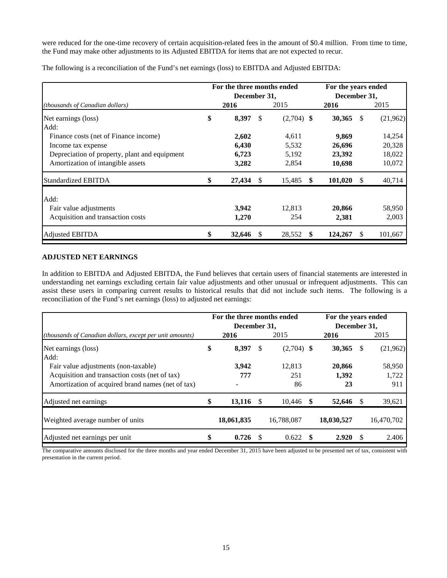were reduced for the one-time recovery of certain acquisition-related fees in the amount of \$0.4 million. From time to time, the Fund may make other adjustments to its Adjusted EBITDA for items that are not expected to recur.

The following is a reconciliation of the Fund's net earnings (loss) to EBITDA and Adjusted EBITDA:

|                                               | For the three months ended<br>December 31, |        |               |              |   | For the years ended<br>December 31, |    |          |  |
|-----------------------------------------------|--------------------------------------------|--------|---------------|--------------|---|-------------------------------------|----|----------|--|
| (thousands of Canadian dollars)               |                                            | 2016   |               | 2015         |   | 2016                                |    | 2015     |  |
| Net earnings (loss)                           | \$                                         | 8,397  | -S            | $(2,704)$ \$ |   | 30,365                              | -S | (21,962) |  |
| Add:                                          |                                            |        |               |              |   |                                     |    |          |  |
| Finance costs (net of Finance income)         |                                            | 2,602  |               | 4,611        |   | 9,869                               |    | 14,254   |  |
| Income tax expense                            |                                            | 6,430  |               | 5,532        |   | 26,696                              |    | 20,328   |  |
| Depreciation of property, plant and equipment |                                            | 6,723  |               | 5,192        |   | 23,392                              |    | 18,022   |  |
| Amortization of intangible assets             |                                            | 3,282  |               | 2,854        |   | 10,698                              |    | 10,072   |  |
| Standardized EBITDA                           | \$                                         | 27,434 | <sup>\$</sup> | 15,485       | S | 101,020                             | S  | 40,714   |  |
| Add:                                          |                                            |        |               |              |   |                                     |    |          |  |
| Fair value adjustments                        |                                            | 3,942  |               | 12,813       |   | 20,866                              |    | 58,950   |  |
| Acquisition and transaction costs             |                                            | 1,270  |               | 254          |   | 2,381                               |    | 2,003    |  |
| <b>Adjusted EBITDA</b>                        | \$                                         | 32,646 |               | 28,552       |   | 124,267                             | S  | 101,667  |  |

#### **ADJUSTED NET EARNINGS**

In addition to EBITDA and Adjusted EBITDA, the Fund believes that certain users of financial statements are interested in understanding net earnings excluding certain fair value adjustments and other unusual or infrequent adjustments. This can assist these users in comparing current results to historical results that did not include such items. The following is a reconciliation of the Fund's net earnings (loss) to adjusted net earnings:

|                                                          | For the three months ended<br>December 31. |            |    |              | For the years ended<br>December 31. |    |            |  |  |  |
|----------------------------------------------------------|--------------------------------------------|------------|----|--------------|-------------------------------------|----|------------|--|--|--|
| (thousands of Canadian dollars, except per unit amounts) |                                            | 2016       |    | 2015         | 2016                                |    | 2015       |  |  |  |
| Net earnings (loss)<br>Add:                              | \$                                         | 8,397      | -S | $(2,704)$ \$ | 30,365                              | -S | (21,962)   |  |  |  |
| Fair value adjustments (non-taxable)                     |                                            | 3,942      |    | 12,813       | 20,866                              |    | 58,950     |  |  |  |
| Acquisition and transaction costs (net of tax)           |                                            | 777        |    | 251          | 1,392                               |    | 1,722      |  |  |  |
| Amortization of acquired brand names (net of tax)        |                                            |            |    | 86           | 23                                  |    | 911        |  |  |  |
| Adjusted net earnings                                    | \$                                         | 13,116     |    | 10.446       | 52,646                              | -S | 39,621     |  |  |  |
| Weighted average number of units                         |                                            | 18,061,835 |    | 16,788,087   | 18,030,527                          |    | 16,470,702 |  |  |  |
| Adjusted net earnings per unit                           | \$                                         | 0.726      |    | 0.622        | 2.920                               |    | 2.406      |  |  |  |

 The comparative amounts disclosed for the three months and year ended December 31, 2015 have been adjusted to be presented net of tax, consistent with presentation in the current period.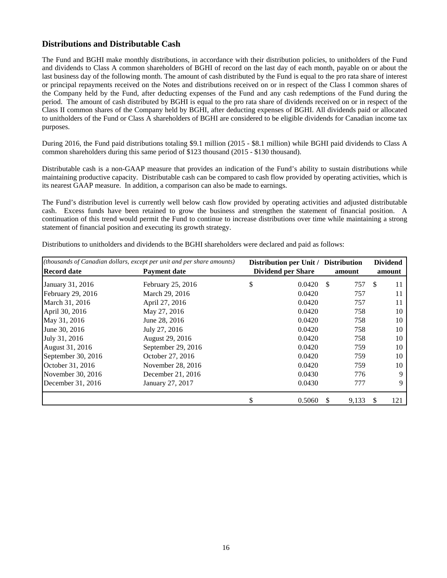#### **Distributions and Distributable Cash**

The Fund and BGHI make monthly distributions, in accordance with their distribution policies, to unitholders of the Fund and dividends to Class A common shareholders of BGHI of record on the last day of each month, payable on or about the last business day of the following month. The amount of cash distributed by the Fund is equal to the pro rata share of interest or principal repayments received on the Notes and distributions received on or in respect of the Class I common shares of the Company held by the Fund, after deducting expenses of the Fund and any cash redemptions of the Fund during the period. The amount of cash distributed by BGHI is equal to the pro rata share of dividends received on or in respect of the Class II common shares of the Company held by BGHI, after deducting expenses of BGHI. All dividends paid or allocated to unitholders of the Fund or Class A shareholders of BGHI are considered to be eligible dividends for Canadian income tax purposes.

During 2016, the Fund paid distributions totaling \$9.1 million (2015 - \$8.1 million) while BGHI paid dividends to Class A common shareholders during this same period of \$123 thousand (2015 - \$130 thousand).

Distributable cash is a non-GAAP measure that provides an indication of the Fund's ability to sustain distributions while maintaining productive capacity. Distributable cash can be compared to cash flow provided by operating activities, which is its nearest GAAP measure. In addition, a comparison can also be made to earnings.

The Fund's distribution level is currently well below cash flow provided by operating activities and adjusted distributable cash. Excess funds have been retained to grow the business and strengthen the statement of financial position. A continuation of this trend would permit the Fund to continue to increase distributions over time while maintaining a strong statement of financial position and executing its growth strategy.

| (thousands of Canadian dollars, except per unit and per share amounts) |                     |                           | Distribution per Unit / |     | <b>Distribution</b> | <b>Dividend</b> |     |  |  |        |
|------------------------------------------------------------------------|---------------------|---------------------------|-------------------------|-----|---------------------|-----------------|-----|--|--|--------|
| <b>Record date</b>                                                     | <b>Payment date</b> | <b>Dividend per Share</b> |                         |     | amount              |                 |     |  |  | amount |
| January 31, 2016                                                       | February 25, 2016   | \$                        | 0.0420                  | -\$ | 757                 | \$.             | 11  |  |  |        |
| February 29, 2016                                                      | March 29, 2016      |                           | 0.0420                  |     | 757                 |                 | 11  |  |  |        |
| March 31, 2016                                                         | April 27, 2016      |                           | 0.0420                  |     | 757                 |                 |     |  |  |        |
| April 30, 2016                                                         | May 27, 2016        |                           | 0.0420                  |     | 758                 |                 | 10  |  |  |        |
| May 31, 2016                                                           | June 28, 2016       |                           | 0.0420                  |     | 758                 |                 | 10  |  |  |        |
| June 30, 2016                                                          | July 27, 2016       |                           | 0.0420                  |     | 758                 |                 | 10  |  |  |        |
| July 31, 2016                                                          | August 29, 2016     |                           | 0.0420                  |     | 758                 |                 | 10  |  |  |        |
| August 31, 2016                                                        | September 29, 2016  |                           | 0.0420                  |     | 759                 |                 | 10  |  |  |        |
| September 30, 2016                                                     | October 27, 2016    |                           | 0.0420                  |     | 759                 |                 | 10  |  |  |        |
| October 31, 2016                                                       | November 28, 2016   |                           | 0.0420                  |     | 759                 |                 | 10  |  |  |        |
| November 30, 2016                                                      | December 21, 2016   |                           | 0.0430                  |     | 776                 |                 | 9   |  |  |        |
| December 31, 2016                                                      | January 27, 2017    |                           | 0.0430                  |     | 777                 |                 | 9   |  |  |        |
|                                                                        |                     | \$                        | 0.5060                  | S   | 9,133               | \$.             | 121 |  |  |        |

Distributions to unitholders and dividends to the BGHI shareholders were declared and paid as follows: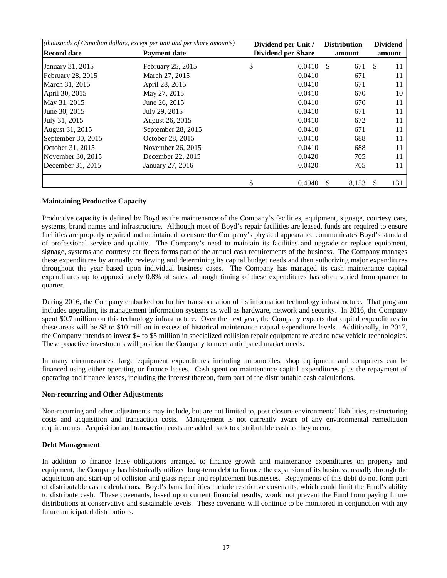| (thousands of Canadian dollars, except per unit and per share amounts) |                     |                           | Dividend per Unit / |          | <b>Distribution</b> | <b>Dividend</b> |     |  |
|------------------------------------------------------------------------|---------------------|---------------------------|---------------------|----------|---------------------|-----------------|-----|--|
| <b>Record date</b>                                                     | <b>Payment date</b> | <b>Dividend per Share</b> |                     |          | amount              | amount          |     |  |
| January 31, 2015                                                       | February 25, 2015   | \$                        | 0.0410              | -S       | 671                 | -\$             | 11  |  |
| February 28, 2015                                                      | March 27, 2015      |                           | 0.0410              |          | 671                 |                 | 11  |  |
| March 31, 2015                                                         | April 28, 2015      |                           | 0.0410              |          | 671                 |                 | 11  |  |
| April 30, 2015                                                         | May 27, 2015        |                           | 0.0410              |          | 670                 |                 | 10  |  |
| May 31, 2015                                                           | June 26, 2015       |                           | 0.0410              |          | 670                 |                 | 11  |  |
| June 30, 2015                                                          | July 29, 2015       |                           | 0.0410              |          | 671                 |                 | 11  |  |
| July 31, 2015                                                          | August 26, 2015     |                           | 0.0410              |          | 672                 |                 | 11  |  |
| August 31, 2015                                                        | September 28, 2015  |                           | 0.0410              |          | 671                 |                 | 11  |  |
| September 30, 2015                                                     | October 28, 2015    |                           | 0.0410              |          | 688                 |                 | 11  |  |
| October 31, 2015                                                       | November 26, 2015   |                           | 0.0410              |          | 688                 |                 | 11  |  |
| November 30, 2015                                                      | December 22, 2015   |                           | 0.0420              |          | 705                 |                 | 11  |  |
| December 31, 2015                                                      | January 27, 2016    |                           | 0.0420              |          | 705                 |                 | 11  |  |
|                                                                        |                     | \$                        | 0.4940              | <b>S</b> | 8.153               | S               | 131 |  |

#### **Maintaining Productive Capacity**

Productive capacity is defined by Boyd as the maintenance of the Company's facilities, equipment, signage, courtesy cars, systems, brand names and infrastructure. Although most of Boyd's repair facilities are leased, funds are required to ensure facilities are properly repaired and maintained to ensure the Company's physical appearance communicates Boyd's standard of professional service and quality. The Company's need to maintain its facilities and upgrade or replace equipment, signage, systems and courtesy car fleets forms part of the annual cash requirements of the business. The Company manages these expenditures by annually reviewing and determining its capital budget needs and then authorizing major expenditures throughout the year based upon individual business cases. The Company has managed its cash maintenance capital expenditures up to approximately 0.8% of sales, although timing of these expenditures has often varied from quarter to quarter.

During 2016, the Company embarked on further transformation of its information technology infrastructure. That program includes upgrading its management information systems as well as hardware, network and security. In 2016, the Company spent \$0.7 million on this technology infrastructure. Over the next year, the Company expects that capital expenditures in these areas will be \$8 to \$10 million in excess of historical maintenance capital expenditure levels. Additionally, in 2017, the Company intends to invest \$4 to \$5 million in specialized collision repair equipment related to new vehicle technologies. These proactive investments will position the Company to meet anticipated market needs.

In many circumstances, large equipment expenditures including automobiles, shop equipment and computers can be financed using either operating or finance leases. Cash spent on maintenance capital expenditures plus the repayment of operating and finance leases, including the interest thereon, form part of the distributable cash calculations.

#### **Non-recurring and Other Adjustments**

Non-recurring and other adjustments may include, but are not limited to, post closure environmental liabilities, restructuring costs and acquisition and transaction costs. Management is not currently aware of any environmental remediation requirements. Acquisition and transaction costs are added back to distributable cash as they occur.

#### **Debt Management**

In addition to finance lease obligations arranged to finance growth and maintenance expenditures on property and equipment, the Company has historically utilized long-term debt to finance the expansion of its business, usually through the acquisition and start-up of collision and glass repair and replacement businesses. Repayments of this debt do not form part of distributable cash calculations. Boyd's bank facilities include restrictive covenants, which could limit the Fund's ability to distribute cash. These covenants, based upon current financial results, would not prevent the Fund from paying future distributions at conservative and sustainable levels. These covenants will continue to be monitored in conjunction with any future anticipated distributions.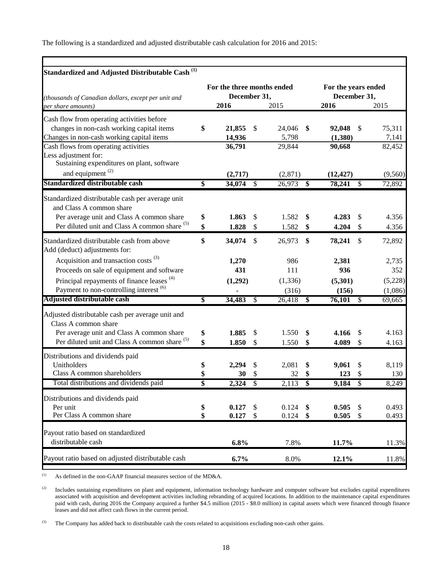The following is a standardized and adjusted distributable cash calculation for 2016 and 2015:

| Standardized and Adjusted Distributable Cash $^{(1)}$<br>(thousands of Canadian dollars, except per unit and |          | For the three months ended<br>December 31, |                           |          |                         | For the years ended<br>December 31, |                          |         |  |  |  |
|--------------------------------------------------------------------------------------------------------------|----------|--------------------------------------------|---------------------------|----------|-------------------------|-------------------------------------|--------------------------|---------|--|--|--|
| per share amounts)                                                                                           |          | 2016                                       |                           | 2015     |                         | 2016                                |                          | 2015    |  |  |  |
| Cash flow from operating activities before                                                                   |          |                                            |                           |          |                         |                                     |                          |         |  |  |  |
| changes in non-cash working capital items                                                                    | \$       | 21,855                                     | <sup>\$</sup>             | 24,046   | -SS                     | 92,048                              | -S                       | 75,311  |  |  |  |
| Changes in non-cash working capital items                                                                    |          | 14,936                                     |                           | 5,798    |                         | (1,380)                             |                          | 7,141   |  |  |  |
| Cash flows from operating activities                                                                         |          | 36,791                                     |                           | 29,844   |                         | 90,668                              |                          | 82,452  |  |  |  |
| Less adjustment for:                                                                                         |          |                                            |                           |          |                         |                                     |                          |         |  |  |  |
| Sustaining expenditures on plant, software                                                                   |          |                                            |                           |          |                         |                                     |                          |         |  |  |  |
| and equipment <sup>(2)</sup>                                                                                 |          | (2,717)                                    |                           | (2,871)  |                         | (12, 427)                           |                          | (9,560) |  |  |  |
| Standardized distributable cash                                                                              | \$       | 34,074                                     | \$                        | 26,973   | \$                      | 78,241                              | \$                       | 72,892  |  |  |  |
| Standardized distributable cash per average unit                                                             |          |                                            |                           |          |                         |                                     |                          |         |  |  |  |
| and Class A common share                                                                                     |          |                                            |                           |          |                         |                                     |                          |         |  |  |  |
| Per average unit and Class A common share                                                                    | \$       | 1.863                                      | \$                        | 1.582    | S                       | 4.283                               | S                        | 4.356   |  |  |  |
| Per diluted unit and Class A common share (5)                                                                | \$       | 1.828                                      | \$                        | 1.582    | \$                      | 4.204                               | \$                       | 4.356   |  |  |  |
| Standardized distributable cash from above                                                                   | \$       | 34,074                                     | $\mathcal{S}$             | 26,973   | \$                      | 78,241                              | \$                       | 72,892  |  |  |  |
| Add (deduct) adjustments for:                                                                                |          |                                            |                           |          |                         |                                     |                          |         |  |  |  |
| Acquisition and transaction costs <sup>(3)</sup>                                                             |          | 1,270                                      |                           | 986      |                         | 2,381                               |                          | 2,735   |  |  |  |
| Proceeds on sale of equipment and software                                                                   |          | 431                                        |                           | 111      |                         | 936                                 |                          | 352     |  |  |  |
| Principal repayments of finance leases <sup>(4)</sup>                                                        |          | (1,292)                                    |                           | (1, 336) |                         | (5,301)                             |                          | (5,228) |  |  |  |
| Payment to non-controlling interest <sup>(6)</sup>                                                           |          |                                            |                           | (316)    |                         | (156)                               |                          | (1,086) |  |  |  |
| <b>Adjusted distributable cash</b>                                                                           | \$       | 34,483                                     | \$                        | 26,418   | $\overline{\mathbf{s}}$ | 76,101                              | $\overline{\mathcal{S}}$ | 69,665  |  |  |  |
| Adjusted distributable cash per average unit and                                                             |          |                                            |                           |          |                         |                                     |                          |         |  |  |  |
| Class A common share                                                                                         |          |                                            |                           |          |                         |                                     |                          |         |  |  |  |
| Per average unit and Class A common share                                                                    | \$       | 1.885                                      | \$                        | 1.550    | \$                      | 4.166                               | \$                       | 4.163   |  |  |  |
| Per diluted unit and Class A common share (5)                                                                | \$       | 1.850                                      | \$                        | 1.550    | \$                      | 4.089                               | <sup>\$</sup>            | 4.163   |  |  |  |
|                                                                                                              |          |                                            |                           |          |                         |                                     |                          |         |  |  |  |
| Distributions and dividends paid<br>Unitholders                                                              | \$       | 2,294                                      | \$                        | 2,081    | \$                      | 9,061                               | \$                       | 8,119   |  |  |  |
| Class A common shareholders                                                                                  | \$       | 30                                         | \$                        | 32       | \$                      | 123                                 | \$                       | 130     |  |  |  |
| Total distributions and dividends paid                                                                       | \$       | 2,324                                      | $\overline{\mathcal{S}}$  | 2,113    | \$                      | 9,184                               | $\overline{\mathcal{S}}$ | 8,249   |  |  |  |
|                                                                                                              |          |                                            |                           |          |                         |                                     |                          |         |  |  |  |
| Distributions and dividends paid                                                                             |          |                                            |                           |          |                         |                                     |                          |         |  |  |  |
| Per unit<br>Per Class A common share                                                                         | \$<br>\$ | 0.127                                      | \$                        | 0.124    | \$                      | 0.505                               | \$                       | 0.493   |  |  |  |
|                                                                                                              |          | 0.127                                      | $\boldsymbol{\mathsf{S}}$ | 0.124    | \$                      | 0.505                               | $\mathbb{S}$             | 0.493   |  |  |  |
| Payout ratio based on standardized                                                                           |          |                                            |                           |          |                         |                                     |                          |         |  |  |  |
| distributable cash                                                                                           |          | 6.8%                                       |                           | 7.8%     |                         | 11.7%                               |                          | 11.3%   |  |  |  |
| Payout ratio based on adjusted distributable cash                                                            |          | 6.7%                                       |                           | 8.0%     |                         | 12.1%                               |                          | 11.8%   |  |  |  |
|                                                                                                              |          |                                            |                           |          |                         |                                     |                          |         |  |  |  |

(1) As defined in the non-GAAP financial measures section of the MD&A.

<sup>(2)</sup> Includes sustaining expenditures on plant and equipment, information technology hardware and computer software but excludes capital expenditures associated with acquisition and development activities including rebranding of acquired locations. In addition to the maintenance capital expenditures paid with cash, during 2016 the Company acquired a further \$4.5 million (2015 - \$8.0 million) in capital assets which were financed through finance leases and did not affect cash flows in the current period.

<sup>&</sup>lt;sup>(3)</sup> The Company has added back to distributable cash the costs related to acquisitions excluding non-cash other gains.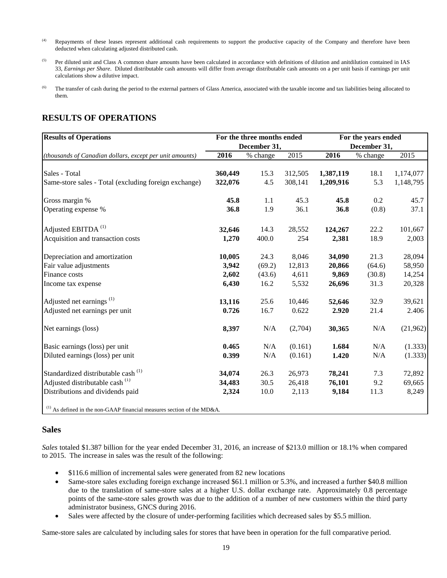- (4) Repayments of these leases represent additional cash requirements to support the productive capacity of the Company and therefore have been deducted when calculating adjusted distributed cash.
- $^{(5)}$  Per diluted unit and Class A common share amounts have been calculated in accordance with definitions of dilution and anitdilution contained in IAS 33, *Earnings per Share*. Diluted distributable cash amounts will differ from average distributable cash amounts on a per unit basis if earnings per unit calculations show a dilutive impact.
- <sup>(6)</sup> The transfer of cash during the period to the external partners of Glass America, associated with the taxable income and tax liabilities being allocated to them.

## **RESULTS OF OPERATIONS**

| <b>Results of Operations</b>                                                |         | For the three months ended<br>December 31, |         | For the years ended<br>December 31, |          |           |  |
|-----------------------------------------------------------------------------|---------|--------------------------------------------|---------|-------------------------------------|----------|-----------|--|
| (thousands of Canadian dollars, except per unit amounts)                    | 2016    | % change                                   | 2015    | 2016                                | % change | 2015      |  |
|                                                                             |         |                                            |         |                                     |          |           |  |
| Sales - Total                                                               | 360,449 | 15.3                                       | 312,505 | 1,387,119                           | 18.1     | 1,174,077 |  |
| Same-store sales - Total (excluding foreign exchange)                       | 322,076 | 4.5                                        | 308,141 | 1,209,916                           | 5.3      | 1,148,795 |  |
| Gross margin %                                                              | 45.8    | 1.1                                        | 45.3    | 45.8                                | 0.2      | 45.7      |  |
| Operating expense %                                                         | 36.8    | 1.9                                        | 36.1    | 36.8                                | (0.8)    | 37.1      |  |
| Adjusted EBITDA <sup>(1)</sup>                                              | 32,646  | 14.3                                       | 28,552  | 124,267                             | 22.2     | 101,667   |  |
| Acquisition and transaction costs                                           | 1,270   | 400.0                                      | 254     | 2,381                               | 18.9     | 2,003     |  |
| Depreciation and amortization                                               | 10,005  | 24.3                                       | 8,046   | 34,090                              | 21.3     | 28,094    |  |
| Fair value adjustments                                                      | 3,942   | (69.2)                                     | 12,813  | 20,866                              | (64.6)   | 58,950    |  |
| Finance costs                                                               | 2,602   | (43.6)                                     | 4,611   | 9,869                               | (30.8)   | 14,254    |  |
| Income tax expense                                                          | 6,430   | 16.2                                       | 5,532   | 26,696                              | 31.3     | 20,328    |  |
| Adjusted net earnings <sup>(1)</sup>                                        | 13,116  | 25.6                                       | 10,446  | 52,646                              | 32.9     | 39,621    |  |
| Adjusted net earnings per unit                                              | 0.726   | 16.7                                       | 0.622   | 2.920                               | 21.4     | 2.406     |  |
| Net earnings (loss)                                                         | 8,397   | N/A                                        | (2,704) | 30,365                              | N/A      | (21,962)  |  |
| Basic earnings (loss) per unit                                              | 0.465   | N/A                                        | (0.161) | 1.684                               | N/A      | (1.333)   |  |
| Diluted earnings (loss) per unit                                            | 0.399   | N/A                                        | (0.161) | 1.420                               | N/A      | (1.333)   |  |
| Standardized distributable cash <sup>(1)</sup>                              | 34,074  | 26.3                                       | 26,973  | 78,241                              | 7.3      | 72,892    |  |
| Adjusted distributable cash <sup>(1)</sup>                                  | 34,483  | 30.5                                       | 26,418  | 76,101                              | 9.2      | 69,665    |  |
| Distributions and dividends paid                                            | 2,324   | 10.0                                       | 2,113   | 9,184                               | 11.3     | 8,249     |  |
| $^{(1)}$ As defined in the non-GAAP financial measures section of the MD&A. |         |                                            |         |                                     |          |           |  |

#### **Sales**

*Sales* totaled \$1.387 billion for the year ended December 31, 2016, an increase of \$213.0 million or 18.1% when compared to 2015. The increase in sales was the result of the following:

- \$116.6 million of incremental sales were generated from 82 new locations
- Same-store sales excluding foreign exchange increased \$61.1 million or 5.3%, and increased a further \$40.8 million due to the translation of same-store sales at a higher U.S. dollar exchange rate. Approximately 0.8 percentage points of the same-store sales growth was due to the addition of a number of new customers within the third party administrator business, GNCS during 2016.
- Sales were affected by the closure of under-performing facilities which decreased sales by \$5.5 million.

Same-store sales are calculated by including sales for stores that have been in operation for the full comparative period.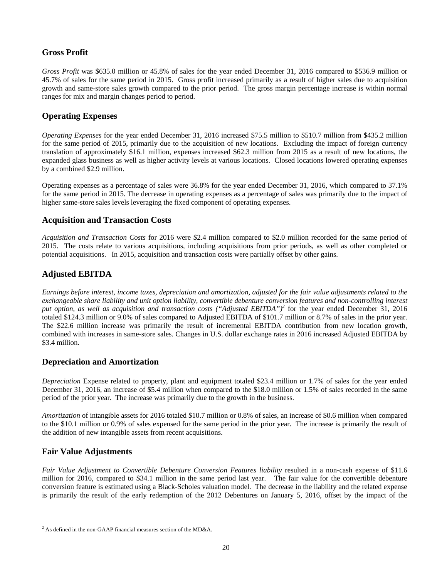## **Gross Profit**

*Gross Profit* was \$635.0 million or 45.8% of sales for the year ended December 31, 2016 compared to \$536.9 million or 45.7% of sales for the same period in 2015. Gross profit increased primarily as a result of higher sales due to acquisition growth and same-store sales growth compared to the prior period. The gross margin percentage increase is within normal ranges for mix and margin changes period to period.

## **Operating Expenses**

*Operating Expenses* for the year ended December 31, 2016 increased \$75.5 million to \$510.7 million from \$435.2 million for the same period of 2015, primarily due to the acquisition of new locations. Excluding the impact of foreign currency translation of approximately \$16.1 million, expenses increased \$62.3 million from 2015 as a result of new locations, the expanded glass business as well as higher activity levels at various locations. Closed locations lowered operating expenses by a combined \$2.9 million.

Operating expenses as a percentage of sales were 36.8% for the year ended December 31, 2016, which compared to 37.1% for the same period in 2015. The decrease in operating expenses as a percentage of sales was primarily due to the impact of higher same-store sales levels leveraging the fixed component of operating expenses.

#### **Acquisition and Transaction Costs**

*Acquisition and Transaction Costs* for 2016 were \$2.4 million compared to \$2.0 million recorded for the same period of 2015. The costs relate to various acquisitions, including acquisitions from prior periods, as well as other completed or potential acquisitions. In 2015, acquisition and transaction costs were partially offset by other gains.

### **Adjusted EBITDA**

*Earnings before interest, income taxes, depreciation and amortization, adjusted for the fair value adjustments related to the exchangeable share liability and unit option liability, convertible debenture conversion features and non-controlling interest*  put option, as well as acquisition and transaction costs ("Adjusted EBITDA")<sup>2</sup> for the year ended December 31, 2016 totaled \$124.3 million or 9.0% of sales compared to Adjusted EBITDA of \$101.7 million or 8.7% of sales in the prior year. The \$22.6 million increase was primarily the result of incremental EBITDA contribution from new location growth, combined with increases in same-store sales. Changes in U.S. dollar exchange rates in 2016 increased Adjusted EBITDA by \$3.4 million.

#### **Depreciation and Amortization**

*Depreciation* Expense related to property, plant and equipment totaled \$23.4 million or 1.7% of sales for the year ended December 31, 2016, an increase of \$5.4 million when compared to the \$18.0 million or 1.5% of sales recorded in the same period of the prior year. The increase was primarily due to the growth in the business.

*Amortization* of intangible assets for 2016 totaled \$10.7 million or 0.8% of sales, an increase of \$0.6 million when compared to the \$10.1 million or 0.9% of sales expensed for the same period in the prior year. The increase is primarily the result of the addition of new intangible assets from recent acquisitions.

#### **Fair Value Adjustments**

*Fair Value Adjustment to Convertible Debenture Conversion Features liability* resulted in a non-cash expense of \$11.6 million for 2016, compared to \$34.1 million in the same period last year.The fair value for the convertible debenture conversion feature is estimated using a Black-Scholes valuation model. The decrease in the liability and the related expense is primarily the result of the early redemption of the 2012 Debentures on January 5, 2016, offset by the impact of the

 2 As defined in the non-GAAP financial measures section of the MD&A.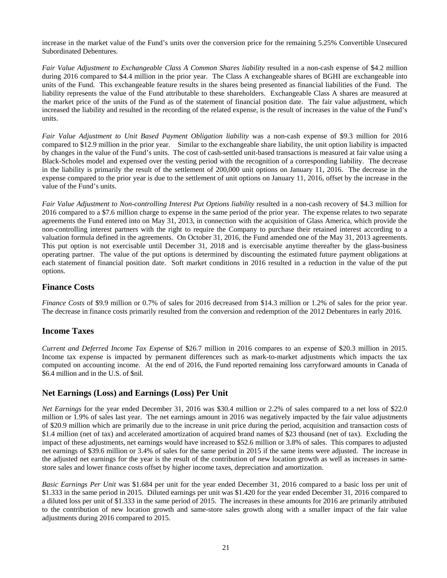increase in the market value of the Fund's units over the conversion price for the remaining 5.25% Convertible Unsecured Subordinated Debentures.

*Fair Value Adjustment to Exchangeable Class A Common Shares liability* resulted in a non-cash expense of \$4.2 million during 2016 compared to \$4.4 million in the prior year. The Class A exchangeable shares of BGHI are exchangeable into units of the Fund. This exchangeable feature results in the shares being presented as financial liabilities of the Fund. The liability represents the value of the Fund attributable to these shareholders. Exchangeable Class A shares are measured at the market price of the units of the Fund as of the statement of financial position date. The fair value adjustment, which increased the liability and resulted in the recording of the related expense, is the result of increases in the value of the Fund's units.

*Fair Value Adjustment to Unit Based Payment Obligation liability* was a non-cash expense of \$9.3 million for 2016 compared to \$12.9 million in the prior year. Similar to the exchangeable share liability, the unit option liability is impacted by changes in the value of the Fund's units. The cost of cash-settled unit-based transactions is measured at fair value using a Black-Scholes model and expensed over the vesting period with the recognition of a corresponding liability. The decrease in the liability is primarily the result of the settlement of 200,000 unit options on January 11, 2016. The decrease in the expense compared to the prior year is due to the settlement of unit options on January 11, 2016, offset by the increase in the value of the Fund's units.

*Fair Value Adjustment to Non-controlling Interest Put Options liability* resulted in a non-cash recovery of \$4.3 million for 2016 compared to a \$7.6 million charge to expense in the same period of the prior year. The expense relates to two separate agreements the Fund entered into on May 31, 2013, in connection with the acquisition of Glass America, which provide the non-controlling interest partners with the right to require the Company to purchase their retained interest according to a valuation formula defined in the agreements. On October 31, 2016, the Fund amended one of the May 31, 2013 agreements. This put option is not exercisable until December 31, 2018 and is exercisable anytime thereafter by the glass-business operating partner. The value of the put options is determined by discounting the estimated future payment obligations at each statement of financial position date. Soft market conditions in 2016 resulted in a reduction in the value of the put options.

#### **Finance Costs**

*Finance Costs* of \$9.9 million or 0.7% of sales for 2016 decreased from \$14.3 million or 1.2% of sales for the prior year. The decrease in finance costs primarily resulted from the conversion and redemption of the 2012 Debentures in early 2016.

#### **Income Taxes**

*Current and Deferred Income Tax Expense* of \$26.7 million in 2016 compares to an expense of \$20.3 million in 2015. Income tax expense is impacted by permanent differences such as mark-to-market adjustments which impacts the tax computed on accounting income. At the end of 2016, the Fund reported remaining loss carryforward amounts in Canada of \$6.4 million and in the U.S. of \$nil.

#### **Net Earnings (Loss) and Earnings (Loss) Per Unit**

*Net Earnings* for the year ended December 31, 2016 was \$30.4 million or 2.2% of sales compared to a net loss of \$22.0 million or 1.9% of sales last year. The net earnings amount in 2016 was negatively impacted by the fair value adjustments of \$20.9 million which are primarily due to the increase in unit price during the period, acquisition and transaction costs of \$1.4 million (net of tax) and accelerated amortization of acquired brand names of \$23 thousand (net of tax). Excluding the impact of these adjustments, net earnings would have increased to \$52.6 million or 3.8% of sales. This compares to adjusted net earnings of \$39.6 million or 3.4% of sales for the same period in 2015 if the same items were adjusted. The increase in the adjusted net earnings for the year is the result of the contribution of new location growth as well as increases in samestore sales and lower finance costs offset by higher income taxes, depreciation and amortization.

*Basic Earnings Per Unit* was \$1.684 per unit for the year ended December 31, 2016 compared to a basic loss per unit of \$1.333 in the same period in 2015. Diluted earnings per unit was \$1.420 for the year ended December 31, 2016 compared to a diluted loss per unit of \$1.333 in the same period of 2015. The increases in these amounts for 2016 are primarily attributed to the contribution of new location growth and same-store sales growth along with a smaller impact of the fair value adjustments during 2016 compared to 2015.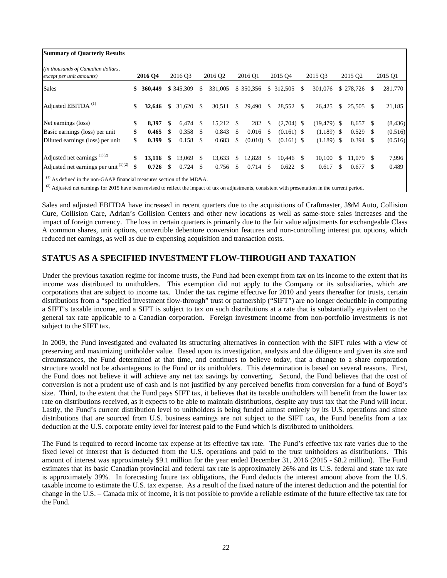| <b>Summary of Quarterly Results</b>                                                                                                                                                                                                             |                     |     |           |      |         |     |              |     |              |               |                |     |           |     |          |
|-------------------------------------------------------------------------------------------------------------------------------------------------------------------------------------------------------------------------------------------------|---------------------|-----|-----------|------|---------|-----|--------------|-----|--------------|---------------|----------------|-----|-----------|-----|----------|
|                                                                                                                                                                                                                                                 |                     |     |           |      |         |     |              |     |              |               |                |     |           |     |          |
| (in thousands of Canadian dollars,<br>except per unit amounts)                                                                                                                                                                                  | 2016 O <sub>4</sub> |     | 2016 03   |      | 2016 02 |     | 2016 Q1      |     | 2015 04      |               | 2015 03        |     | 2015 Q2   |     | 2015 Q1  |
| <b>Sales</b>                                                                                                                                                                                                                                    | \$<br>360,449       |     | \$345,309 | -S   | 331,005 |     | \$350,356    |     | \$ 312,505   | S             | 301,076        |     | \$278,726 |     | 281,770  |
| Adjusted EBITDA <sup>(1)</sup>                                                                                                                                                                                                                  | 32,646              | \$. | 31,620    | -S   | 30,511  | \$. | 29,490       | S   | 28,552       | \$            | 26,425         | \$. | 25,505    | £.  | 21,185   |
| Net earnings (loss)                                                                                                                                                                                                                             | \$<br>8,397         | \$  | 6,474     | -S   | 15,212  | \$. | 282          | \$. | $(2,704)$ \$ |               | $(19, 479)$ \$ |     | 8,657     | \$. | (8, 436) |
| Basic earnings (loss) per unit                                                                                                                                                                                                                  | \$<br>0.465         | \$. | 0.358     | - \$ | 0.843   | \$. | 0.016        | \$. | $(0.161)$ \$ |               | $(1.189)$ \$   |     | 0.529     | £.  | (0.516)  |
| Diluted earnings (loss) per unit                                                                                                                                                                                                                | \$<br>0.399         | \$. | 0.158     | \$.  | 0.683   | S   | $(0.010)$ \$ |     | $(0.161)$ \$ |               | $(1.189)$ \$   |     | 0.394     | \$. | (0.516)  |
| Adjusted net earnings $(1)(2)$                                                                                                                                                                                                                  | 13,116              | \$. | 13,069    | -S   | 13,633  | S   | 12,828       | \$. | 10,446       | <sup>\$</sup> | 10,100         | \$. | 11,079    | -SS | 7,996    |
| Adjusted net earnings per unit $(1)(2)$                                                                                                                                                                                                         | \$<br>0.726         | S   | 0.724     | -S   | 0.756   | S   | 0.714        | \$. | 0.622        | £.            | 0.617          | \$  | 0.677     | £.  | 0.489    |
| $^{(1)}$ As defined in the non-GAAP financial measures section of the MD&A.<br><sup>(2)</sup> Adjusted net earnings for 2015 have been revised to reflect the impact of tax on adjustments, consistent with presentation in the current period. |                     |     |           |      |         |     |              |     |              |               |                |     |           |     |          |

Sales and adjusted EBITDA have increased in recent quarters due to the acquisitions of Craftmaster, J&M Auto, Collision Cure, Collision Care, Adrian's Collision Centers and other new locations as well as same-store sales increases and the impact of foreign currency. The loss in certain quarters is primarily due to the fair value adjustments for exchangeable Class A common shares, unit options, convertible debenture conversion features and non-controlling interest put options, which reduced net earnings, as well as due to expensing acquisition and transaction costs.

## **STATUS AS A SPECIFIED INVESTMENT FLOW-THROUGH AND TAXATION**

Under the previous taxation regime for income trusts, the Fund had been exempt from tax on its income to the extent that its income was distributed to unitholders. This exemption did not apply to the Company or its subsidiaries, which are corporations that are subject to income tax. Under the tax regime effective for 2010 and years thereafter for trusts, certain distributions from a "specified investment flow-through" trust or partnership ("SIFT") are no longer deductible in computing a SIFT's taxable income, and a SIFT is subject to tax on such distributions at a rate that is substantially equivalent to the general tax rate applicable to a Canadian corporation. Foreign investment income from non-portfolio investments is not subject to the SIFT tax.

In 2009, the Fund investigated and evaluated its structuring alternatives in connection with the SIFT rules with a view of preserving and maximizing unitholder value. Based upon its investigation, analysis and due diligence and given its size and circumstances, the Fund determined at that time, and continues to believe today, that a change to a share corporation structure would not be advantageous to the Fund or its unitholders. This determination is based on several reasons. First, the Fund does not believe it will achieve any net tax savings by converting. Second, the Fund believes that the cost of conversion is not a prudent use of cash and is not justified by any perceived benefits from conversion for a fund of Boyd's size. Third, to the extent that the Fund pays SIFT tax, it believes that its taxable unitholders will benefit from the lower tax rate on distributions received, as it expects to be able to maintain distributions, despite any trust tax that the Fund will incur. Lastly, the Fund's current distribution level to unitholders is being funded almost entirely by its U.S. operations and since distributions that are sourced from U.S. business earnings are not subject to the SIFT tax, the Fund benefits from a tax deduction at the U.S. corporate entity level for interest paid to the Fund which is distributed to unitholders.

The Fund is required to record income tax expense at its effective tax rate. The Fund's effective tax rate varies due to the fixed level of interest that is deducted from the U.S. operations and paid to the trust unitholders as distributions. This amount of interest was approximately \$9.1 million for the year ended December 31, 2016 (2015 - \$8.2 million). The Fund estimates that its basic Canadian provincial and federal tax rate is approximately 26% and its U.S. federal and state tax rate is approximately 39%. In forecasting future tax obligations, the Fund deducts the interest amount above from the U.S. taxable income to estimate the U.S. tax expense. As a result of the fixed nature of the interest deduction and the potential for change in the U.S. – Canada mix of income, it is not possible to provide a reliable estimate of the future effective tax rate for the Fund.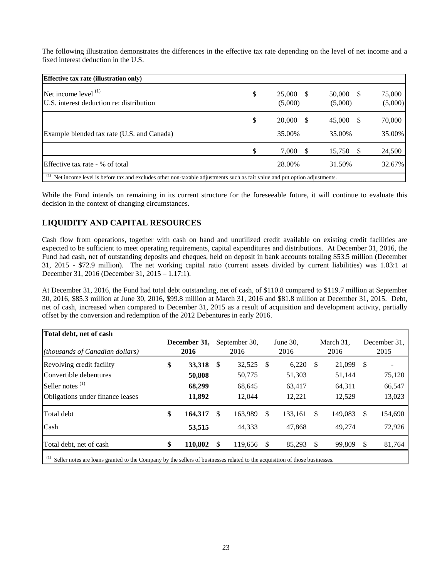The following illustration demonstrates the differences in the effective tax rate depending on the level of net income and a fixed interest deduction in the U.S.

| <b>Effective tax rate (illustration only)</b>                                                                            |                               |                      |                   |
|--------------------------------------------------------------------------------------------------------------------------|-------------------------------|----------------------|-------------------|
| Net income level $(1)$<br>U.S. interest deduction re: distribution                                                       | \$<br>25,000<br>-S<br>(5,000) | 50,000 \$<br>(5,000) | 75,000<br>(5,000) |
|                                                                                                                          | \$<br>20,000<br>S             | 45,000 \$            | 70,000            |
| Example blended tax rate (U.S. and Canada)                                                                               | 35.00%                        | 35.00%               | 35.00%            |
|                                                                                                                          | 7,000<br>-S                   | 15,750<br>- \$       | 24,500            |
| Effective tax rate - % of total                                                                                          | 28.00%                        | 31.50%               | 32.67%            |
| Net income level is before tax and excludes other non-taxable adjustments such as fair value and put option adjustments. |                               |                      |                   |

While the Fund intends on remaining in its current structure for the foreseeable future, it will continue to evaluate this decision in the context of changing circumstances.

## **LIQUIDITY AND CAPITAL RESOURCES**

Cash flow from operations, together with cash on hand and unutilized credit available on existing credit facilities are expected to be sufficient to meet operating requirements, capital expenditures and distributions. At December 31, 2016, the Fund had cash, net of outstanding deposits and cheques, held on deposit in bank accounts totaling \$53.5 million (December 31, 2015 - \$72.9 million). The net working capital ratio (current assets divided by current liabilities) was 1.03:1 at December 31, 2016 (December 31, 2015 – 1.17:1).

At December 31, 2016, the Fund had total debt outstanding, net of cash, of \$110.8 compared to \$119.7 million at September 30, 2016, \$85.3 million at June 30, 2016, \$99.8 million at March 31, 2016 and \$81.8 million at December 31, 2015. Debt, net of cash, increased when compared to December 31, 2015 as a result of acquisition and development activity, partially offset by the conversion and redemption of the 2012 Debentures in early 2016.

| Total debt, net of cash<br>(thousands of Canadian dollars)                                                                                                   | December 31,<br>2016                       |      | September 30.<br>2016                |               | June $30$ ,<br>2016                 |      | March 31.<br>2016                    |      | December 31.<br>2015       |
|--------------------------------------------------------------------------------------------------------------------------------------------------------------|--------------------------------------------|------|--------------------------------------|---------------|-------------------------------------|------|--------------------------------------|------|----------------------------|
| Revolving credit facility<br>Convertible debentures<br>Seller notes <sup>(1)</sup><br>Obligations under finance leases                                       | \$<br>33,318<br>50,808<br>68,299<br>11,892 | - \$ | 32,525<br>50,775<br>68,645<br>12.044 | - \$          | 6,220<br>51,303<br>63,417<br>12,221 | - \$ | 21,099<br>51,144<br>64,311<br>12,529 | - \$ | 75,120<br>66,547<br>13,023 |
| Total debt<br>Cash                                                                                                                                           | \$<br>164,317<br>53,515                    | S    | 163,989<br>44,333                    | <sup>\$</sup> | 133,161<br>47.868                   | S.   | 149,083<br>49.274                    | S.   | 154,690<br>72,926          |
| Total debt, net of cash<br>(1)<br>Seller notes are loans granted to the Company by the sellers of businesses related to the acquisition of those businesses. | \$<br>110,802                              | S    | 119,656                              | -S            | 85,293                              | \$.  | 99.809                               | S    | 81,764                     |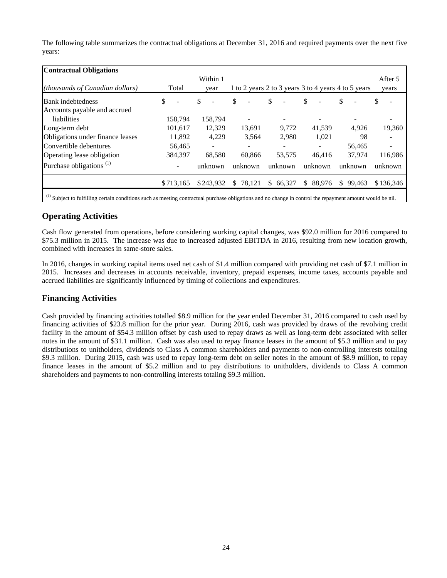The following table summarizes the contractual obligations at December 31, 2016 and required payments over the next five years:

| <b>Contractual Obligations</b><br>(thousands of Canadian dollars) | Total                          | Within 1<br>year         |                                | 1 to 2 years 2 to 3 years 3 to 4 years 4 to 5 years |              |              | After 5<br>years               |
|-------------------------------------------------------------------|--------------------------------|--------------------------|--------------------------------|-----------------------------------------------------|--------------|--------------|--------------------------------|
| <b>Bank</b> indebtedness<br>Accounts payable and accrued          | \$<br>$\overline{\phantom{a}}$ | \$                       | \$<br>$\overline{\phantom{0}}$ | \$<br>$\overline{\phantom{a}}$                      | \$           |              | \$<br>$\overline{\phantom{m}}$ |
| liabilities                                                       | 158,794                        | 158.794                  |                                |                                                     |              |              |                                |
| Long-term debt                                                    | 101.617                        | 12.329                   | 13.691                         | 9.772                                               | 41.539       | 4,926        | 19,360                         |
| Obligations under finance leases                                  | 11,892                         | 4,229                    | 3,564                          | 2,980                                               | 1,021        | 98           |                                |
| Convertible debentures                                            | 56,465                         | $\overline{\phantom{a}}$ | $\overline{\phantom{a}}$       | -                                                   |              | 56,465       | $\overline{\phantom{a}}$       |
| Operating lease obligation                                        | 384,397                        | 68,580                   | 60,866                         | 53,575                                              | 46,416       | 37,974       | 116,986                        |
| Purchase obligations <sup>(1)</sup>                               |                                | unknown                  | unknown                        | unknown                                             | unknown      | unknown      | unknown                        |
|                                                                   | \$713,165                      | \$243,932                | 78,121<br>\$.                  | 66,327<br>S.                                        | 88.976<br>S. | \$<br>99,463 | \$136,346                      |

(1) Subject to fulfilling certain conditions such as meeting contractual purchase obligations and no change in control the repayment amount would be nil.

## **Operating Activities**

Cash flow generated from operations, before considering working capital changes, was \$92.0 million for 2016 compared to \$75.3 million in 2015. The increase was due to increased adjusted EBITDA in 2016, resulting from new location growth, combined with increases in same-store sales.

In 2016, changes in working capital items used net cash of \$1.4 million compared with providing net cash of \$7.1 million in 2015. Increases and decreases in accounts receivable, inventory, prepaid expenses, income taxes, accounts payable and accrued liabilities are significantly influenced by timing of collections and expenditures.

#### **Financing Activities**

Cash provided by financing activities totalled \$8.9 million for the year ended December 31, 2016 compared to cash used by financing activities of \$23.8 million for the prior year. During 2016, cash was provided by draws of the revolving credit facility in the amount of \$54.3 million offset by cash used to repay draws as well as long-term debt associated with seller notes in the amount of \$31.1 million. Cash was also used to repay finance leases in the amount of \$5.3 million and to pay distributions to unitholders, dividends to Class A common shareholders and payments to non-controlling interests totaling \$9.3 million. During 2015, cash was used to repay long-term debt on seller notes in the amount of \$8.9 million, to repay finance leases in the amount of \$5.2 million and to pay distributions to unitholders, dividends to Class A common shareholders and payments to non-controlling interests totaling \$9.3 million.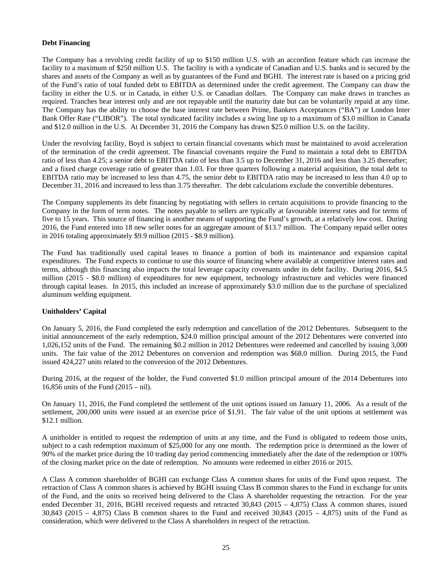#### **Debt Financing**

The Company has a revolving credit facility of up to \$150 million U.S. with an accordion feature which can increase the facility to a maximum of \$250 million U.S. The facility is with a syndicate of Canadian and U.S. banks and is secured by the shares and assets of the Company as well as by guarantees of the Fund and BGHI. The interest rate is based on a pricing grid of the Fund's ratio of total funded debt to EBITDA as determined under the credit agreement. The Company can draw the facility in either the U.S. or in Canada, in either U.S. or Canadian dollars. The Company can make draws in tranches as required. Tranches bear interest only and are not repayable until the maturity date but can be voluntarily repaid at any time. The Company has the ability to choose the base interest rate between Prime, Bankers Acceptances ("BA") or London Inter Bank Offer Rate ("LIBOR"). The total syndicated facility includes a swing line up to a maximum of \$3.0 million in Canada and \$12.0 million in the U.S. At December 31, 2016 the Company has drawn \$25.0 million U.S. on the facility.

Under the revolving facility, Boyd is subject to certain financial covenants which must be maintained to avoid acceleration of the termination of the credit agreement. The financial covenants require the Fund to maintain a total debt to EBITDA ratio of less than 4.25; a senior debt to EBITDA ratio of less than 3.5 up to December 31, 2016 and less than 3.25 thereafter; and a fixed charge coverage ratio of greater than 1.03. For three quarters following a material acquisition, the total debt to EBITDA ratio may be increased to less than 4.75, the senior debt to EBITDA ratio may be increased to less than 4.0 up to December 31, 2016 and increased to less than 3.75 thereafter. The debt calculations exclude the convertible debentures.

The Company supplements its debt financing by negotiating with sellers in certain acquisitions to provide financing to the Company in the form of term notes. The notes payable to sellers are typically at favourable interest rates and for terms of five to 15 years. This source of financing is another means of supporting the Fund's growth, at a relatively low cost. During 2016, the Fund entered into 18 new seller notes for an aggregate amount of \$13.7 million. The Company repaid seller notes in 2016 totaling approximately \$9.9 million (2015 - \$8.9 million).

The Fund has traditionally used capital leases to finance a portion of both its maintenance and expansion capital expenditures. The Fund expects to continue to use this source of financing where available at competitive interest rates and terms, although this financing also impacts the total leverage capacity covenants under its debt facility. During 2016, \$4.5 million (2015 - \$8.0 million) of expenditures for new equipment, technology infrastructure and vehicles were financed through capital leases. In 2015, this included an increase of approximately \$3.0 million due to the purchase of specialized aluminum welding equipment.

#### **Unitholders' Capital**

On January 5, 2016, the Fund completed the early redemption and cancellation of the 2012 Debentures. Subsequent to the initial announcement of the early redemption, \$24.0 million principal amount of the 2012 Debentures were converted into 1,026,152 units of the Fund. The remaining \$0.2 million in 2012 Debentures were redeemed and cancelled by issuing 3,000 units. The fair value of the 2012 Debentures on conversion and redemption was \$68.0 million. During 2015, the Fund issued 424,227 units related to the conversion of the 2012 Debentures.

During 2016, at the request of the holder, the Fund converted \$1.0 million principal amount of the 2014 Debentures into 16,856 units of the Fund (2015 – nil).

On January 11, 2016, the Fund completed the settlement of the unit options issued on January 11, 2006. As a result of the settlement, 200,000 units were issued at an exercise price of \$1.91. The fair value of the unit options at settlement was \$12.1 million.

A unitholder is entitled to request the redemption of units at any time, and the Fund is obligated to redeem those units, subject to a cash redemption maximum of \$25,000 for any one month. The redemption price is determined as the lower of 90% of the market price during the 10 trading day period commencing immediately after the date of the redemption or 100% of the closing market price on the date of redemption. No amounts were redeemed in either 2016 or 2015.

A Class A common shareholder of BGHI can exchange Class A common shares for units of the Fund upon request. The retraction of Class A common shares is achieved by BGHI issuing Class B common shares to the Fund in exchange for units of the Fund, and the units so received being delivered to the Class A shareholder requesting the retraction. For the year ended December 31, 2016, BGHI received requests and retracted 30,843 (2015 – 4,875) Class A common shares, issued 30,843 (2015 – 4,875) Class B common shares to the Fund and received 30,843 (2015 – 4,875) units of the Fund as consideration, which were delivered to the Class A shareholders in respect of the retraction.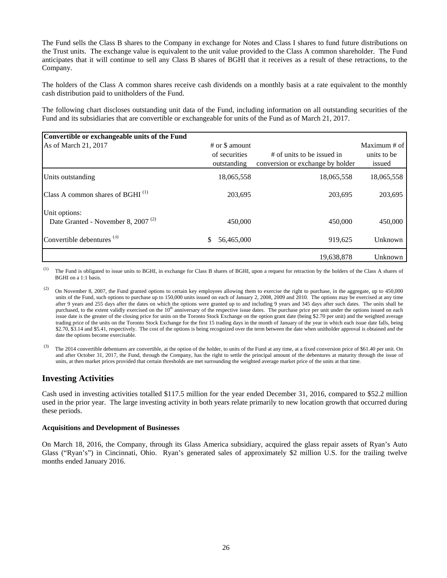The Fund sells the Class B shares to the Company in exchange for Notes and Class I shares to fund future distributions on the Trust units. The exchange value is equivalent to the unit value provided to the Class A common shareholder. The Fund anticipates that it will continue to sell any Class B shares of BGHI that it receives as a result of these retractions, to the Company.

The holders of the Class A common shares receive cash dividends on a monthly basis at a rate equivalent to the monthly cash distribution paid to unitholders of the Fund.

The following chart discloses outstanding unit data of the Fund, including information on all outstanding securities of the Fund and its subsidiaries that are convertible or exchangeable for units of the Fund as of March 21, 2017.

| Convertible or exchangeable units of the Fund<br>As of March 21, 2017 | $#$ or $\$$ amount<br>of securities<br>outstanding | # of units to be issued in<br>conversion or exchange by holder | Maximum # of<br>units to be<br>issued |
|-----------------------------------------------------------------------|----------------------------------------------------|----------------------------------------------------------------|---------------------------------------|
| Units outstanding                                                     | 18,065,558                                         | 18,065,558                                                     | 18,065,558                            |
| Class A common shares of BGHI $^{(1)}$                                | 203.695                                            | 203,695                                                        | 203,695                               |
| Unit options:<br>Date Granted - November 8, 2007 <sup>(2)</sup>       | 450,000                                            | 450,000                                                        | 450,000                               |
| Convertible debentures <sup>(3)</sup>                                 | \$<br>56,465,000                                   | 919.625                                                        | Unknown                               |
|                                                                       |                                                    | 19,638,878                                                     | Unknown                               |

(1) The Fund is obligated to issue units to BGHI, in exchange for Class B shares of BGHI, upon a request for retraction by the holders of the Class A shares of BGHI on a 1:1 basis.

(2) On November 8, 2007, the Fund granted options to certain key employees allowing them to exercise the right to purchase, in the aggregate, up to  $450,000$ units of the Fund, such options to purchase up to 150,000 units issued on each of January 2, 2008, 2009 and 2010. The options may be exercised at any time after 9 years and 255 days after the dates on which the options were granted up to and including 9 years and 345 days after such dates. The units shall be purchased, to the extent validly exercised on the 10<sup>th</sup> anniversary of the respective issue dates. The purchase price per unit under the options issued on each issue date is the greater of the closing price for units on the Toronto Stock Exchange on the option grant date (being \$2.70 per unit) and the weighted average trading price of the units on the Toronto Stock Exchange for the first 15 trading days in the month of January of the year in which each issue date falls, being \$2.70, \$3.14 and \$5.41, respectively. The cost of the options is being recognized over the term between the date when unitholder approval is obtained and the date the options become exercisable.

(3) The 2014 convertible debentures are convertible, at the option of the holder, to units of the Fund at any time, at a fixed conversion price of \$61.40 per unit. On and after October 31, 2017, the Fund, through the Company, has the right to settle the principal amount of the debentures at maturity through the issue of units, at then market prices provided that certain thresholds are met surrounding the weighted average market price of the units at that time.

#### **Investing Activities**

Cash used in investing activities totalled \$117.5 million for the year ended December 31, 2016, compared to \$52.2 million used in the prior year. The large investing activity in both years relate primarily to new location growth that occurred during these periods.

#### **Acquisitions and Development of Businesses**

On March 18, 2016, the Company, through its Glass America subsidiary, acquired the glass repair assets of Ryan's Auto Glass ("Ryan's") in Cincinnati, Ohio. Ryan's generated sales of approximately \$2 million U.S. for the trailing twelve months ended January 2016.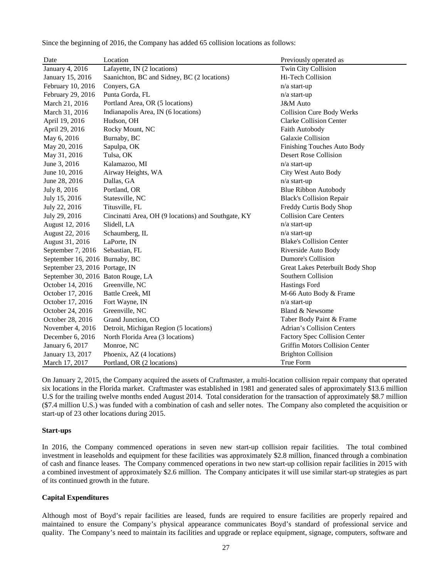| Since the beginning of 2016, the Company has added 65 collision locations as follows: |  |  |  |
|---------------------------------------------------------------------------------------|--|--|--|
|---------------------------------------------------------------------------------------|--|--|--|

| Date                               | Location                                            | Previously operated as                 |
|------------------------------------|-----------------------------------------------------|----------------------------------------|
| January 4, 2016                    | Lafayette, IN (2 locations)                         | Twin City Collision                    |
| January 15, 2016                   | Saanichton, BC and Sidney, BC (2 locations)         | Hi-Tech Collision                      |
| February 10, 2016                  | Conyers, GA                                         | $n/a$ start-up                         |
| February 29, 2016                  | Punta Gorda, FL                                     | n/a start-up                           |
| March 21, 2016                     | Portland Area, OR (5 locations)                     | J&M Auto                               |
| March 31, 2016                     | Indianapolis Area, IN (6 locations)                 | <b>Collision Cure Body Werks</b>       |
| April 19, 2016                     | Hudson, OH                                          | <b>Clarke Collision Center</b>         |
| April 29, 2016                     | Rocky Mount, NC                                     | Faith Autobody                         |
| May 6, 2016                        | Burnaby, BC                                         | <b>Galaxie Collision</b>               |
| May 20, 2016                       | Sapulpa, OK                                         | Finishing Touches Auto Body            |
| May 31, 2016                       | Tulsa, OK                                           | <b>Desert Rose Collision</b>           |
| June 3, 2016                       | Kalamazoo, MI                                       | $n/a$ start-up                         |
| June 10, 2016                      | Airway Heights, WA                                  | City West Auto Body                    |
| June 28, 2016                      | Dallas, GA                                          | $n/a$ start-up                         |
| July 8, 2016                       | Portland, OR                                        | <b>Blue Ribbon Autobody</b>            |
| July 15, 2016                      | Statesville, NC                                     | <b>Black's Collision Repair</b>        |
| July 22, 2016                      | Titusville, FL                                      | Freddy Curtis Body Shop                |
| July 29, 2016                      | Cincinatti Area, OH (9 locations) and Southgate, KY | <b>Collision Care Centers</b>          |
| August 12, 2016                    | Slidell, LA                                         | $n/a$ start-up                         |
| August 22, 2016                    | Schaumberg, IL                                      | n/a start-up                           |
| August 31, 2016                    | LaPorte, IN                                         | <b>Blake's Collision Center</b>        |
| September 7, 2016                  | Sebastian, FL                                       | Riverside Auto Body                    |
| September 16, 2016 Burnaby, BC     |                                                     | <b>Dumore's Collision</b>              |
| September 23, 2016 Portage, IN     |                                                     | Great Lakes Peterbuilt Body Shop       |
| September 30, 2016 Baton Rouge, LA |                                                     | Southern Collision                     |
| October 14, 2016                   | Greenville, NC                                      | <b>Hastings Ford</b>                   |
| October 17, 2016                   | Battle Creek, MI                                    | M-66 Auto Body & Frame                 |
| October 17, 2016                   | Fort Wayne, IN                                      | n/a start-up                           |
| October 24, 2016                   | Greenville, NC                                      | Bland & Newsome                        |
| October 28, 2016                   | Grand Junction, CO                                  | Taber Body Paint & Frame               |
| November 4, 2016                   | Detroit, Michigan Region (5 locations)              | <b>Adrian's Collision Centers</b>      |
| December 6, 2016                   | North Florida Area (3 locations)                    | Factory Spec Collision Center          |
| January 6, 2017                    | Monroe, NC                                          | <b>Griffin Motors Collision Center</b> |
| January 13, 2017                   | Phoenix, AZ (4 locations)                           | <b>Brighton Collision</b>              |
| March 17, 2017                     | Portland, OR (2 locations)                          | <b>True Form</b>                       |

On January 2, 2015, the Company acquired the assets of Craftmaster, a multi-location collision repair company that operated six locations in the Florida market. Craftmaster was established in 1981 and generated sales of approximately \$13.6 million U.S for the trailing twelve months ended August 2014. Total consideration for the transaction of approximately \$8.7 million (\$7.4 million U.S.) was funded with a combination of cash and seller notes. The Company also completed the acquisition or start-up of 23 other locations during 2015.

#### **Start-ups**

In 2016, the Company commenced operations in seven new start-up collision repair facilities. The total combined investment in leaseholds and equipment for these facilities was approximately \$2.8 million, financed through a combination of cash and finance leases. The Company commenced operations in two new start-up collision repair facilities in 2015 with a combined investment of approximately \$2.6 million. The Company anticipates it will use similar start-up strategies as part of its continued growth in the future.

#### **Capital Expenditures**

Although most of Boyd's repair facilities are leased, funds are required to ensure facilities are properly repaired and maintained to ensure the Company's physical appearance communicates Boyd's standard of professional service and quality. The Company's need to maintain its facilities and upgrade or replace equipment, signage, computers, software and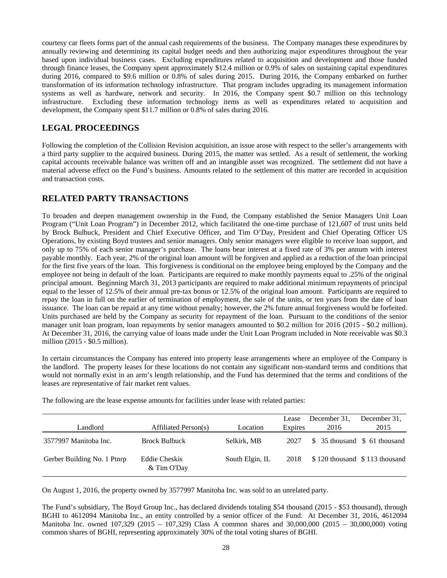courtesy car fleets forms part of the annual cash requirements of the business. The Company manages these expenditures by annually reviewing and determining its capital budget needs and then authorizing major expenditures throughout the year based upon individual business cases. Excluding expenditures related to acquisition and development and those funded through finance leases, the Company spent approximately \$12.4 million or 0.9% of sales on sustaining capital expenditures during 2016, compared to \$9.6 million or 0.8% of sales during 2015. During 2016, the Company embarked on further transformation of its information technology infrastructure. That program includes upgrading its management information systems as well as hardware, network and security. In 2016, the Company spent \$0.7 million on this technology infrastructure. Excluding these information technology items as well as expenditures related to acquisition and development, the Company spent \$11.7 million or 0.8% of sales during 2016.

## **LEGAL PROCEEDINGS**

Following the completion of the Collision Revision acquisition, an issue arose with respect to the seller's arrangements with a third party supplier to the acquired business. During 2015, the matter was settled. As a result of settlement, the working capital accounts receivable balance was written off and an intangible asset was recognized. The settlement did not have a material adverse effect on the Fund's business. Amounts related to the settlement of this matter are recorded in acquisition and transaction costs.

## **RELATED PARTY TRANSACTIONS**

To broaden and deepen management ownership in the Fund, the Company established the Senior Managers Unit Loan Program ("Unit Loan Program") in December 2012, which facilitated the one-time purchase of 121,607 of trust units held by Brock Bulbuck, President and Chief Executive Officer, and Tim O'Day, President and Chief Operating Officer US Operations, by existing Boyd trustees and senior managers. Only senior managers were eligible to receive loan support, and only up to 75% of each senior manager's purchase. The loans bear interest at a fixed rate of 3% per annum with interest payable monthly. Each year, 2% of the original loan amount will be forgiven and applied as a reduction of the loan principal for the first five years of the loan. This forgiveness is conditional on the employee being employed by the Company and the employee not being in default of the loan. Participants are required to make monthly payments equal to .25% of the original principal amount. Beginning March 31, 2013 participants are required to make additional minimum repayments of principal equal to the lesser of 12.5% of their annual pre-tax bonus or 12.5% of the original loan amount. Participants are required to repay the loan in full on the earlier of termination of employment, the sale of the units, or ten years from the date of loan issuance. The loan can be repaid at any time without penalty; however, the 2% future annual forgiveness would be forfeited. Units purchased are held by the Company as security for repayment of the loan. Pursuant to the conditions of the senior manager unit loan program, loan repayments by senior managers amounted to \$0.2 million for 2016 (2015 - \$0.2 million). At December 31, 2016, the carrying value of loans made under the Unit Loan Program included in Note receivable was \$0.3 million (2015 - \$0.5 million).

In certain circumstances the Company has entered into property lease arrangements where an employee of the Company is the landlord. The property leases for these locations do not contain any significant non-standard terms and conditions that would not normally exist in an arm's length relationship, and the Fund has determined that the terms and conditions of the leases are representative of fair market rent values.

|  | The following are the lease expense amounts for facilities under lease with related parties: |
|--|----------------------------------------------------------------------------------------------|
|  |                                                                                              |

| Landlord                    | Affiliated Person(s)         | Location        | Lease<br>Expires | December 31,<br>2016            | December 31.<br>2015 |
|-----------------------------|------------------------------|-----------------|------------------|---------------------------------|----------------------|
|                             | <b>Brock Bulbuck</b>         |                 | 2027             | \$ 35 thousand \$ 61 thousand   |                      |
| 3577997 Manitoba Inc.       |                              | Selkirk, MB     |                  |                                 |                      |
| Gerber Building No. 1 Ptnrp | Eddie Cheskis<br>& Tim O'Day | South Elgin, IL | 2018             | $$120$ thousand $$113$ thousand |                      |

On August 1, 2016, the property owned by 3577997 Manitoba Inc. was sold to an unrelated party.

The Fund's subsidiary, The Boyd Group Inc., has declared dividends totaling \$54 thousand (2015 - \$53 thousand), through BGHI to 4612094 Manitoba Inc., an entity controlled by a senior officer of the Fund. At December 31, 2016, 4612094 Manitoba Inc. owned 107,329 (2015 – 107,329) Class A common shares and 30,000,000 (2015 – 30,000,000) voting common shares of BGHI, representing approximately 30% of the total voting shares of BGHI.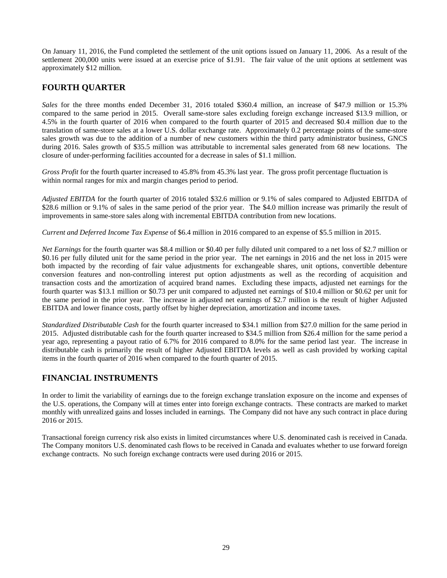On January 11, 2016, the Fund completed the settlement of the unit options issued on January 11, 2006. As a result of the settlement 200,000 units were issued at an exercise price of \$1.91. The fair value of the unit options at settlement was approximately \$12 million.

## **FOURTH QUARTER**

*Sales* for the three months ended December 31, 2016 totaled \$360.4 million, an increase of \$47.9 million or 15.3% compared to the same period in 2015. Overall same-store sales excluding foreign exchange increased \$13.9 million, or 4.5% in the fourth quarter of 2016 when compared to the fourth quarter of 2015 and decreased \$0.4 million due to the translation of same-store sales at a lower U.S. dollar exchange rate. Approximately 0.2 percentage points of the same-store sales growth was due to the addition of a number of new customers within the third party administrator business, GNCS during 2016. Sales growth of \$35.5 million was attributable to incremental sales generated from 68 new locations. The closure of under-performing facilities accounted for a decrease in sales of \$1.1 million.

*Gross Profit* for the fourth quarter increased to 45.8% from 45.3% last year. The gross profit percentage fluctuation is within normal ranges for mix and margin changes period to period.

*Adjusted EBITDA* for the fourth quarter of 2016 totaled \$32.6 million or 9.1% of sales compared to Adjusted EBITDA of \$28.6 million or 9.1% of sales in the same period of the prior year. The \$4.0 million increase was primarily the result of improvements in same-store sales along with incremental EBITDA contribution from new locations.

*Current and Deferred Income Tax Expense* of \$6.4 million in 2016 compared to an expense of \$5.5 million in 2015.

*Net Earnings* for the fourth quarter was \$8.4 million or \$0.40 per fully diluted unit compared to a net loss of \$2.7 million or \$0.16 per fully diluted unit for the same period in the prior year. The net earnings in 2016 and the net loss in 2015 were both impacted by the recording of fair value adjustments for exchangeable shares, unit options, convertible debenture conversion features and non-controlling interest put option adjustments as well as the recording of acquisition and transaction costs and the amortization of acquired brand names. Excluding these impacts, adjusted net earnings for the fourth quarter was \$13.1 million or \$0.73 per unit compared to adjusted net earnings of \$10.4 million or \$0.62 per unit for the same period in the prior year. The increase in adjusted net earnings of \$2.7 million is the result of higher Adjusted EBITDA and lower finance costs, partly offset by higher depreciation, amortization and income taxes.

*Standardized Distributable Cash* for the fourth quarter increased to \$34.1 million from \$27.0 million for the same period in 2015. Adjusted distributable cash for the fourth quarter increased to \$34.5 million from \$26.4 million for the same period a year ago, representing a payout ratio of 6.7% for 2016 compared to 8.0% for the same period last year. The increase in distributable cash is primarily the result of higher Adjusted EBITDA levels as well as cash provided by working capital items in the fourth quarter of 2016 when compared to the fourth quarter of 2015.

## **FINANCIAL INSTRUMENTS**

In order to limit the variability of earnings due to the foreign exchange translation exposure on the income and expenses of the U.S. operations, the Company will at times enter into foreign exchange contracts. These contracts are marked to market monthly with unrealized gains and losses included in earnings. The Company did not have any such contract in place during 2016 or 2015.

Transactional foreign currency risk also exists in limited circumstances where U.S. denominated cash is received in Canada. The Company monitors U.S. denominated cash flows to be received in Canada and evaluates whether to use forward foreign exchange contracts. No such foreign exchange contracts were used during 2016 or 2015.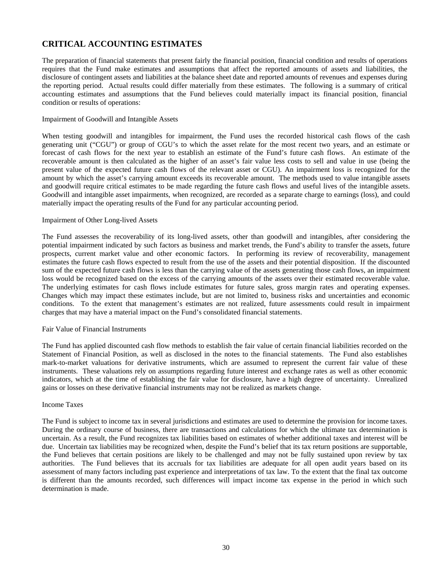## **CRITICAL ACCOUNTING ESTIMATES**

The preparation of financial statements that present fairly the financial position, financial condition and results of operations requires that the Fund make estimates and assumptions that affect the reported amounts of assets and liabilities, the disclosure of contingent assets and liabilities at the balance sheet date and reported amounts of revenues and expenses during the reporting period. Actual results could differ materially from these estimates. The following is a summary of critical accounting estimates and assumptions that the Fund believes could materially impact its financial position, financial condition or results of operations:

#### Impairment of Goodwill and Intangible Assets

When testing goodwill and intangibles for impairment, the Fund uses the recorded historical cash flows of the cash generating unit ("CGU") or group of CGU's to which the asset relate for the most recent two years, and an estimate or forecast of cash flows for the next year to establish an estimate of the Fund's future cash flows. An estimate of the recoverable amount is then calculated as the higher of an asset's fair value less costs to sell and value in use (being the present value of the expected future cash flows of the relevant asset or CGU). An impairment loss is recognized for the amount by which the asset's carrying amount exceeds its recoverable amount. The methods used to value intangible assets and goodwill require critical estimates to be made regarding the future cash flows and useful lives of the intangible assets. Goodwill and intangible asset impairments, when recognized, are recorded as a separate charge to earnings (loss), and could materially impact the operating results of the Fund for any particular accounting period.

#### Impairment of Other Long-lived Assets

The Fund assesses the recoverability of its long-lived assets, other than goodwill and intangibles, after considering the potential impairment indicated by such factors as business and market trends, the Fund's ability to transfer the assets, future prospects, current market value and other economic factors. In performing its review of recoverability, management estimates the future cash flows expected to result from the use of the assets and their potential disposition. If the discounted sum of the expected future cash flows is less than the carrying value of the assets generating those cash flows, an impairment loss would be recognized based on the excess of the carrying amounts of the assets over their estimated recoverable value. The underlying estimates for cash flows include estimates for future sales, gross margin rates and operating expenses. Changes which may impact these estimates include, but are not limited to, business risks and uncertainties and economic conditions. To the extent that management's estimates are not realized, future assessments could result in impairment charges that may have a material impact on the Fund's consolidated financial statements.

#### Fair Value of Financial Instruments

The Fund has applied discounted cash flow methods to establish the fair value of certain financial liabilities recorded on the Statement of Financial Position, as well as disclosed in the notes to the financial statements. The Fund also establishes mark-to-market valuations for derivative instruments, which are assumed to represent the current fair value of these instruments. These valuations rely on assumptions regarding future interest and exchange rates as well as other economic indicators, which at the time of establishing the fair value for disclosure, have a high degree of uncertainty. Unrealized gains or losses on these derivative financial instruments may not be realized as markets change.

#### Income Taxes

The Fund is subject to income tax in several jurisdictions and estimates are used to determine the provision for income taxes. During the ordinary course of business, there are transactions and calculations for which the ultimate tax determination is uncertain. As a result, the Fund recognizes tax liabilities based on estimates of whether additional taxes and interest will be due. Uncertain tax liabilities may be recognized when, despite the Fund's belief that its tax return positions are supportable, the Fund believes that certain positions are likely to be challenged and may not be fully sustained upon review by tax authorities. The Fund believes that its accruals for tax liabilities are adequate for all open audit years based on its assessment of many factors including past experience and interpretations of tax law. To the extent that the final tax outcome is different than the amounts recorded, such differences will impact income tax expense in the period in which such determination is made.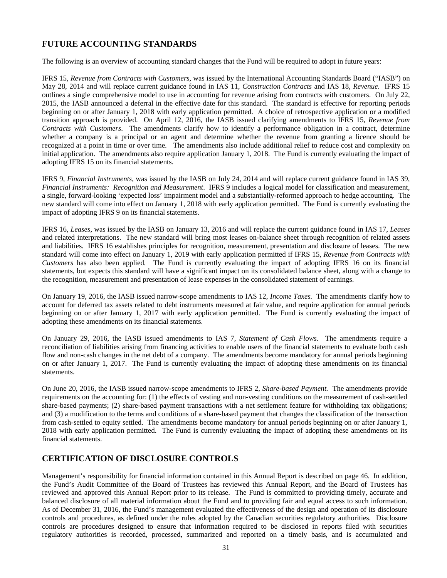## **FUTURE ACCOUNTING STANDARDS**

The following is an overview of accounting standard changes that the Fund will be required to adopt in future years:

IFRS 15, *Revenue from Contracts with Customers*, was issued by the International Accounting Standards Board ("IASB") on May 28, 2014 and will replace current guidance found in IAS 11, *Construction Contracts* and IAS 18, *Revenue*. IFRS 15 outlines a single comprehensive model to use in accounting for revenue arising from contracts with customers. On July 22, 2015, the IASB announced a deferral in the effective date for this standard. The standard is effective for reporting periods beginning on or after January 1, 2018 with early application permitted. A choice of retrospective application or a modified transition approach is provided. On April 12, 2016, the IASB issued clarifying amendments to IFRS 15, *Revenue from Contracts with Customers*. The amendments clarify how to identify a performance obligation in a contract, determine whether a company is a principal or an agent and determine whether the revenue from granting a licence should be recognized at a point in time or over time. The amendments also include additional relief to reduce cost and complexity on initial application. The amendments also require application January 1, 2018. The Fund is currently evaluating the impact of adopting IFRS 15 on its financial statements.

IFRS 9, *Financial Instruments*, was issued by the IASB on July 24, 2014 and will replace current guidance found in IAS 39, *Financial Instruments: Recognition and Measurement*. IFRS 9 includes a logical model for classification and measurement, a single, forward-looking 'expected loss' impairment model and a substantially-reformed approach to hedge accounting. The new standard will come into effect on January 1, 2018 with early application permitted. The Fund is currently evaluating the impact of adopting IFRS 9 on its financial statements.

IFRS 16, *Leases*, was issued by the IASB on January 13, 2016 and will replace the current guidance found in IAS 17, *Leases* and related interpretations. The new standard will bring most leases on-balance sheet through recognition of related assets and liabilities. IFRS 16 establishes principles for recognition, measurement, presentation and disclosure of leases. The new standard will come into effect on January 1, 2019 with early application permitted if IFRS 15, *Revenue from Contracts with Customers* has also been applied*.* The Fund is currently evaluating the impact of adopting IFRS 16 on its financial statements, but expects this standard will have a significant impact on its consolidated balance sheet, along with a change to the recognition, measurement and presentation of lease expenses in the consolidated statement of earnings.

On January 19, 2016, the IASB issued narrow-scope amendments to IAS 12, *Income Taxes.* The amendments clarify how to account for deferred tax assets related to debt instruments measured at fair value, and require application for annual periods beginning on or after January 1, 2017 with early application permitted. The Fund is currently evaluating the impact of adopting these amendments on its financial statements.

On January 29, 2016, the IASB issued amendments to IAS 7, *Statement of Cash Flows.* The amendments require a reconciliation of liabilities arising from financing activities to enable users of the financial statements to evaluate both cash flow and non-cash changes in the net debt of a company. The amendments become mandatory for annual periods beginning on or after January 1, 2017. The Fund is currently evaluating the impact of adopting these amendments on its financial statements.

On June 20, 2016, the IASB issued narrow-scope amendments to IFRS 2, *Share-based Payment.* The amendments provide requirements on the accounting for: (1) the effects of vesting and non-vesting conditions on the measurement of cash-settled share-based payments; (2) share-based payment transactions with a net settlement feature for withholding tax obligations; and (3) a modification to the terms and conditions of a share-based payment that changes the classification of the transaction from cash-settled to equity settled. The amendments become mandatory for annual periods beginning on or after January 1, 2018 with early application permitted. The Fund is currently evaluating the impact of adopting these amendments on its financial statements.

## **CERTIFICATION OF DISCLOSURE CONTROLS**

Management's responsibility for financial information contained in this Annual Report is described on page 46. In addition, the Fund's Audit Committee of the Board of Trustees has reviewed this Annual Report, and the Board of Trustees has reviewed and approved this Annual Report prior to its release. The Fund is committed to providing timely, accurate and balanced disclosure of all material information about the Fund and to providing fair and equal access to such information. As of December 31, 2016, the Fund's management evaluated the effectiveness of the design and operation of its disclosure controls and procedures, as defined under the rules adopted by the Canadian securities regulatory authorities. Disclosure controls are procedures designed to ensure that information required to be disclosed in reports filed with securities regulatory authorities is recorded, processed, summarized and reported on a timely basis, and is accumulated and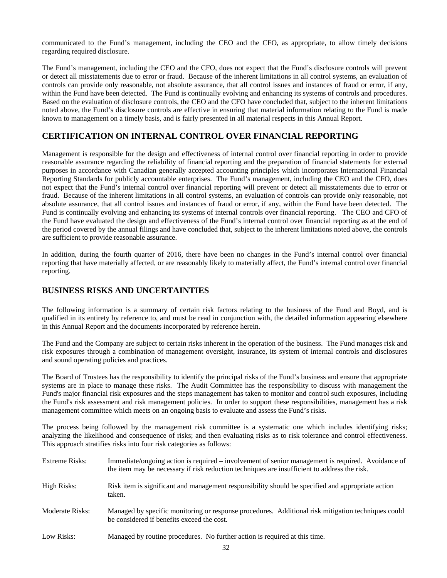communicated to the Fund's management, including the CEO and the CFO, as appropriate, to allow timely decisions regarding required disclosure.

The Fund's management, including the CEO and the CFO, does not expect that the Fund's disclosure controls will prevent or detect all misstatements due to error or fraud. Because of the inherent limitations in all control systems, an evaluation of controls can provide only reasonable, not absolute assurance, that all control issues and instances of fraud or error, if any, within the Fund have been detected. The Fund is continually evolving and enhancing its systems of controls and procedures. Based on the evaluation of disclosure controls, the CEO and the CFO have concluded that, subject to the inherent limitations noted above, the Fund's disclosure controls are effective in ensuring that material information relating to the Fund is made known to management on a timely basis, and is fairly presented in all material respects in this Annual Report.

## **CERTIFICATION ON INTERNAL CONTROL OVER FINANCIAL REPORTING**

Management is responsible for the design and effectiveness of internal control over financial reporting in order to provide reasonable assurance regarding the reliability of financial reporting and the preparation of financial statements for external purposes in accordance with Canadian generally accepted accounting principles which incorporates International Financial Reporting Standards for publicly accountable enterprises. The Fund's management, including the CEO and the CFO, does not expect that the Fund's internal control over financial reporting will prevent or detect all misstatements due to error or fraud. Because of the inherent limitations in all control systems, an evaluation of controls can provide only reasonable, not absolute assurance, that all control issues and instances of fraud or error, if any, within the Fund have been detected. The Fund is continually evolving and enhancing its systems of internal controls over financial reporting. The CEO and CFO of the Fund have evaluated the design and effectiveness of the Fund's internal control over financial reporting as at the end of the period covered by the annual filings and have concluded that, subject to the inherent limitations noted above, the controls are sufficient to provide reasonable assurance.

In addition, during the fourth quarter of 2016, there have been no changes in the Fund's internal control over financial reporting that have materially affected, or are reasonably likely to materially affect, the Fund's internal control over financial reporting.

## **BUSINESS RISKS AND UNCERTAINTIES**

The following information is a summary of certain risk factors relating to the business of the Fund and Boyd, and is qualified in its entirety by reference to, and must be read in conjunction with, the detailed information appearing elsewhere in this Annual Report and the documents incorporated by reference herein.

The Fund and the Company are subject to certain risks inherent in the operation of the business. The Fund manages risk and risk exposures through a combination of management oversight, insurance, its system of internal controls and disclosures and sound operating policies and practices.

The Board of Trustees has the responsibility to identify the principal risks of the Fund's business and ensure that appropriate systems are in place to manage these risks. The Audit Committee has the responsibility to discuss with management the Fund's major financial risk exposures and the steps management has taken to monitor and control such exposures, including the Fund's risk assessment and risk management policies. In order to support these responsibilities, management has a risk management committee which meets on an ongoing basis to evaluate and assess the Fund's risks.

The process being followed by the management risk committee is a systematic one which includes identifying risks; analyzing the likelihood and consequence of risks; and then evaluating risks as to risk tolerance and control effectiveness. This approach stratifies risks into four risk categories as follows:

| <b>Extreme Risks:</b> | Immediate/ongoing action is required – involvement of senior management is required. Avoidance of<br>the item may be necessary if risk reduction techniques are insufficient to address the risk. |
|-----------------------|---------------------------------------------------------------------------------------------------------------------------------------------------------------------------------------------------|
| High Risks:           | Risk item is significant and management responsibility should be specified and appropriate action<br>taken.                                                                                       |
| Moderate Risks:       | Managed by specific monitoring or response procedures. Additional risk mitigation techniques could<br>be considered if benefits exceed the cost.                                                  |
| Low Risks:            | Managed by routine procedures. No further action is required at this time.                                                                                                                        |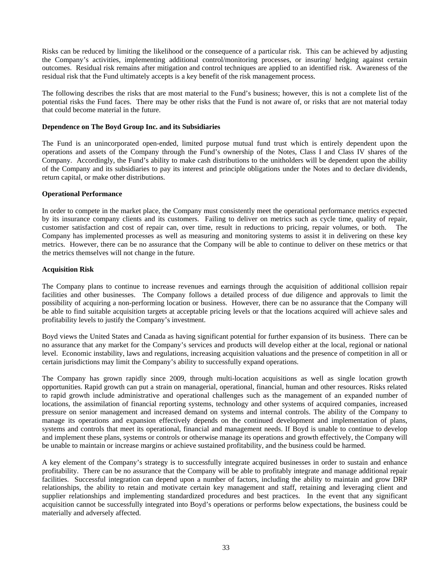Risks can be reduced by limiting the likelihood or the consequence of a particular risk. This can be achieved by adjusting the Company's activities, implementing additional control/monitoring processes, or insuring/ hedging against certain outcomes. Residual risk remains after mitigation and control techniques are applied to an identified risk. Awareness of the residual risk that the Fund ultimately accepts is a key benefit of the risk management process.

The following describes the risks that are most material to the Fund's business; however, this is not a complete list of the potential risks the Fund faces. There may be other risks that the Fund is not aware of, or risks that are not material today that could become material in the future.

#### **Dependence on The Boyd Group Inc. and its Subsidiaries**

The Fund is an unincorporated open-ended, limited purpose mutual fund trust which is entirely dependent upon the operations and assets of the Company through the Fund's ownership of the Notes, Class I and Class IV shares of the Company. Accordingly, the Fund's ability to make cash distributions to the unitholders will be dependent upon the ability of the Company and its subsidiaries to pay its interest and principle obligations under the Notes and to declare dividends, return capital, or make other distributions.

#### **Operational Performance**

In order to compete in the market place, the Company must consistently meet the operational performance metrics expected by its insurance company clients and its customers. Failing to deliver on metrics such as cycle time, quality of repair, customer satisfaction and cost of repair can, over time, result in reductions to pricing, repair volumes, or both. The Company has implemented processes as well as measuring and monitoring systems to assist it in delivering on these key metrics. However, there can be no assurance that the Company will be able to continue to deliver on these metrics or that the metrics themselves will not change in the future.

#### **Acquisition Risk**

The Company plans to continue to increase revenues and earnings through the acquisition of additional collision repair facilities and other businesses. The Company follows a detailed process of due diligence and approvals to limit the possibility of acquiring a non-performing location or business. However, there can be no assurance that the Company will be able to find suitable acquisition targets at acceptable pricing levels or that the locations acquired will achieve sales and profitability levels to justify the Company's investment.

Boyd views the United States and Canada as having significant potential for further expansion of its business. There can be no assurance that any market for the Company's services and products will develop either at the local, regional or national level. Economic instability, laws and regulations, increasing acquisition valuations and the presence of competition in all or certain jurisdictions may limit the Company's ability to successfully expand operations.

The Company has grown rapidly since 2009, through multi-location acquisitions as well as single location growth opportunities. Rapid growth can put a strain on managerial, operational, financial, human and other resources. Risks related to rapid growth include administrative and operational challenges such as the management of an expanded number of locations, the assimilation of financial reporting systems, technology and other systems of acquired companies, increased pressure on senior management and increased demand on systems and internal controls. The ability of the Company to manage its operations and expansion effectively depends on the continued development and implementation of plans, systems and controls that meet its operational, financial and management needs. If Boyd is unable to continue to develop and implement these plans, systems or controls or otherwise manage its operations and growth effectively, the Company will be unable to maintain or increase margins or achieve sustained profitability, and the business could be harmed.

A key element of the Company's strategy is to successfully integrate acquired businesses in order to sustain and enhance profitability. There can be no assurance that the Company will be able to profitably integrate and manage additional repair facilities. Successful integration can depend upon a number of factors, including the ability to maintain and grow DRP relationships, the ability to retain and motivate certain key management and staff, retaining and leveraging client and supplier relationships and implementing standardized procedures and best practices. In the event that any significant acquisition cannot be successfully integrated into Boyd's operations or performs below expectations, the business could be materially and adversely affected.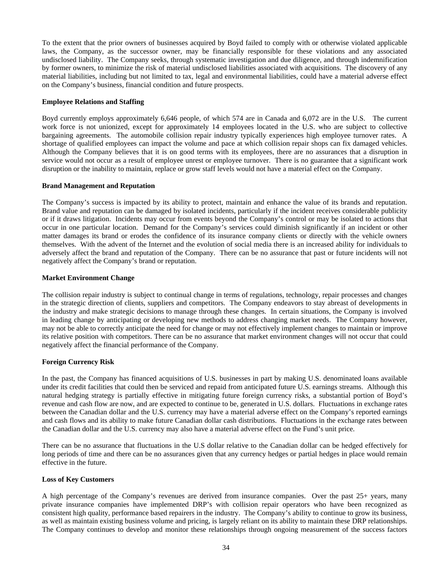To the extent that the prior owners of businesses acquired by Boyd failed to comply with or otherwise violated applicable laws, the Company, as the successor owner, may be financially responsible for these violations and any associated undisclosed liability. The Company seeks, through systematic investigation and due diligence, and through indemnification by former owners, to minimize the risk of material undisclosed liabilities associated with acquisitions. The discovery of any material liabilities, including but not limited to tax, legal and environmental liabilities, could have a material adverse effect on the Company's business, financial condition and future prospects.

#### **Employee Relations and Staffing**

Boyd currently employs approximately 6,646 people, of which 574 are in Canada and 6,072 are in the U.S. The current work force is not unionized, except for approximately 14 employees located in the U.S. who are subject to collective bargaining agreements. The automobile collision repair industry typically experiences high employee turnover rates. A shortage of qualified employees can impact the volume and pace at which collision repair shops can fix damaged vehicles. Although the Company believes that it is on good terms with its employees, there are no assurances that a disruption in service would not occur as a result of employee unrest or employee turnover. There is no guarantee that a significant work disruption or the inability to maintain, replace or grow staff levels would not have a material effect on the Company.

#### **Brand Management and Reputation**

The Company's success is impacted by its ability to protect, maintain and enhance the value of its brands and reputation. Brand value and reputation can be damaged by isolated incidents, particularly if the incident receives considerable publicity or if it draws litigation. Incidents may occur from events beyond the Company's control or may be isolated to actions that occur in one particular location. Demand for the Company's services could diminish significantly if an incident or other matter damages its brand or erodes the confidence of its insurance company clients or directly with the vehicle owners themselves. With the advent of the Internet and the evolution of social media there is an increased ability for individuals to adversely affect the brand and reputation of the Company. There can be no assurance that past or future incidents will not negatively affect the Company's brand or reputation.

#### **Market Environment Change**

The collision repair industry is subject to continual change in terms of regulations, technology, repair processes and changes in the strategic direction of clients, suppliers and competitors. The Company endeavors to stay abreast of developments in the industry and make strategic decisions to manage through these changes. In certain situations, the Company is involved in leading change by anticipating or developing new methods to address changing market needs. The Company however, may not be able to correctly anticipate the need for change or may not effectively implement changes to maintain or improve its relative position with competitors. There can be no assurance that market environment changes will not occur that could negatively affect the financial performance of the Company.

#### **Foreign Currency Risk**

In the past, the Company has financed acquisitions of U.S. businesses in part by making U.S. denominated loans available under its credit facilities that could then be serviced and repaid from anticipated future U.S. earnings streams. Although this natural hedging strategy is partially effective in mitigating future foreign currency risks, a substantial portion of Boyd's revenue and cash flow are now, and are expected to continue to be, generated in U.S. dollars. Fluctuations in exchange rates between the Canadian dollar and the U.S. currency may have a material adverse effect on the Company's reported earnings and cash flows and its ability to make future Canadian dollar cash distributions. Fluctuations in the exchange rates between the Canadian dollar and the U.S. currency may also have a material adverse effect on the Fund's unit price.

There can be no assurance that fluctuations in the U.S dollar relative to the Canadian dollar can be hedged effectively for long periods of time and there can be no assurances given that any currency hedges or partial hedges in place would remain effective in the future.

#### **Loss of Key Customers**

A high percentage of the Company's revenues are derived from insurance companies. Over the past 25+ years, many private insurance companies have implemented DRP's with collision repair operators who have been recognized as consistent high quality, performance based repairers in the industry. The Company's ability to continue to grow its business, as well as maintain existing business volume and pricing, is largely reliant on its ability to maintain these DRP relationships. The Company continues to develop and monitor these relationships through ongoing measurement of the success factors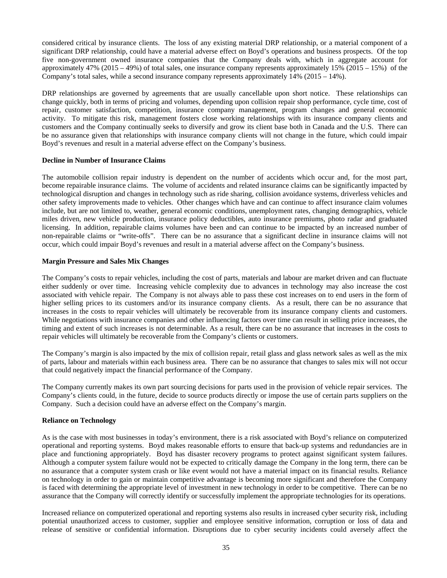considered critical by insurance clients. The loss of any existing material DRP relationship, or a material component of a significant DRP relationship, could have a material adverse effect on Boyd's operations and business prospects. Of the top five non-government owned insurance companies that the Company deals with, which in aggregate account for approximately  $47\%$  (2015 – 49%) of total sales, one insurance company represents approximately  $15\%$  (2015 – 15%) of the Company's total sales, while a second insurance company represents approximately  $14%$  (2015 – 14%).

DRP relationships are governed by agreements that are usually cancellable upon short notice. These relationships can change quickly, both in terms of pricing and volumes, depending upon collision repair shop performance, cycle time, cost of repair, customer satisfaction, competition, insurance company management, program changes and general economic activity. To mitigate this risk, management fosters close working relationships with its insurance company clients and customers and the Company continually seeks to diversify and grow its client base both in Canada and the U.S. There can be no assurance given that relationships with insurance company clients will not change in the future, which could impair Boyd's revenues and result in a material adverse effect on the Company's business.

#### **Decline in Number of Insurance Claims**

The automobile collision repair industry is dependent on the number of accidents which occur and, for the most part, become repairable insurance claims. The volume of accidents and related insurance claims can be significantly impacted by technological disruption and changes in technology such as ride sharing, collision avoidance systems, driverless vehicles and other safety improvements made to vehicles. Other changes which have and can continue to affect insurance claim volumes include, but are not limited to, weather, general economic conditions, unemployment rates, changing demographics, vehicle miles driven, new vehicle production, insurance policy deductibles, auto insurance premiums, photo radar and graduated licensing. In addition, repairable claims volumes have been and can continue to be impacted by an increased number of non-repairable claims or "write-offs". There can be no assurance that a significant decline in insurance claims will not occur, which could impair Boyd's revenues and result in a material adverse affect on the Company's business.

#### **Margin Pressure and Sales Mix Changes**

The Company's costs to repair vehicles, including the cost of parts, materials and labour are market driven and can fluctuate either suddenly or over time. Increasing vehicle complexity due to advances in technology may also increase the cost associated with vehicle repair. The Company is not always able to pass these cost increases on to end users in the form of higher selling prices to its customers and/or its insurance company clients. As a result, there can be no assurance that increases in the costs to repair vehicles will ultimately be recoverable from its insurance company clients and customers. While negotiations with insurance companies and other influencing factors over time can result in selling price increases, the timing and extent of such increases is not determinable. As a result, there can be no assurance that increases in the costs to repair vehicles will ultimately be recoverable from the Company's clients or customers.

The Company's margin is also impacted by the mix of collision repair, retail glass and glass network sales as well as the mix of parts, labour and materials within each business area. There can be no assurance that changes to sales mix will not occur that could negatively impact the financial performance of the Company.

The Company currently makes its own part sourcing decisions for parts used in the provision of vehicle repair services. The Company's clients could, in the future, decide to source products directly or impose the use of certain parts suppliers on the Company. Such a decision could have an adverse effect on the Company's margin.

#### **Reliance on Technology**

As is the case with most businesses in today's environment, there is a risk associated with Boyd's reliance on computerized operational and reporting systems. Boyd makes reasonable efforts to ensure that back-up systems and redundancies are in place and functioning appropriately. Boyd has disaster recovery programs to protect against significant system failures. Although a computer system failure would not be expected to critically damage the Company in the long term, there can be no assurance that a computer system crash or like event would not have a material impact on its financial results. Reliance on technology in order to gain or maintain competitive advantage is becoming more significant and therefore the Company is faced with determining the appropriate level of investment in new technology in order to be competitive. There can be no assurance that the Company will correctly identify or successfully implement the appropriate technologies for its operations.

Increased reliance on computerized operational and reporting systems also results in increased cyber security risk, including potential unauthorized access to customer, supplier and employee sensitive information, corruption or loss of data and release of sensitive or confidential information. Disruptions due to cyber security incidents could aversely affect the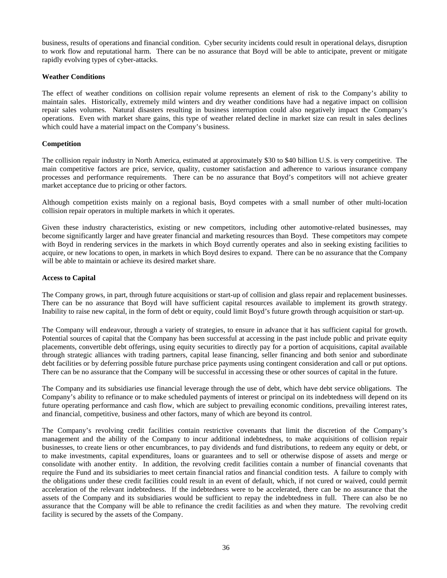business, results of operations and financial condition. Cyber security incidents could result in operational delays, disruption to work flow and reputational harm. There can be no assurance that Boyd will be able to anticipate, prevent or mitigate rapidly evolving types of cyber-attacks.

#### **Weather Conditions**

The effect of weather conditions on collision repair volume represents an element of risk to the Company's ability to maintain sales. Historically, extremely mild winters and dry weather conditions have had a negative impact on collision repair sales volumes. Natural disasters resulting in business interruption could also negatively impact the Company's operations. Even with market share gains, this type of weather related decline in market size can result in sales declines which could have a material impact on the Company's business.

#### **Competition**

The collision repair industry in North America, estimated at approximately \$30 to \$40 billion U.S. is very competitive. The main competitive factors are price, service, quality, customer satisfaction and adherence to various insurance company processes and performance requirements. There can be no assurance that Boyd's competitors will not achieve greater market acceptance due to pricing or other factors.

Although competition exists mainly on a regional basis, Boyd competes with a small number of other multi-location collision repair operators in multiple markets in which it operates.

Given these industry characteristics, existing or new competitors, including other automotive-related businesses, may become significantly larger and have greater financial and marketing resources than Boyd. These competitors may compete with Boyd in rendering services in the markets in which Boyd currently operates and also in seeking existing facilities to acquire, or new locations to open, in markets in which Boyd desires to expand. There can be no assurance that the Company will be able to maintain or achieve its desired market share.

#### **Access to Capital**

The Company grows, in part, through future acquisitions or start-up of collision and glass repair and replacement businesses. There can be no assurance that Boyd will have sufficient capital resources available to implement its growth strategy. Inability to raise new capital, in the form of debt or equity, could limit Boyd's future growth through acquisition or start-up.

The Company will endeavour, through a variety of strategies, to ensure in advance that it has sufficient capital for growth. Potential sources of capital that the Company has been successful at accessing in the past include public and private equity placements, convertible debt offerings, using equity securities to directly pay for a portion of acquisitions, capital available through strategic alliances with trading partners, capital lease financing, seller financing and both senior and subordinate debt facilities or by deferring possible future purchase price payments using contingent consideration and call or put options. There can be no assurance that the Company will be successful in accessing these or other sources of capital in the future.

The Company and its subsidiaries use financial leverage through the use of debt, which have debt service obligations. The Company's ability to refinance or to make scheduled payments of interest or principal on its indebtedness will depend on its future operating performance and cash flow, which are subject to prevailing economic conditions, prevailing interest rates, and financial, competitive, business and other factors, many of which are beyond its control.

The Company's revolving credit facilities contain restrictive covenants that limit the discretion of the Company's management and the ability of the Company to incur additional indebtedness, to make acquisitions of collision repair businesses, to create liens or other encumbrances, to pay dividends and fund distributions, to redeem any equity or debt, or to make investments, capital expenditures, loans or guarantees and to sell or otherwise dispose of assets and merge or consolidate with another entity. In addition, the revolving credit facilities contain a number of financial covenants that require the Fund and its subsidiaries to meet certain financial ratios and financial condition tests. A failure to comply with the obligations under these credit facilities could result in an event of default, which, if not cured or waived, could permit acceleration of the relevant indebtedness. If the indebtedness were to be accelerated, there can be no assurance that the assets of the Company and its subsidiaries would be sufficient to repay the indebtedness in full. There can also be no assurance that the Company will be able to refinance the credit facilities as and when they mature. The revolving credit facility is secured by the assets of the Company.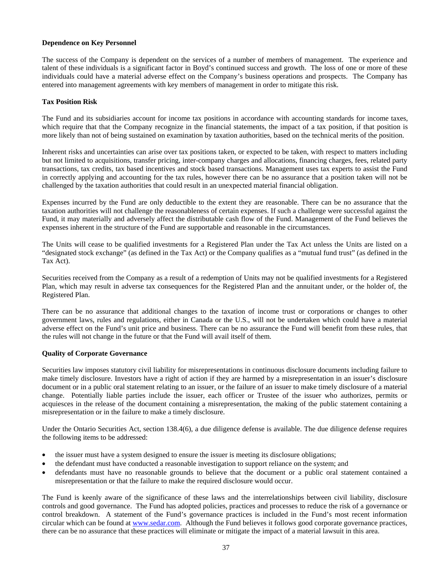### **Dependence on Key Personnel**

The success of the Company is dependent on the services of a number of members of management. The experience and talent of these individuals is a significant factor in Boyd's continued success and growth. The loss of one or more of these individuals could have a material adverse effect on the Company's business operations and prospects. The Company has entered into management agreements with key members of management in order to mitigate this risk.

### **Tax Position Risk**

The Fund and its subsidiaries account for income tax positions in accordance with accounting standards for income taxes, which require that that the Company recognize in the financial statements, the impact of a tax position, if that position is more likely than not of being sustained on examination by taxation authorities, based on the technical merits of the position.

Inherent risks and uncertainties can arise over tax positions taken, or expected to be taken, with respect to matters including but not limited to acquisitions, transfer pricing, inter-company charges and allocations, financing charges, fees, related party transactions, tax credits, tax based incentives and stock based transactions. Management uses tax experts to assist the Fund in correctly applying and accounting for the tax rules, however there can be no assurance that a position taken will not be challenged by the taxation authorities that could result in an unexpected material financial obligation.

Expenses incurred by the Fund are only deductible to the extent they are reasonable. There can be no assurance that the taxation authorities will not challenge the reasonableness of certain expenses. If such a challenge were successful against the Fund, it may materially and adversely affect the distributable cash flow of the Fund. Management of the Fund believes the expenses inherent in the structure of the Fund are supportable and reasonable in the circumstances.

The Units will cease to be qualified investments for a Registered Plan under the Tax Act unless the Units are listed on a "designated stock exchange" (as defined in the Tax Act) or the Company qualifies as a "mutual fund trust" (as defined in the Tax Act).

Securities received from the Company as a result of a redemption of Units may not be qualified investments for a Registered Plan, which may result in adverse tax consequences for the Registered Plan and the annuitant under, or the holder of, the Registered Plan.

There can be no assurance that additional changes to the taxation of income trust or corporations or changes to other government laws, rules and regulations, either in Canada or the U.S., will not be undertaken which could have a material adverse effect on the Fund's unit price and business. There can be no assurance the Fund will benefit from these rules, that the rules will not change in the future or that the Fund will avail itself of them.

### **Quality of Corporate Governance**

Securities law imposes statutory civil liability for misrepresentations in continuous disclosure documents including failure to make timely disclosure. Investors have a right of action if they are harmed by a misrepresentation in an issuer's disclosure document or in a public oral statement relating to an issuer, or the failure of an issuer to make timely disclosure of a material change. Potentially liable parties include the issuer, each officer or Trustee of the issuer who authorizes, permits or acquiesces in the release of the document containing a misrepresentation, the making of the public statement containing a misrepresentation or in the failure to make a timely disclosure.

Under the Ontario Securities Act, section 138.4(6), a due diligence defense is available. The due diligence defense requires the following items to be addressed:

- the issuer must have a system designed to ensure the issuer is meeting its disclosure obligations;
- the defendant must have conducted a reasonable investigation to support reliance on the system; and
- defendants must have no reasonable grounds to believe that the document or a public oral statement contained a misrepresentation or that the failure to make the required disclosure would occur.

The Fund is keenly aware of the significance of these laws and the interrelationships between civil liability, disclosure controls and good governance. The Fund has adopted policies, practices and processes to reduce the risk of a governance or control breakdown. A statement of the Fund's governance practices is included in the Fund's most recent information circular which can be found at www.sedar.com. Although the Fund believes it follows good corporate governance practices, there can be no assurance that these practices will eliminate or mitigate the impact of a material lawsuit in this area.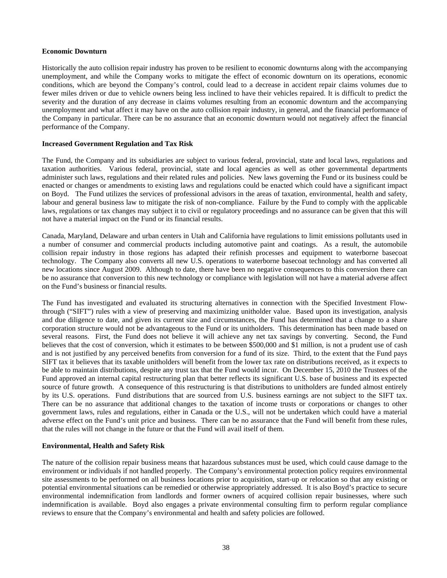#### **Economic Downturn**

Historically the auto collision repair industry has proven to be resilient to economic downturns along with the accompanying unemployment, and while the Company works to mitigate the effect of economic downturn on its operations, economic conditions, which are beyond the Company's control, could lead to a decrease in accident repair claims volumes due to fewer miles driven or due to vehicle owners being less inclined to have their vehicles repaired. It is difficult to predict the severity and the duration of any decrease in claims volumes resulting from an economic downturn and the accompanying unemployment and what affect it may have on the auto collision repair industry, in general, and the financial performance of the Company in particular. There can be no assurance that an economic downturn would not negatively affect the financial performance of the Company.

### **Increased Government Regulation and Tax Risk**

The Fund, the Company and its subsidiaries are subject to various federal, provincial, state and local laws, regulations and taxation authorities. Various federal, provincial, state and local agencies as well as other governmental departments administer such laws, regulations and their related rules and policies. New laws governing the Fund or its business could be enacted or changes or amendments to existing laws and regulations could be enacted which could have a significant impact on Boyd. The Fund utilizes the services of professional advisors in the areas of taxation, environmental, health and safety, labour and general business law to mitigate the risk of non-compliance. Failure by the Fund to comply with the applicable laws, regulations or tax changes may subject it to civil or regulatory proceedings and no assurance can be given that this will not have a material impact on the Fund or its financial results.

Canada, Maryland, Delaware and urban centers in Utah and California have regulations to limit emissions pollutants used in a number of consumer and commercial products including automotive paint and coatings. As a result, the automobile collision repair industry in those regions has adapted their refinish processes and equipment to waterborne basecoat technology. The Company also converts all new U.S. operations to waterborne basecoat technology and has converted all new locations since August 2009. Although to date, there have been no negative consequences to this conversion there can be no assurance that conversion to this new technology or compliance with legislation will not have a material adverse affect on the Fund's business or financial results.

The Fund has investigated and evaluated its structuring alternatives in connection with the Specified Investment Flowthrough ("SIFT") rules with a view of preserving and maximizing unitholder value. Based upon its investigation, analysis and due diligence to date, and given its current size and circumstances, the Fund has determined that a change to a share corporation structure would not be advantageous to the Fund or its unitholders. This determination has been made based on several reasons. First, the Fund does not believe it will achieve any net tax savings by converting. Second, the Fund believes that the cost of conversion, which it estimates to be between \$500,000 and \$1 million, is not a prudent use of cash and is not justified by any perceived benefits from conversion for a fund of its size. Third, to the extent that the Fund pays SIFT tax it believes that its taxable unitholders will benefit from the lower tax rate on distributions received, as it expects to be able to maintain distributions, despite any trust tax that the Fund would incur. On December 15, 2010 the Trustees of the Fund approved an internal capital restructuring plan that better reflects its significant U.S. base of business and its expected source of future growth. A consequence of this restructuring is that distributions to unitholders are funded almost entirely by its U.S. operations. Fund distributions that are sourced from U.S. business earnings are not subject to the SIFT tax. There can be no assurance that additional changes to the taxation of income trusts or corporations or changes to other government laws, rules and regulations, either in Canada or the U.S., will not be undertaken which could have a material adverse effect on the Fund's unit price and business. There can be no assurance that the Fund will benefit from these rules, that the rules will not change in the future or that the Fund will avail itself of them.

### **Environmental, Health and Safety Risk**

The nature of the collision repair business means that hazardous substances must be used, which could cause damage to the environment or individuals if not handled properly. The Company's environmental protection policy requires environmental site assessments to be performed on all business locations prior to acquisition, start-up or relocation so that any existing or potential environmental situations can be remedied or otherwise appropriately addressed. It is also Boyd's practice to secure environmental indemnification from landlords and former owners of acquired collision repair businesses, where such indemnification is available. Boyd also engages a private environmental consulting firm to perform regular compliance reviews to ensure that the Company's environmental and health and safety policies are followed.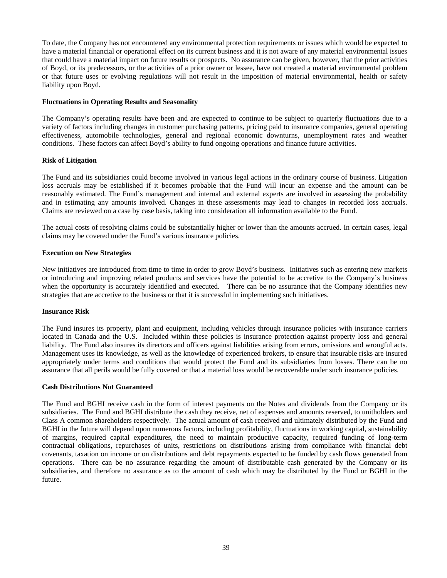To date, the Company has not encountered any environmental protection requirements or issues which would be expected to have a material financial or operational effect on its current business and it is not aware of any material environmental issues that could have a material impact on future results or prospects. No assurance can be given, however, that the prior activities of Boyd, or its predecessors, or the activities of a prior owner or lessee, have not created a material environmental problem or that future uses or evolving regulations will not result in the imposition of material environmental, health or safety liability upon Boyd.

### **Fluctuations in Operating Results and Seasonality**

The Company's operating results have been and are expected to continue to be subject to quarterly fluctuations due to a variety of factors including changes in customer purchasing patterns, pricing paid to insurance companies, general operating effectiveness, automobile technologies, general and regional economic downturns, unemployment rates and weather conditions. These factors can affect Boyd's ability to fund ongoing operations and finance future activities.

### **Risk of Litigation**

The Fund and its subsidiaries could become involved in various legal actions in the ordinary course of business. Litigation loss accruals may be established if it becomes probable that the Fund will incur an expense and the amount can be reasonably estimated. The Fund's management and internal and external experts are involved in assessing the probability and in estimating any amounts involved. Changes in these assessments may lead to changes in recorded loss accruals. Claims are reviewed on a case by case basis, taking into consideration all information available to the Fund.

The actual costs of resolving claims could be substantially higher or lower than the amounts accrued. In certain cases, legal claims may be covered under the Fund's various insurance policies.

### **Execution on New Strategies**

New initiatives are introduced from time to time in order to grow Boyd's business. Initiatives such as entering new markets or introducing and improving related products and services have the potential to be accretive to the Company's business when the opportunity is accurately identified and executed. There can be no assurance that the Company identifies new strategies that are accretive to the business or that it is successful in implementing such initiatives.

### **Insurance Risk**

The Fund insures its property, plant and equipment, including vehicles through insurance policies with insurance carriers located in Canada and the U.S. Included within these policies is insurance protection against property loss and general liability. The Fund also insures its directors and officers against liabilities arising from errors, omissions and wrongful acts. Management uses its knowledge, as well as the knowledge of experienced brokers, to ensure that insurable risks are insured appropriately under terms and conditions that would protect the Fund and its subsidiaries from losses. There can be no assurance that all perils would be fully covered or that a material loss would be recoverable under such insurance policies.

### **Cash Distributions Not Guaranteed**

The Fund and BGHI receive cash in the form of interest payments on the Notes and dividends from the Company or its subsidiaries. The Fund and BGHI distribute the cash they receive, net of expenses and amounts reserved, to unitholders and Class A common shareholders respectively. The actual amount of cash received and ultimately distributed by the Fund and BGHI in the future will depend upon numerous factors, including profitability, fluctuations in working capital, sustainability of margins, required capital expenditures, the need to maintain productive capacity, required funding of long-term contractual obligations, repurchases of units, restrictions on distributions arising from compliance with financial debt covenants, taxation on income or on distributions and debt repayments expected to be funded by cash flows generated from operations. There can be no assurance regarding the amount of distributable cash generated by the Company or its subsidiaries, and therefore no assurance as to the amount of cash which may be distributed by the Fund or BGHI in the future.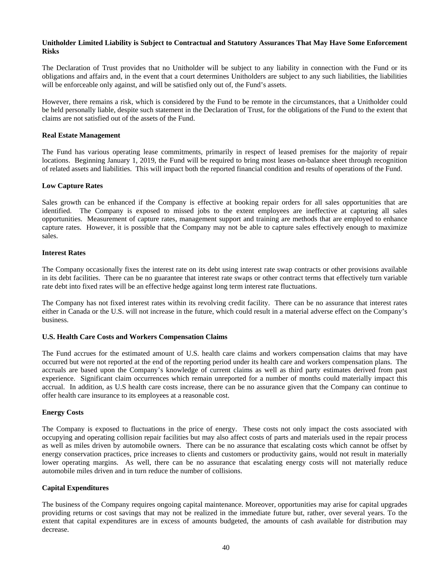### **Unitholder Limited Liability is Subject to Contractual and Statutory Assurances That May Have Some Enforcement Risks**

The Declaration of Trust provides that no Unitholder will be subject to any liability in connection with the Fund or its obligations and affairs and, in the event that a court determines Unitholders are subject to any such liabilities, the liabilities will be enforceable only against, and will be satisfied only out of, the Fund's assets.

However, there remains a risk, which is considered by the Fund to be remote in the circumstances, that a Unitholder could be held personally liable, despite such statement in the Declaration of Trust, for the obligations of the Fund to the extent that claims are not satisfied out of the assets of the Fund.

### **Real Estate Management**

The Fund has various operating lease commitments, primarily in respect of leased premises for the majority of repair locations. Beginning January 1, 2019, the Fund will be required to bring most leases on-balance sheet through recognition of related assets and liabilities. This will impact both the reported financial condition and results of operations of the Fund.

### **Low Capture Rates**

Sales growth can be enhanced if the Company is effective at booking repair orders for all sales opportunities that are identified. The Company is exposed to missed jobs to the extent employees are ineffective at capturing all sales opportunities. Measurement of capture rates, management support and training are methods that are employed to enhance capture rates. However, it is possible that the Company may not be able to capture sales effectively enough to maximize sales.

### **Interest Rates**

The Company occasionally fixes the interest rate on its debt using interest rate swap contracts or other provisions available in its debt facilities. There can be no guarantee that interest rate swaps or other contract terms that effectively turn variable rate debt into fixed rates will be an effective hedge against long term interest rate fluctuations.

The Company has not fixed interest rates within its revolving credit facility. There can be no assurance that interest rates either in Canada or the U.S. will not increase in the future, which could result in a material adverse effect on the Company's business.

### **U.S. Health Care Costs and Workers Compensation Claims**

The Fund accrues for the estimated amount of U.S. health care claims and workers compensation claims that may have occurred but were not reported at the end of the reporting period under its health care and workers compensation plans. The accruals are based upon the Company's knowledge of current claims as well as third party estimates derived from past experience. Significant claim occurrences which remain unreported for a number of months could materially impact this accrual. In addition, as U.S health care costs increase, there can be no assurance given that the Company can continue to offer health care insurance to its employees at a reasonable cost.

### **Energy Costs**

The Company is exposed to fluctuations in the price of energy. These costs not only impact the costs associated with occupying and operating collision repair facilities but may also affect costs of parts and materials used in the repair process as well as miles driven by automobile owners. There can be no assurance that escalating costs which cannot be offset by energy conservation practices, price increases to clients and customers or productivity gains, would not result in materially lower operating margins. As well, there can be no assurance that escalating energy costs will not materially reduce automobile miles driven and in turn reduce the number of collisions.

### **Capital Expenditures**

The business of the Company requires ongoing capital maintenance. Moreover, opportunities may arise for capital upgrades providing returns or cost savings that may not be realized in the immediate future but, rather, over several years. To the extent that capital expenditures are in excess of amounts budgeted, the amounts of cash available for distribution may decrease.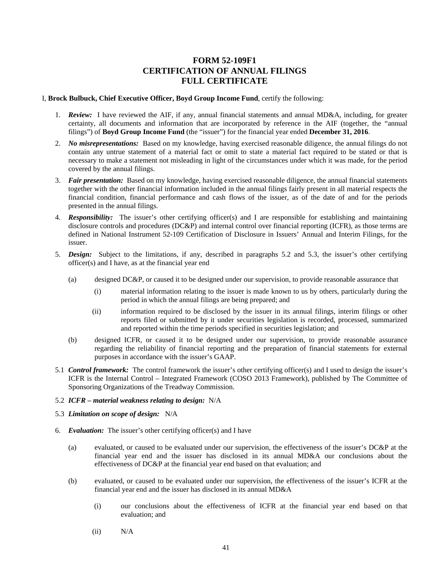### **FORM 52-109F1 CERTIFICATION OF ANNUAL FILINGS FULL CERTIFICATE**

### I, **Brock Bulbuck, Chief Executive Officer, Boyd Group Income Fund**, certify the following:

- 1. *Review:* I have reviewed the AIF, if any, annual financial statements and annual MD&A, including, for greater certainty, all documents and information that are incorporated by reference in the AIF (together, the "annual filings") of **Boyd Group Income Fund** (the "issuer") for the financial year ended **December 31, 2016**.
- 2. *No misrepresentations:* Based on my knowledge, having exercised reasonable diligence, the annual filings do not contain any untrue statement of a material fact or omit to state a material fact required to be stated or that is necessary to make a statement not misleading in light of the circumstances under which it was made, for the period covered by the annual filings.
- 3. *Fair presentation:* Based on my knowledge, having exercised reasonable diligence, the annual financial statements together with the other financial information included in the annual filings fairly present in all material respects the financial condition, financial performance and cash flows of the issuer, as of the date of and for the periods presented in the annual filings.
- 4. *Responsibility:* The issuer's other certifying officer(s) and I are responsible for establishing and maintaining disclosure controls and procedures (DC&P) and internal control over financial reporting (ICFR), as those terms are defined in National Instrument 52-109 Certification of Disclosure in Issuers' Annual and Interim Filings, for the issuer.
- 5. *Design:* Subject to the limitations, if any, described in paragraphs 5.2 and 5.3, the issuer's other certifying officer(s) and I have, as at the financial year end
	- (a) designed DC&P, or caused it to be designed under our supervision, to provide reasonable assurance that
		- (i) material information relating to the issuer is made known to us by others, particularly during the period in which the annual filings are being prepared; and
		- (ii) information required to be disclosed by the issuer in its annual filings, interim filings or other reports filed or submitted by it under securities legislation is recorded, processed, summarized and reported within the time periods specified in securities legislation; and
	- (b) designed ICFR, or caused it to be designed under our supervision, to provide reasonable assurance regarding the reliability of financial reporting and the preparation of financial statements for external purposes in accordance with the issuer's GAAP.
- 5.1 *Control framework:* The control framework the issuer's other certifying officer(s) and I used to design the issuer's ICFR is the Internal Control – Integrated Framework (COSO 2013 Framework), published by The Committee of Sponsoring Organizations of the Treadway Commission.

### 5.2 *ICFR – material weakness relating to design:* N/A

### 5.3 *Limitation on scope of design:* N/A

- 6. *Evaluation:* The issuer's other certifying officer(s) and I have
	- (a) evaluated, or caused to be evaluated under our supervision, the effectiveness of the issuer's DC&P at the financial year end and the issuer has disclosed in its annual MD&A our conclusions about the effectiveness of DC&P at the financial year end based on that evaluation; and
	- (b) evaluated, or caused to be evaluated under our supervision, the effectiveness of the issuer's ICFR at the financial year end and the issuer has disclosed in its annual MD&A
		- (i) our conclusions about the effectiveness of ICFR at the financial year end based on that evaluation; and
		- $(iii)$   $N/A$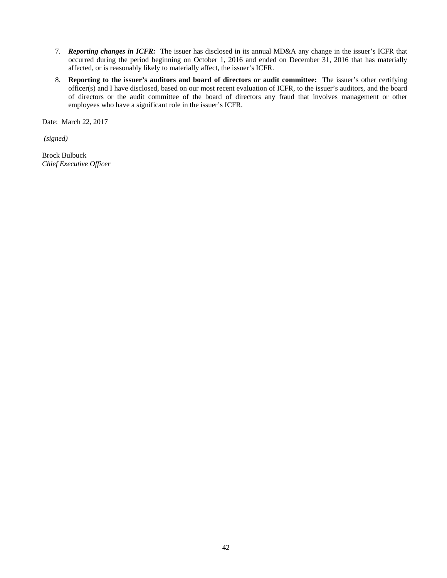- 7. *Reporting changes in ICFR:* The issuer has disclosed in its annual MD&A any change in the issuer's ICFR that occurred during the period beginning on October 1, 2016 and ended on December 31, 2016 that has materially affected, or is reasonably likely to materially affect, the issuer's ICFR.
- 8. **Reporting to the issuer's auditors and board of directors or audit committee:** The issuer's other certifying officer(s) and I have disclosed, based on our most recent evaluation of ICFR, to the issuer's auditors, and the board of directors or the audit committee of the board of directors any fraud that involves management or other employees who have a significant role in the issuer's ICFR.

Date: March 22, 2017

 *(signed)* 

Brock Bulbuck *Chief Executive Officer*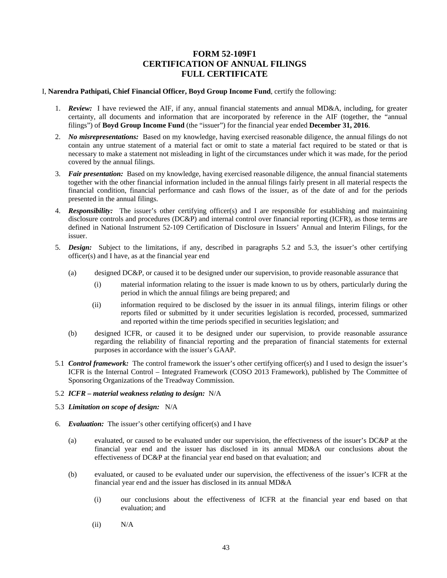### **FORM 52-109F1 CERTIFICATION OF ANNUAL FILINGS FULL CERTIFICATE**

### I, **Narendra Pathipati, Chief Financial Officer, Boyd Group Income Fund**, certify the following:

- 1. *Review:* I have reviewed the AIF, if any, annual financial statements and annual MD&A, including, for greater certainty, all documents and information that are incorporated by reference in the AIF (together, the "annual filings") of **Boyd Group Income Fund** (the "issuer") for the financial year ended **December 31, 2016**.
- 2. *No misrepresentations:* Based on my knowledge, having exercised reasonable diligence, the annual filings do not contain any untrue statement of a material fact or omit to state a material fact required to be stated or that is necessary to make a statement not misleading in light of the circumstances under which it was made, for the period covered by the annual filings.
- 3. *Fair presentation:* Based on my knowledge, having exercised reasonable diligence, the annual financial statements together with the other financial information included in the annual filings fairly present in all material respects the financial condition, financial performance and cash flows of the issuer, as of the date of and for the periods presented in the annual filings.
- 4. *Responsibility:* The issuer's other certifying officer(s) and I are responsible for establishing and maintaining disclosure controls and procedures (DC&P) and internal control over financial reporting (ICFR), as those terms are defined in National Instrument 52-109 Certification of Disclosure in Issuers' Annual and Interim Filings, for the issuer.
- 5. *Design:* Subject to the limitations, if any, described in paragraphs 5.2 and 5.3, the issuer's other certifying officer(s) and I have, as at the financial year end
	- (a) designed DC&P, or caused it to be designed under our supervision, to provide reasonable assurance that
		- (i) material information relating to the issuer is made known to us by others, particularly during the period in which the annual filings are being prepared; and
		- (ii) information required to be disclosed by the issuer in its annual filings, interim filings or other reports filed or submitted by it under securities legislation is recorded, processed, summarized and reported within the time periods specified in securities legislation; and
	- (b) designed ICFR, or caused it to be designed under our supervision, to provide reasonable assurance regarding the reliability of financial reporting and the preparation of financial statements for external purposes in accordance with the issuer's GAAP.
- 5.1 *Control framework:* The control framework the issuer's other certifying officer(s) and I used to design the issuer's ICFR is the Internal Control – Integrated Framework (COSO 2013 Framework), published by The Committee of Sponsoring Organizations of the Treadway Commission.

### 5.2 *ICFR – material weakness relating to design:* N/A

### 5.3 *Limitation on scope of design:* N/A

- 6. *Evaluation:* The issuer's other certifying officer(s) and I have
	- (a) evaluated, or caused to be evaluated under our supervision, the effectiveness of the issuer's DC&P at the financial year end and the issuer has disclosed in its annual MD&A our conclusions about the effectiveness of DC&P at the financial year end based on that evaluation; and
	- (b) evaluated, or caused to be evaluated under our supervision, the effectiveness of the issuer's ICFR at the financial year end and the issuer has disclosed in its annual MD&A
		- (i) our conclusions about the effectiveness of ICFR at the financial year end based on that evaluation; and
		- $(ii)$   $N/A$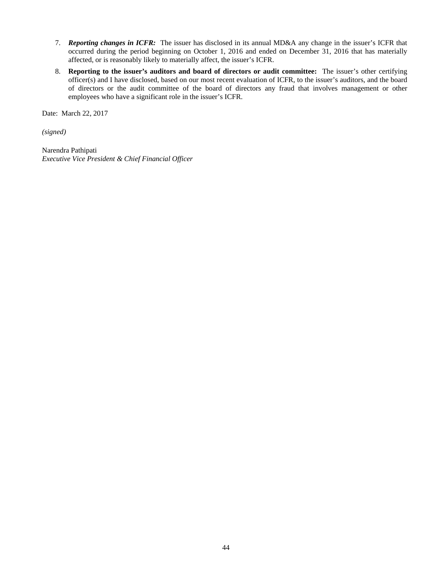- 7. *Reporting changes in ICFR:* The issuer has disclosed in its annual MD&A any change in the issuer's ICFR that occurred during the period beginning on October 1, 2016 and ended on December 31, 2016 that has materially affected, or is reasonably likely to materially affect, the issuer's ICFR.
- 8. **Reporting to the issuer's auditors and board of directors or audit committee:** The issuer's other certifying officer(s) and I have disclosed, based on our most recent evaluation of ICFR, to the issuer's auditors, and the board of directors or the audit committee of the board of directors any fraud that involves management or other employees who have a significant role in the issuer's ICFR.

Date: March 22, 2017

*(signed)* 

Narendra Pathipati *Executive Vice President & Chief Financial Officer*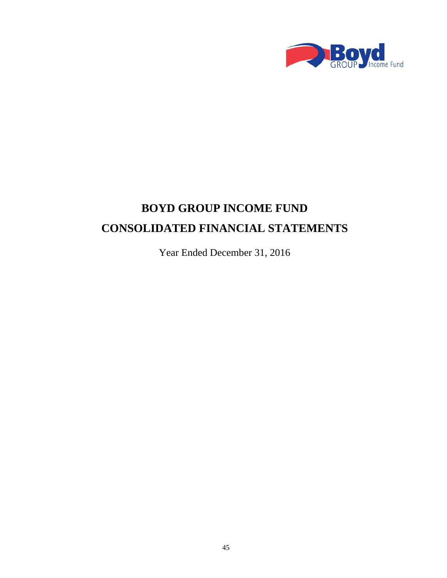

Year Ended December 31, 2016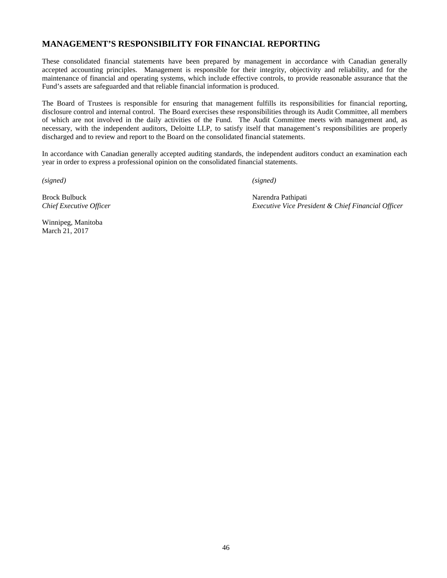### **MANAGEMENT'S RESPONSIBILITY FOR FINANCIAL REPORTING**

These consolidated financial statements have been prepared by management in accordance with Canadian generally accepted accounting principles. Management is responsible for their integrity, objectivity and reliability, and for the maintenance of financial and operating systems, which include effective controls, to provide reasonable assurance that the Fund's assets are safeguarded and that reliable financial information is produced.

The Board of Trustees is responsible for ensuring that management fulfills its responsibilities for financial reporting, disclosure control and internal control. The Board exercises these responsibilities through its Audit Committee, all members of which are not involved in the daily activities of the Fund. The Audit Committee meets with management and, as necessary, with the independent auditors, Deloitte LLP, to satisfy itself that management's responsibilities are properly discharged and to review and report to the Board on the consolidated financial statements.

In accordance with Canadian generally accepted auditing standards, the independent auditors conduct an examination each year in order to express a professional opinion on the consolidated financial statements.

*(signed) (signed)* 

Brock Bulbuck **Narendra Pathipati** Narendra Pathipati

**Chief Executive Officer Chief Executive Officer Executive Vice President & Chief Financial Officer** 

Winnipeg, Manitoba March 21, 2017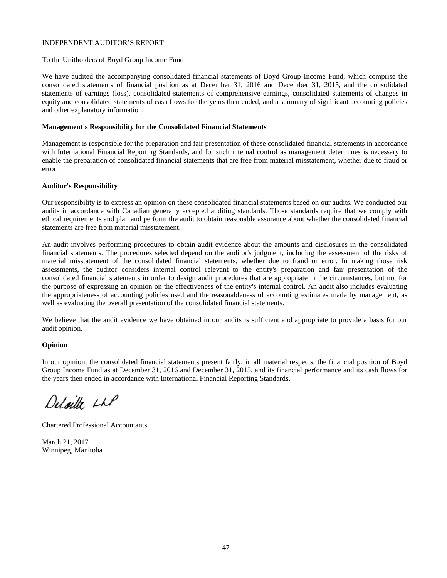### INDEPENDENT AUDITOR'S REPORT

#### To the Unitholders of Boyd Group Income Fund

We have audited the accompanying consolidated financial statements of Boyd Group Income Fund, which comprise the consolidated statements of financial position as at December 31, 2016 and December 31, 2015, and the consolidated statements of earnings (loss), consolidated statements of comprehensive earnings, consolidated statements of changes in equity and consolidated statements of cash flows for the years then ended, and a summary of significant accounting policies and other explanatory information.

#### **Management's Responsibility for the Consolidated Financial Statements**

Management is responsible for the preparation and fair presentation of these consolidated financial statements in accordance with International Financial Reporting Standards, and for such internal control as management determines is necessary to enable the preparation of consolidated financial statements that are free from material misstatement, whether due to fraud or error.

### **Auditor's Responsibility**

Our responsibility is to express an opinion on these consolidated financial statements based on our audits. We conducted our audits in accordance with Canadian generally accepted auditing standards. Those standards require that we comply with ethical requirements and plan and perform the audit to obtain reasonable assurance about whether the consolidated financial statements are free from material misstatement.

An audit involves performing procedures to obtain audit evidence about the amounts and disclosures in the consolidated financial statements. The procedures selected depend on the auditor's judgment, including the assessment of the risks of material misstatement of the consolidated financial statements, whether due to fraud or error. In making those risk assessments, the auditor considers internal control relevant to the entity's preparation and fair presentation of the consolidated financial statements in order to design audit procedures that are appropriate in the circumstances, but not for the purpose of expressing an opinion on the effectiveness of the entity's internal control. An audit also includes evaluating the appropriateness of accounting policies used and the reasonableness of accounting estimates made by management, as well as evaluating the overall presentation of the consolidated financial statements.

We believe that the audit evidence we have obtained in our audits is sufficient and appropriate to provide a basis for our audit opinion.

### **Opinion**

In our opinion, the consolidated financial statements present fairly, in all material respects, the financial position of Boyd Group Income Fund as at December 31, 2016 and December 31, 2015, and its financial performance and its cash flows for the years then ended in accordance with International Financial Reporting Standards.

Delaitte LLP

Chartered Professional Accountants

March 21, 2017 Winnipeg, Manitoba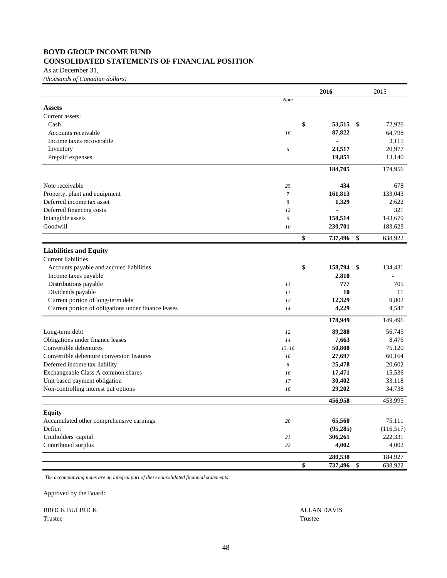### **BOYD GROUP INCOME FUND CONSOLIDATED STATEMENTS OF FINANCIAL POSITION**

As at December 31,

*(thousands of Canadian dollars)*

|                                                     |                  | 2016             |               | 2015       |
|-----------------------------------------------------|------------------|------------------|---------------|------------|
|                                                     | Note             |                  |               |            |
| <b>Assets</b>                                       |                  |                  |               |            |
| Current assets:                                     |                  |                  |               |            |
| Cash                                                |                  | \$<br>53,515     | \$            | 72,926     |
| Accounts receivable                                 | 16               | 87,822           |               | 64,798     |
| Income taxes recoverable                            |                  |                  |               | 3,115      |
| Inventory                                           | 6                | 23,517           |               | 20,977     |
| Prepaid expenses                                    |                  | 19,851           |               | 13,140     |
|                                                     |                  | 184,705          |               | 174,956    |
| Note receivable                                     | 25               | 434              |               | 678        |
| Property, plant and equipment                       | $\overline{7}$   | 161,813          |               | 133,043    |
| Deferred income tax asset                           | $\boldsymbol{8}$ | 1,329            |               | 2,622      |
| Deferred financing costs                            | 12               |                  |               | 321        |
| Intangible assets                                   | 9                | 158,514          |               | 143,679    |
| Goodwill                                            | 10               | 230,701          |               | 183,623    |
|                                                     |                  | \$<br>737,496    | $\mathcal{S}$ | 638,922    |
| <b>Liabilities and Equity</b>                       |                  |                  |               |            |
| Current liabilities:                                |                  |                  |               |            |
| Accounts payable and accrued liabilities            |                  | \$<br>158,794 \$ |               | 134,431    |
| Income taxes payable                                |                  | 2,810            |               |            |
| Distributions payable                               | II               | 777              |               | 705        |
| Dividends payable                                   | 11               | 10               |               | 11         |
| Current portion of long-term debt                   | 12               | 12,329           |               | 9,802      |
| Current portion of obligations under finance leases | 14               | 4,229            |               | 4,547      |
|                                                     |                  | 178,949          |               | 149,496    |
| Long-term debt                                      | 12               | 89,288           |               | 56,745     |
| Obligations under finance leases                    | 14               | 7,663            |               | 8,476      |
| Convertible debentures                              | 13, 16           | 50,808           |               | 75,120     |
| Convertible debenture conversion features           | 16               | 27,697           |               | 60,164     |
| Deferred income tax liability                       | 8                | 25,478           |               | 20,602     |
| Exchangeable Class A common shares                  | 16               | 17,471           |               | 15,536     |
| Unit based payment obligation                       | 17               | 30,402           |               | 33,118     |
| Non-controlling interest put options                | 16               | 29,202           |               | 34,738     |
|                                                     |                  | 456,958          |               | 453,995    |
| Equity                                              |                  |                  |               |            |
| Accumulated other comprehensive earnings            | 20               | 65,560           |               | 75,111     |
| Deficit                                             |                  | (95, 285)        |               | (116, 517) |
| Unitholders' capital                                | $2\sqrt{l}$      | 306,261          |               | 222,331    |
| Contributed surplus                                 | 22               | 4,002            |               | 4,002      |
|                                                     |                  | 280,538          |               | 184,927    |
|                                                     |                  | \$<br>737,496 \$ |               | 638,922    |

*The accompanying notes are an integral part of these consolidated financial statements*

Approved by the Board:

BROCK BULBUCK ALLAN DAVIS **Trustee** Trustee Trustee Trustee Trustee Trustee Trustee Trustee Trustee Trustee Trustee Trustee Trustee Trustee Trustee Trustee Trustee Trustee Trustee Trustee Trustee Trustee Trustee Trustee Trustee Trustee Trustee Trus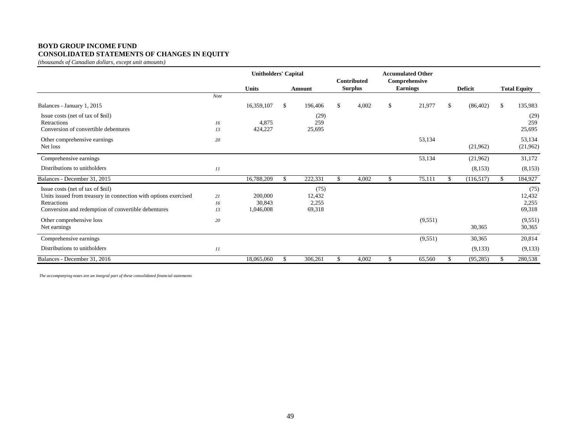### **BOYD GROUP INCOME FUND CONSOLIDATED STATEMENTS OF CHANGES IN EQUITY**

*(thousands of Canadian dollars, except unit amounts)*

|                                                                                                                                                                            |                |                                | <b>Unitholders' Capital</b> |                                   |    | <b>Contributed</b> |              | <b>Accumulated Other</b><br>Comprehensive |                 |    |                                   |
|----------------------------------------------------------------------------------------------------------------------------------------------------------------------------|----------------|--------------------------------|-----------------------------|-----------------------------------|----|--------------------|--------------|-------------------------------------------|-----------------|----|-----------------------------------|
|                                                                                                                                                                            |                | <b>Units</b>                   |                             | Amount                            |    | <b>Surplus</b>     |              | <b>Earnings</b>                           | <b>Deficit</b>  |    | <b>Total Equity</b>               |
|                                                                                                                                                                            | Note           |                                |                             |                                   |    |                    |              |                                           |                 |    |                                   |
| Balances - January 1, 2015                                                                                                                                                 |                | 16,359,107                     | S.                          | 196,406                           | -S | 4,002              | \$           | 21,977                                    | \$<br>(86, 402) | \$ | 135,983                           |
| Issue costs (net of tax of \$nil)<br>Retractions<br>Conversion of convertible debentures                                                                                   | 16<br>13       | 4,875<br>424,227               |                             | (29)<br>259<br>25,695             |    |                    |              |                                           |                 |    | (29)<br>259<br>25,695             |
| Other comprehensive earnings<br>Net loss                                                                                                                                   | 20             |                                |                             |                                   |    |                    |              | 53,134                                    | (21,962)        |    | 53,134<br>(21,962)                |
| Comprehensive earnings                                                                                                                                                     |                |                                |                             |                                   |    |                    |              | 53,134                                    | (21,962)        |    | 31,172                            |
| Distributions to unitholders                                                                                                                                               | 11             |                                |                             |                                   |    |                    |              |                                           | (8, 153)        |    | (8, 153)                          |
| Balances - December 31, 2015                                                                                                                                               |                | 16,788,209                     | \$                          | 222,331                           | \$ | 4,002              | $\mathbb{S}$ | 75,111                                    | \$<br>(116,517) | S. | 184,927                           |
| Issue costs (net of tax of \$nil)<br>Units issued from treasury in connection with options exercised<br>Retractions<br>Conversion and redemption of convertible debentures | 21<br>16<br>13 | 200,000<br>30,843<br>1,046,008 |                             | (75)<br>12,432<br>2,255<br>69,318 |    |                    |              |                                           |                 |    | (75)<br>12,432<br>2,255<br>69,318 |
| Other comprehensive loss<br>Net earnings                                                                                                                                   | 20             |                                |                             |                                   |    |                    |              | (9, 551)                                  | 30,365          |    | (9, 551)<br>30,365                |
| Comprehensive earnings                                                                                                                                                     |                |                                |                             |                                   |    |                    |              | (9, 551)                                  | 30,365          |    | 20,814                            |
| Distributions to unitholders                                                                                                                                               | 11             |                                |                             |                                   |    |                    |              |                                           | (9,133)         |    | (9,133)                           |
| Balances - December 31, 2016                                                                                                                                               |                | 18,065,060                     | \$                          | 306,261                           | \$ | 4,002              | \$           | 65,560                                    | \$<br>(95, 285) |    | 280,538                           |

*The accompanying notes are an integral part of these consolidated financial statements*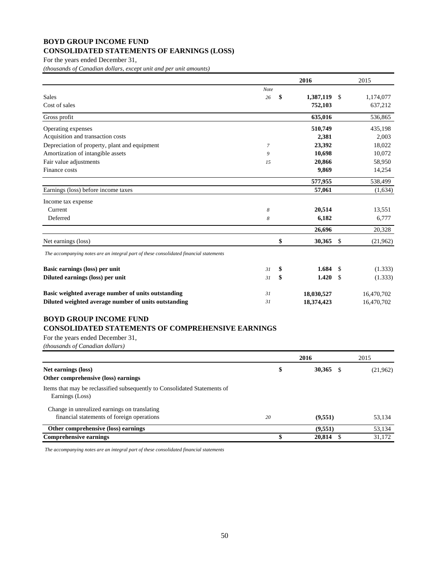### **BOYD GROUP INCOME FUND CONSOLIDATED STATEMENTS OF EARNINGS (LOSS)**

For the years ended December 31,

*(thousands of Canadian dollars, except unit and per unit amounts)*

|                                                                                           |                | 2016            |               | 2015       |
|-------------------------------------------------------------------------------------------|----------------|-----------------|---------------|------------|
|                                                                                           | Note           |                 |               |            |
| <b>Sales</b>                                                                              | 26             | \$<br>1,387,119 | -S            | 1,174,077  |
| Cost of sales                                                                             |                | 752,103         |               | 637,212    |
| Gross profit                                                                              |                | 635,016         |               | 536,865    |
| Operating expenses                                                                        |                | 510,749         |               | 435,198    |
| Acquisition and transaction costs                                                         |                | 2,381           |               | 2,003      |
| Depreciation of property, plant and equipment                                             | $\overline{7}$ | 23,392          |               | 18,022     |
| Amortization of intangible assets                                                         | 9              | 10,698          |               | 10,072     |
| Fair value adjustments                                                                    | 15             | 20,866          |               | 58,950     |
| Finance costs                                                                             |                | 9,869           |               | 14,254     |
|                                                                                           |                | 577,955         |               | 538,499    |
| Earnings (loss) before income taxes                                                       |                | 57,061          |               | (1,634)    |
| Income tax expense                                                                        |                |                 |               |            |
| Current                                                                                   | 8              | 20,514          |               | 13,551     |
| Deferred                                                                                  | 8              | 6,182           |               | 6,777      |
|                                                                                           |                | 26,696          |               | 20,328     |
| Net earnings (loss)                                                                       |                | \$<br>30,365    | $\mathbb{S}$  | (21,962)   |
| The accompanying notes are an integral part of these consolidated financial statements    |                |                 |               |            |
| Basic earnings (loss) per unit                                                            | 31             | \$<br>1.684     | <sup>\$</sup> | (1.333)    |
| Diluted earnings (loss) per unit                                                          | 31             | \$<br>1.420     | $\mathbf{s}$  | (1.333)    |
| Basic weighted average number of units outstanding                                        | 31             | 18,030,527      |               | 16,470,702 |
| Diluted weighted average number of units outstanding                                      | 31             | 18,374,423      |               | 16,470,702 |
| <b>BOYD GROUP INCOME FUND</b><br><b>CONSOLIDATED STATEMENTS OF COMPREHENSIVE EARNINGS</b> |                |                 |               |            |

For the years ended December 31, *(thousands of Canadian dollars)*

|                                                                                              |    | 2016        | 2015     |
|----------------------------------------------------------------------------------------------|----|-------------|----------|
| Net earnings (loss)<br>Other comprehensive (loss) earnings                                   | \$ | $30,365$ \$ | (21,962) |
| Items that may be reclassified subsequently to Consolidated Statements of<br>Earnings (Loss) |    |             |          |
| Change in unrealized earnings on translating<br>financial statements of foreign operations   | 20 | (9,551)     | 53,134   |
| Other comprehensive (loss) earnings                                                          |    | (9,551)     | 53,134   |
| <b>Comprehensive earnings</b>                                                                |    | $20,814$ \$ | 31,172   |

*The accompanying notes are an integral part of these consolidated financial statements*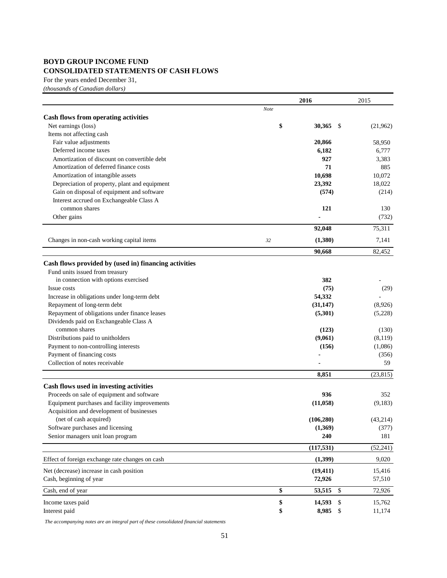### **BOYD GROUP INCOME FUND CONSOLIDATED STATEMENTS OF CASH FLOWS**

For the years ended December 31, *(thousands of Canadian dollars)*

|                                                       |      | 2016           | 2015        |
|-------------------------------------------------------|------|----------------|-------------|
|                                                       | Note |                |             |
| <b>Cash flows from operating activities</b>           |      |                |             |
| Net earnings (loss)                                   | \$   | 30,365<br>- \$ | (21,962)    |
| Items not affecting cash                              |      |                |             |
| Fair value adjustments                                |      | 20,866         | 58,950      |
| Deferred income taxes                                 |      | 6,182          | 6,777       |
| Amortization of discount on convertible debt          |      | 927            | 3,383       |
| Amortization of deferred finance costs                |      | 71             | 885         |
| Amortization of intangible assets                     |      | 10,698         | 10.072      |
| Depreciation of property, plant and equipment         |      | 23,392         | 18,022      |
| Gain on disposal of equipment and software            |      | (574)          | (214)       |
| Interest accrued on Exchangeable Class A              |      |                |             |
| common shares                                         |      | 121            | 130         |
| Other gains                                           |      |                | (732)       |
|                                                       |      | 92,048         | 75,311      |
| Changes in non-cash working capital items             | 32   | (1,380)        | 7,141       |
|                                                       |      | 90,668         | 82,452      |
| Cash flows provided by (used in) financing activities |      |                |             |
| Fund units issued from treasury                       |      |                |             |
| in connection with options exercised                  |      | 382            |             |
| Issue costs                                           |      | (75)           | (29)        |
| Increase in obligations under long-term debt          |      | 54,332         |             |
| Repayment of long-term debt                           |      | (31, 147)      | (8,926)     |
| Repayment of obligations under finance leases         |      | (5,301)        | (5,228)     |
| Dividends paid on Exchangeable Class A                |      |                |             |
| common shares                                         |      | (123)          | (130)       |
| Distributions paid to unitholders                     |      | (9,061)        | (8,119)     |
| Payment to non-controlling interests                  |      | (156)          | (1,086)     |
| Payment of financing costs                            |      |                |             |
| Collection of notes receivable                        |      |                | (356)<br>59 |
|                                                       |      | 8,851          | (23, 815)   |
|                                                       |      |                |             |
| Cash flows used in investing activities               |      |                |             |
| Proceeds on sale of equipment and software            |      | 936            | 352         |
| Equipment purchases and facility improvements         |      | (11,058)       | (9,183)     |
| Acquisition and development of businesses             |      |                |             |
| (net of cash acquired)                                |      | (106, 280)     | (43, 214)   |
| Software purchases and licensing                      |      | (1,369)        | (377)       |
| Senior managers unit loan program                     |      | 240            | 181         |
|                                                       |      | (117, 531)     | (52, 241)   |
| Effect of foreign exchange rate changes on cash       |      | (1,399)        | 9,020       |
| Net (decrease) increase in cash position              |      | (19, 411)      | 15,416      |
| Cash, beginning of year                               |      | 72,926         | 57,510      |
| Cash, end of year                                     | \$   | 53,515<br>\$   | 72,926      |
| Income taxes paid                                     | \$   | 14,593<br>\$   | 15,762      |
| Interest paid                                         | \$   | 8,985<br>\$    | 11,174      |

*The accompanying notes are an integral part of these consolidated financial statements*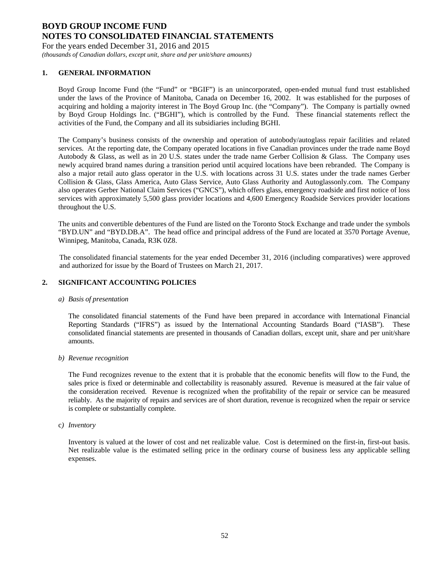For the years ended December 31, 2016 and 2015

*(thousands of Canadian dollars, except unit, share and per unit/share amounts)* 

### **1. GENERAL INFORMATION**

Boyd Group Income Fund (the "Fund" or "BGIF") is an unincorporated, open-ended mutual fund trust established under the laws of the Province of Manitoba, Canada on December 16, 2002. It was established for the purposes of acquiring and holding a majority interest in The Boyd Group Inc. (the "Company"). The Company is partially owned by Boyd Group Holdings Inc. ("BGHI"), which is controlled by the Fund. These financial statements reflect the activities of the Fund, the Company and all its subsidiaries including BGHI.

The Company's business consists of the ownership and operation of autobody/autoglass repair facilities and related services. At the reporting date, the Company operated locations in five Canadian provinces under the trade name Boyd Autobody & Glass, as well as in 20 U.S. states under the trade name Gerber Collision & Glass. The Company uses newly acquired brand names during a transition period until acquired locations have been rebranded. The Company is also a major retail auto glass operator in the U.S. with locations across 31 U.S. states under the trade names Gerber Collision & Glass, Glass America, Auto Glass Service, Auto Glass Authority and Autoglassonly.com. The Company also operates Gerber National Claim Services ("GNCS"), which offers glass, emergency roadside and first notice of loss services with approximately 5,500 glass provider locations and 4,600 Emergency Roadside Services provider locations throughout the U.S.

The units and convertible debentures of the Fund are listed on the Toronto Stock Exchange and trade under the symbols "BYD.UN" and "BYD.DB.A". The head office and principal address of the Fund are located at 3570 Portage Avenue, Winnipeg, Manitoba, Canada, R3K 0Z8.

The consolidated financial statements for the year ended December 31, 2016 (including comparatives) were approved and authorized for issue by the Board of Trustees on March 21, 2017.

### **2. SIGNIFICANT ACCOUNTING POLICIES**

### *a) Basis of presentation*

The consolidated financial statements of the Fund have been prepared in accordance with International Financial Reporting Standards ("IFRS") as issued by the International Accounting Standards Board ("IASB"). These consolidated financial statements are presented in thousands of Canadian dollars, except unit, share and per unit/share amounts.

### *b) Revenue recognition*

The Fund recognizes revenue to the extent that it is probable that the economic benefits will flow to the Fund, the sales price is fixed or determinable and collectability is reasonably assured. Revenue is measured at the fair value of the consideration received. Revenue is recognized when the profitability of the repair or service can be measured reliably. As the majority of repairs and services are of short duration, revenue is recognized when the repair or service is complete or substantially complete.

c*) Inventory* 

Inventory is valued at the lower of cost and net realizable value. Cost is determined on the first-in, first-out basis. Net realizable value is the estimated selling price in the ordinary course of business less any applicable selling expenses.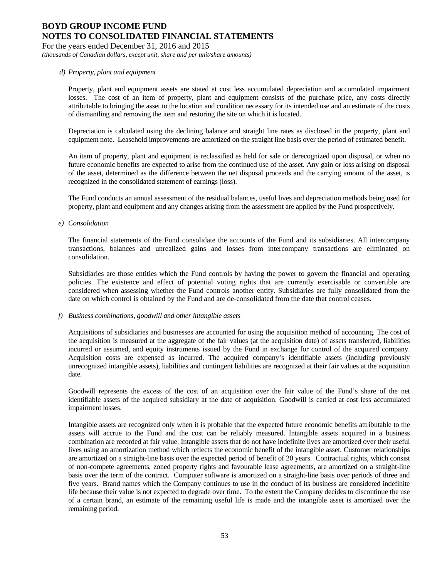For the years ended December 31, 2016 and 2015

*(thousands of Canadian dollars, except unit, share and per unit/share amounts)* 

#### *d) Property, plant and equipment*

Property, plant and equipment assets are stated at cost less accumulated depreciation and accumulated impairment losses. The cost of an item of property, plant and equipment consists of the purchase price, any costs directly attributable to bringing the asset to the location and condition necessary for its intended use and an estimate of the costs of dismantling and removing the item and restoring the site on which it is located.

Depreciation is calculated using the declining balance and straight line rates as disclosed in the property, plant and equipment note. Leasehold improvements are amortized on the straight line basis over the period of estimated benefit.

An item of property, plant and equipment is reclassified as held for sale or derecognized upon disposal, or when no future economic benefits are expected to arise from the continued use of the asset. Any gain or loss arising on disposal of the asset, determined as the difference between the net disposal proceeds and the carrying amount of the asset, is recognized in the consolidated statement of earnings (loss).

The Fund conducts an annual assessment of the residual balances, useful lives and depreciation methods being used for property, plant and equipment and any changes arising from the assessment are applied by the Fund prospectively.

#### *e) Consolidation*

The financial statements of the Fund consolidate the accounts of the Fund and its subsidiaries. All intercompany transactions, balances and unrealized gains and losses from intercompany transactions are eliminated on consolidation.

Subsidiaries are those entities which the Fund controls by having the power to govern the financial and operating policies. The existence and effect of potential voting rights that are currently exercisable or convertible are considered when assessing whether the Fund controls another entity. Subsidiaries are fully consolidated from the date on which control is obtained by the Fund and are de-consolidated from the date that control ceases.

### *f) Business combinations, goodwill and other intangible assets*

Acquisitions of subsidiaries and businesses are accounted for using the acquisition method of accounting. The cost of the acquisition is measured at the aggregate of the fair values (at the acquisition date) of assets transferred, liabilities incurred or assumed, and equity instruments issued by the Fund in exchange for control of the acquired company. Acquisition costs are expensed as incurred. The acquired company's identifiable assets (including previously unrecognized intangible assets), liabilities and contingent liabilities are recognized at their fair values at the acquisition date.

Goodwill represents the excess of the cost of an acquisition over the fair value of the Fund's share of the net identifiable assets of the acquired subsidiary at the date of acquisition. Goodwill is carried at cost less accumulated impairment losses.

Intangible assets are recognized only when it is probable that the expected future economic benefits attributable to the assets will accrue to the Fund and the cost can be reliably measured. Intangible assets acquired in a business combination are recorded at fair value. Intangible assets that do not have indefinite lives are amortized over their useful lives using an amortization method which reflects the economic benefit of the intangible asset. Customer relationships are amortized on a straight-line basis over the expected period of benefit of 20 years. Contractual rights, which consist of non-compete agreements, zoned property rights and favourable lease agreements, are amortized on a straight-line basis over the term of the contract. Computer software is amortized on a straight-line basis over periods of three and five years. Brand names which the Company continues to use in the conduct of its business are considered indefinite life because their value is not expected to degrade over time. To the extent the Company decides to discontinue the use of a certain brand, an estimate of the remaining useful life is made and the intangible asset is amortized over the remaining period.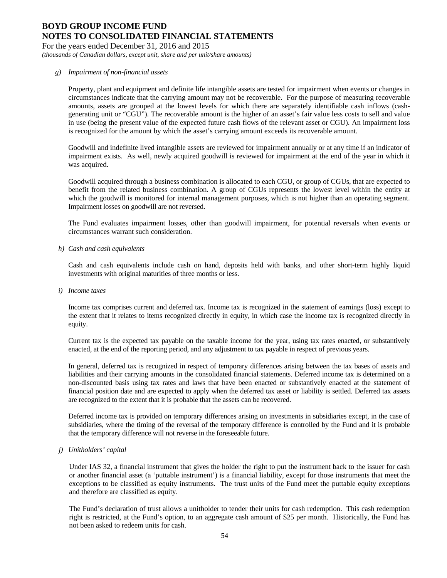For the years ended December 31, 2016 and 2015

*(thousands of Canadian dollars, except unit, share and per unit/share amounts)* 

#### *g) Impairment of non-financial assets*

Property, plant and equipment and definite life intangible assets are tested for impairment when events or changes in circumstances indicate that the carrying amount may not be recoverable. For the purpose of measuring recoverable amounts, assets are grouped at the lowest levels for which there are separately identifiable cash inflows (cashgenerating unit or "CGU"). The recoverable amount is the higher of an asset's fair value less costs to sell and value in use (being the present value of the expected future cash flows of the relevant asset or CGU). An impairment loss is recognized for the amount by which the asset's carrying amount exceeds its recoverable amount.

Goodwill and indefinite lived intangible assets are reviewed for impairment annually or at any time if an indicator of impairment exists. As well, newly acquired goodwill is reviewed for impairment at the end of the year in which it was acquired.

Goodwill acquired through a business combination is allocated to each CGU, or group of CGUs, that are expected to benefit from the related business combination. A group of CGUs represents the lowest level within the entity at which the goodwill is monitored for internal management purposes, which is not higher than an operating segment. Impairment losses on goodwill are not reversed.

The Fund evaluates impairment losses, other than goodwill impairment, for potential reversals when events or circumstances warrant such consideration.

#### *h) Cash and cash equivalents*

Cash and cash equivalents include cash on hand, deposits held with banks, and other short-term highly liquid investments with original maturities of three months or less.

#### *i) Income taxes*

Income tax comprises current and deferred tax. Income tax is recognized in the statement of earnings (loss) except to the extent that it relates to items recognized directly in equity, in which case the income tax is recognized directly in equity.

Current tax is the expected tax payable on the taxable income for the year, using tax rates enacted, or substantively enacted, at the end of the reporting period, and any adjustment to tax payable in respect of previous years.

In general, deferred tax is recognized in respect of temporary differences arising between the tax bases of assets and liabilities and their carrying amounts in the consolidated financial statements. Deferred income tax is determined on a non-discounted basis using tax rates and laws that have been enacted or substantively enacted at the statement of financial position date and are expected to apply when the deferred tax asset or liability is settled. Deferred tax assets are recognized to the extent that it is probable that the assets can be recovered.

Deferred income tax is provided on temporary differences arising on investments in subsidiaries except, in the case of subsidiaries, where the timing of the reversal of the temporary difference is controlled by the Fund and it is probable that the temporary difference will not reverse in the foreseeable future.

### *j) Unitholders' capital*

Under IAS 32, a financial instrument that gives the holder the right to put the instrument back to the issuer for cash or another financial asset (a 'puttable instrument') is a financial liability, except for those instruments that meet the exceptions to be classified as equity instruments. The trust units of the Fund meet the puttable equity exceptions and therefore are classified as equity.

The Fund's declaration of trust allows a unitholder to tender their units for cash redemption. This cash redemption right is restricted, at the Fund's option, to an aggregate cash amount of \$25 per month. Historically, the Fund has not been asked to redeem units for cash.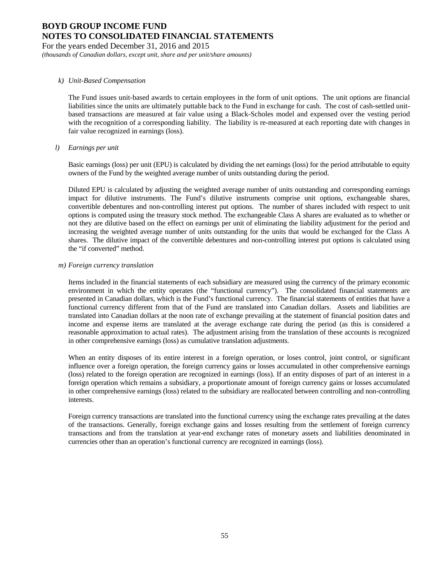For the years ended December 31, 2016 and 2015

*(thousands of Canadian dollars, except unit, share and per unit/share amounts)* 

#### *k) Unit-Based Compensation*

The Fund issues unit-based awards to certain employees in the form of unit options. The unit options are financial liabilities since the units are ultimately puttable back to the Fund in exchange for cash. The cost of cash-settled unitbased transactions are measured at fair value using a Black-Scholes model and expensed over the vesting period with the recognition of a corresponding liability. The liability is re-measured at each reporting date with changes in fair value recognized in earnings (loss).

#### *l) Earnings per unit*

Basic earnings (loss) per unit (EPU) is calculated by dividing the net earnings (loss) for the period attributable to equity owners of the Fund by the weighted average number of units outstanding during the period.

Diluted EPU is calculated by adjusting the weighted average number of units outstanding and corresponding earnings impact for dilutive instruments. The Fund's dilutive instruments comprise unit options, exchangeable shares, convertible debentures and non-controlling interest put options. The number of shares included with respect to unit options is computed using the treasury stock method. The exchangeable Class A shares are evaluated as to whether or not they are dilutive based on the effect on earnings per unit of eliminating the liability adjustment for the period and increasing the weighted average number of units outstanding for the units that would be exchanged for the Class A shares. The dilutive impact of the convertible debentures and non-controlling interest put options is calculated using the "if converted" method.

#### *m) Foreign currency translation*

Items included in the financial statements of each subsidiary are measured using the currency of the primary economic environment in which the entity operates (the "functional currency"). The consolidated financial statements are presented in Canadian dollars, which is the Fund's functional currency. The financial statements of entities that have a functional currency different from that of the Fund are translated into Canadian dollars. Assets and liabilities are translated into Canadian dollars at the noon rate of exchange prevailing at the statement of financial position dates and income and expense items are translated at the average exchange rate during the period (as this is considered a reasonable approximation to actual rates). The adjustment arising from the translation of these accounts is recognized in other comprehensive earnings (loss) as cumulative translation adjustments.

When an entity disposes of its entire interest in a foreign operation, or loses control, joint control, or significant influence over a foreign operation, the foreign currency gains or losses accumulated in other comprehensive earnings (loss) related to the foreign operation are recognized in earnings (loss). If an entity disposes of part of an interest in a foreign operation which remains a subsidiary, a proportionate amount of foreign currency gains or losses accumulated in other comprehensive earnings (loss) related to the subsidiary are reallocated between controlling and non-controlling interests.

Foreign currency transactions are translated into the functional currency using the exchange rates prevailing at the dates of the transactions. Generally, foreign exchange gains and losses resulting from the settlement of foreign currency transactions and from the translation at year-end exchange rates of monetary assets and liabilities denominated in currencies other than an operation's functional currency are recognized in earnings (loss).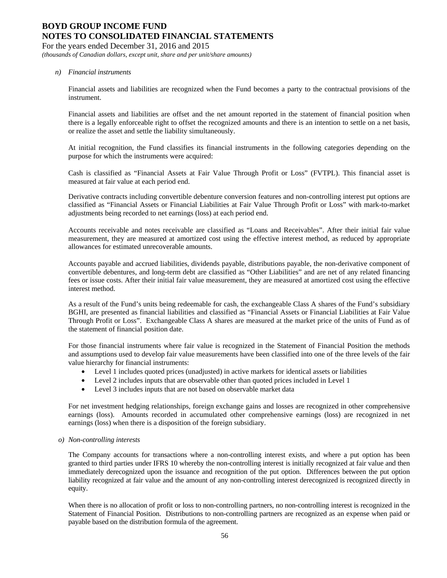For the years ended December 31, 2016 and 2015

*(thousands of Canadian dollars, except unit, share and per unit/share amounts)* 

### *n) Financial instruments*

Financial assets and liabilities are recognized when the Fund becomes a party to the contractual provisions of the instrument.

Financial assets and liabilities are offset and the net amount reported in the statement of financial position when there is a legally enforceable right to offset the recognized amounts and there is an intention to settle on a net basis, or realize the asset and settle the liability simultaneously.

At initial recognition, the Fund classifies its financial instruments in the following categories depending on the purpose for which the instruments were acquired:

Cash is classified as "Financial Assets at Fair Value Through Profit or Loss" (FVTPL). This financial asset is measured at fair value at each period end.

Derivative contracts including convertible debenture conversion features and non-controlling interest put options are classified as "Financial Assets or Financial Liabilities at Fair Value Through Profit or Loss" with mark-to-market adjustments being recorded to net earnings (loss) at each period end.

Accounts receivable and notes receivable are classified as "Loans and Receivables". After their initial fair value measurement, they are measured at amortized cost using the effective interest method, as reduced by appropriate allowances for estimated unrecoverable amounts.

Accounts payable and accrued liabilities, dividends payable, distributions payable, the non-derivative component of convertible debentures, and long-term debt are classified as "Other Liabilities" and are net of any related financing fees or issue costs. After their initial fair value measurement, they are measured at amortized cost using the effective interest method.

As a result of the Fund's units being redeemable for cash, the exchangeable Class A shares of the Fund's subsidiary BGHI, are presented as financial liabilities and classified as "Financial Assets or Financial Liabilities at Fair Value Through Profit or Loss". Exchangeable Class A shares are measured at the market price of the units of Fund as of the statement of financial position date.

For those financial instruments where fair value is recognized in the Statement of Financial Position the methods and assumptions used to develop fair value measurements have been classified into one of the three levels of the fair value hierarchy for financial instruments:

- Level 1 includes quoted prices (unadjusted) in active markets for identical assets or liabilities
- Level 2 includes inputs that are observable other than quoted prices included in Level 1
- Level 3 includes inputs that are not based on observable market data

For net investment hedging relationships, foreign exchange gains and losses are recognized in other comprehensive earnings (loss). Amounts recorded in accumulated other comprehensive earnings (loss) are recognized in net earnings (loss) when there is a disposition of the foreign subsidiary.

### *o) Non-controlling interests*

The Company accounts for transactions where a non-controlling interest exists, and where a put option has been granted to third parties under IFRS 10 whereby the non-controlling interest is initially recognized at fair value and then immediately derecognized upon the issuance and recognition of the put option. Differences between the put option liability recognized at fair value and the amount of any non-controlling interest derecognized is recognized directly in equity.

When there is no allocation of profit or loss to non-controlling partners, no non-controlling interest is recognized in the Statement of Financial Position. Distributions to non-controlling partners are recognized as an expense when paid or payable based on the distribution formula of the agreement.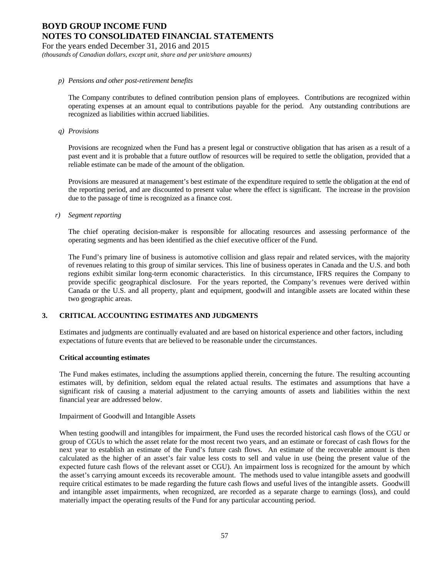For the years ended December 31, 2016 and 2015

*(thousands of Canadian dollars, except unit, share and per unit/share amounts)* 

#### *p) Pensions and other post-retirement benefits*

The Company contributes to defined contribution pension plans of employees. Contributions are recognized within operating expenses at an amount equal to contributions payable for the period. Any outstanding contributions are recognized as liabilities within accrued liabilities.

 *q) Provisions*

Provisions are recognized when the Fund has a present legal or constructive obligation that has arisen as a result of a past event and it is probable that a future outflow of resources will be required to settle the obligation, provided that a reliable estimate can be made of the amount of the obligation.

Provisions are measured at management's best estimate of the expenditure required to settle the obligation at the end of the reporting period, and are discounted to present value where the effect is significant. The increase in the provision due to the passage of time is recognized as a finance cost.

*r) Segment reporting*

The chief operating decision-maker is responsible for allocating resources and assessing performance of the operating segments and has been identified as the chief executive officer of the Fund.

The Fund's primary line of business is automotive collision and glass repair and related services, with the majority of revenues relating to this group of similar services. This line of business operates in Canada and the U.S. and both regions exhibit similar long-term economic characteristics. In this circumstance, IFRS requires the Company to provide specific geographical disclosure. For the years reported, the Company's revenues were derived within Canada or the U.S. and all property, plant and equipment, goodwill and intangible assets are located within these two geographic areas.

### **3. CRITICAL ACCOUNTING ESTIMATES AND JUDGMENTS**

Estimates and judgments are continually evaluated and are based on historical experience and other factors, including expectations of future events that are believed to be reasonable under the circumstances.

### **Critical accounting estimates**

The Fund makes estimates, including the assumptions applied therein, concerning the future. The resulting accounting estimates will, by definition, seldom equal the related actual results. The estimates and assumptions that have a significant risk of causing a material adjustment to the carrying amounts of assets and liabilities within the next financial year are addressed below.

### Impairment of Goodwill and Intangible Assets

When testing goodwill and intangibles for impairment, the Fund uses the recorded historical cash flows of the CGU or group of CGUs to which the asset relate for the most recent two years, and an estimate or forecast of cash flows for the next year to establish an estimate of the Fund's future cash flows. An estimate of the recoverable amount is then calculated as the higher of an asset's fair value less costs to sell and value in use (being the present value of the expected future cash flows of the relevant asset or CGU). An impairment loss is recognized for the amount by which the asset's carrying amount exceeds its recoverable amount. The methods used to value intangible assets and goodwill require critical estimates to be made regarding the future cash flows and useful lives of the intangible assets. Goodwill and intangible asset impairments, when recognized, are recorded as a separate charge to earnings (loss), and could materially impact the operating results of the Fund for any particular accounting period.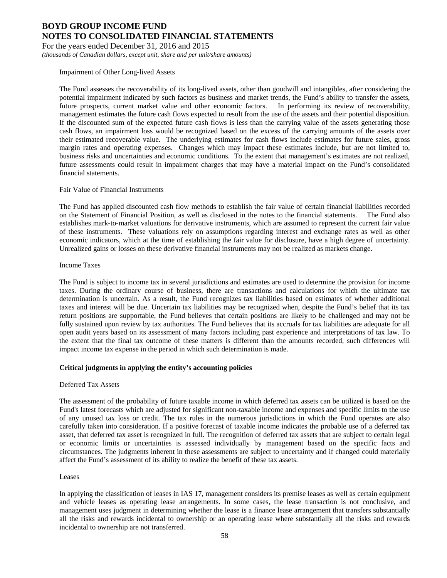For the years ended December 31, 2016 and 2015

*(thousands of Canadian dollars, except unit, share and per unit/share amounts)* 

Impairment of Other Long-lived Assets

The Fund assesses the recoverability of its long-lived assets, other than goodwill and intangibles, after considering the potential impairment indicated by such factors as business and market trends, the Fund's ability to transfer the assets, future prospects, current market value and other economic factors. In performing its review of recoverability, management estimates the future cash flows expected to result from the use of the assets and their potential disposition. If the discounted sum of the expected future cash flows is less than the carrying value of the assets generating those cash flows, an impairment loss would be recognized based on the excess of the carrying amounts of the assets over their estimated recoverable value. The underlying estimates for cash flows include estimates for future sales, gross margin rates and operating expenses. Changes which may impact these estimates include, but are not limited to, business risks and uncertainties and economic conditions. To the extent that management's estimates are not realized, future assessments could result in impairment charges that may have a material impact on the Fund's consolidated financial statements.

#### Fair Value of Financial Instruments

The Fund has applied discounted cash flow methods to establish the fair value of certain financial liabilities recorded on the Statement of Financial Position, as well as disclosed in the notes to the financial statements. The Fund also establishes mark-to-market valuations for derivative instruments, which are assumed to represent the current fair value of these instruments. These valuations rely on assumptions regarding interest and exchange rates as well as other economic indicators, which at the time of establishing the fair value for disclosure, have a high degree of uncertainty. Unrealized gains or losses on these derivative financial instruments may not be realized as markets change.

#### Income Taxes

The Fund is subject to income tax in several jurisdictions and estimates are used to determine the provision for income taxes. During the ordinary course of business, there are transactions and calculations for which the ultimate tax determination is uncertain. As a result, the Fund recognizes tax liabilities based on estimates of whether additional taxes and interest will be due. Uncertain tax liabilities may be recognized when, despite the Fund's belief that its tax return positions are supportable, the Fund believes that certain positions are likely to be challenged and may not be fully sustained upon review by tax authorities. The Fund believes that its accruals for tax liabilities are adequate for all open audit years based on its assessment of many factors including past experience and interpretations of tax law. To the extent that the final tax outcome of these matters is different than the amounts recorded, such differences will impact income tax expense in the period in which such determination is made.

### **Critical judgments in applying the entity's accounting policies**

### Deferred Tax Assets

The assessment of the probability of future taxable income in which deferred tax assets can be utilized is based on the Fund's latest forecasts which are adjusted for significant non-taxable income and expenses and specific limits to the use of any unused tax loss or credit. The tax rules in the numerous jurisdictions in which the Fund operates are also carefully taken into consideration. If a positive forecast of taxable income indicates the probable use of a deferred tax asset, that deferred tax asset is recognized in full. The recognition of deferred tax assets that are subject to certain legal or economic limits or uncertainties is assessed individually by management based on the specific facts and circumstances. The judgments inherent in these assessments are subject to uncertainty and if changed could materially affect the Fund's assessment of its ability to realize the benefit of these tax assets.

#### Leases

In applying the classification of leases in IAS 17, management considers its premise leases as well as certain equipment and vehicle leases as operating lease arrangements. In some cases, the lease transaction is not conclusive, and management uses judgment in determining whether the lease is a finance lease arrangement that transfers substantially all the risks and rewards incidental to ownership or an operating lease where substantially all the risks and rewards incidental to ownership are not transferred.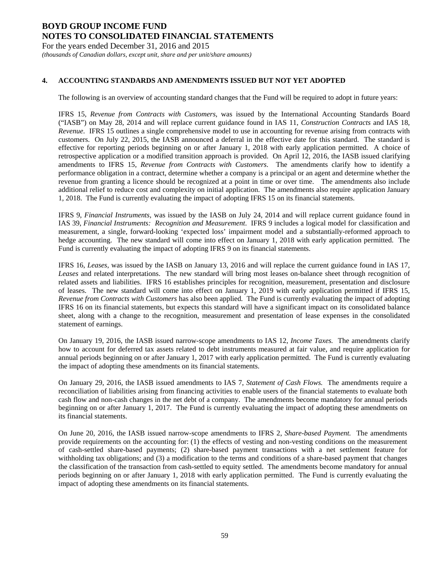For the years ended December 31, 2016 and 2015

*(thousands of Canadian dollars, except unit, share and per unit/share amounts)* 

### **4. ACCOUNTING STANDARDS AND AMENDMENTS ISSUED BUT NOT YET ADOPTED**

The following is an overview of accounting standard changes that the Fund will be required to adopt in future years:

IFRS 15, *Revenue from Contracts with Customers*, was issued by the International Accounting Standards Board ("IASB") on May 28, 2014 and will replace current guidance found in IAS 11, *Construction Contracts* and IAS 18, *Revenue*. IFRS 15 outlines a single comprehensive model to use in accounting for revenue arising from contracts with customers. On July 22, 2015, the IASB announced a deferral in the effective date for this standard. The standard is effective for reporting periods beginning on or after January 1, 2018 with early application permitted. A choice of retrospective application or a modified transition approach is provided. On April 12, 2016, the IASB issued clarifying amendments to IFRS 15, *Revenue from Contracts with Customers*. The amendments clarify how to identify a performance obligation in a contract, determine whether a company is a principal or an agent and determine whether the revenue from granting a licence should be recognized at a point in time or over time. The amendments also include additional relief to reduce cost and complexity on initial application. The amendments also require application January 1, 2018. The Fund is currently evaluating the impact of adopting IFRS 15 on its financial statements.

IFRS 9, *Financial Instruments*, was issued by the IASB on July 24, 2014 and will replace current guidance found in IAS 39, *Financial Instruments: Recognition and Measurement*. IFRS 9 includes a logical model for classification and measurement, a single, forward-looking 'expected loss' impairment model and a substantially-reformed approach to hedge accounting. The new standard will come into effect on January 1, 2018 with early application permitted. The Fund is currently evaluating the impact of adopting IFRS 9 on its financial statements.

IFRS 16, *Leases*, was issued by the IASB on January 13, 2016 and will replace the current guidance found in IAS 17, *Leases* and related interpretations. The new standard will bring most leases on-balance sheet through recognition of related assets and liabilities. IFRS 16 establishes principles for recognition, measurement, presentation and disclosure of leases. The new standard will come into effect on January 1, 2019 with early application permitted if IFRS 15, *Revenue from Contracts with Customers* has also been applied*.* The Fund is currently evaluating the impact of adopting IFRS 16 on its financial statements, but expects this standard will have a significant impact on its consolidated balance sheet, along with a change to the recognition, measurement and presentation of lease expenses in the consolidated statement of earnings.

On January 19, 2016, the IASB issued narrow-scope amendments to IAS 12, *Income Taxes.* The amendments clarify how to account for deferred tax assets related to debt instruments measured at fair value, and require application for annual periods beginning on or after January 1, 2017 with early application permitted. The Fund is currently evaluating the impact of adopting these amendments on its financial statements.

On January 29, 2016, the IASB issued amendments to IAS 7, *Statement of Cash Flows.* The amendments require a reconciliation of liabilities arising from financing activities to enable users of the financial statements to evaluate both cash flow and non-cash changes in the net debt of a company. The amendments become mandatory for annual periods beginning on or after January 1, 2017. The Fund is currently evaluating the impact of adopting these amendments on its financial statements.

On June 20, 2016, the IASB issued narrow-scope amendments to IFRS 2, *Share-based Payment.* The amendments provide requirements on the accounting for: (1) the effects of vesting and non-vesting conditions on the measurement of cash-settled share-based payments; (2) share-based payment transactions with a net settlement feature for withholding tax obligations; and (3) a modification to the terms and conditions of a share-based payment that changes the classification of the transaction from cash-settled to equity settled. The amendments become mandatory for annual periods beginning on or after January 1, 2018 with early application permitted. The Fund is currently evaluating the impact of adopting these amendments on its financial statements.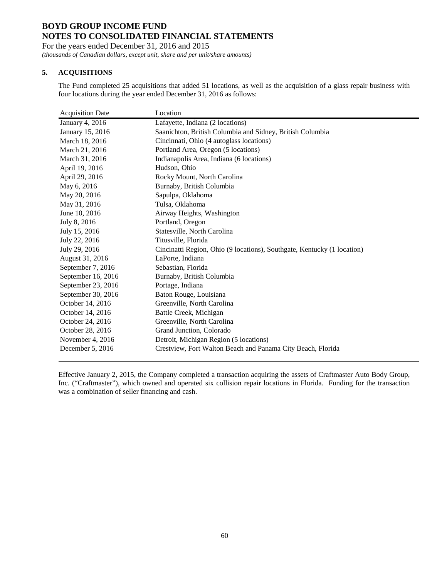For the years ended December 31, 2016 and 2015 *(thousands of Canadian dollars, except unit, share and per unit/share amounts)* 

### **5. ACQUISITIONS**

The Fund completed 25 acquisitions that added 51 locations, as well as the acquisition of a glass repair business with four locations during the year ended December 31, 2016 as follows:

| Location                                                                |
|-------------------------------------------------------------------------|
| Lafayette, Indiana (2 locations)                                        |
| Saanichton, British Columbia and Sidney, British Columbia               |
| Cincinnati, Ohio (4 autoglass locations)                                |
| Portland Area, Oregon (5 locations)                                     |
| Indianapolis Area, Indiana (6 locations)                                |
| Hudson, Ohio                                                            |
| Rocky Mount, North Carolina                                             |
| Burnaby, British Columbia                                               |
| Sapulpa, Oklahoma                                                       |
| Tulsa, Oklahoma                                                         |
| Airway Heights, Washington                                              |
| Portland, Oregon                                                        |
| Statesville, North Carolina                                             |
| Titusville, Florida                                                     |
| Cincinatti Region, Ohio (9 locations), Southgate, Kentucky (1 location) |
| LaPorte, Indiana                                                        |
| Sebastian, Florida                                                      |
| Burnaby, British Columbia                                               |
| Portage, Indiana                                                        |
| Baton Rouge, Louisiana                                                  |
| Greenville, North Carolina                                              |
| Battle Creek, Michigan                                                  |
| Greenville, North Carolina                                              |
| Grand Junction, Colorado                                                |
| Detroit, Michigan Region (5 locations)                                  |
| Crestview, Fort Walton Beach and Panama City Beach, Florida             |
|                                                                         |

Effective January 2, 2015, the Company completed a transaction acquiring the assets of Craftmaster Auto Body Group, Inc. ("Craftmaster"), which owned and operated six collision repair locations in Florida. Funding for the transaction was a combination of seller financing and cash.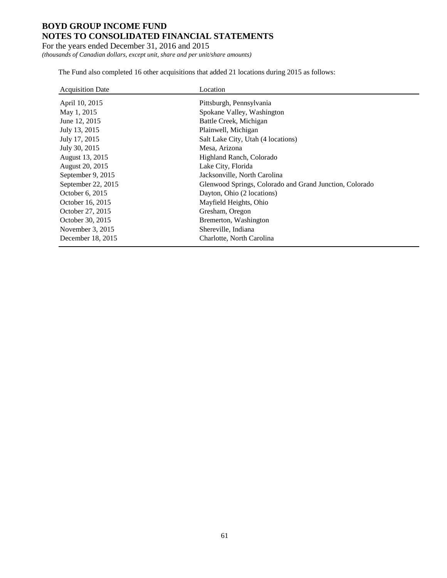For the years ended December 31, 2016 and 2015

*(thousands of Canadian dollars, except unit, share and per unit/share amounts)* 

The Fund also completed 16 other acquisitions that added 21 locations during 2015 as follows:

| Location                                                |
|---------------------------------------------------------|
| Pittsburgh, Pennsylvania                                |
| Spokane Valley, Washington                              |
| Battle Creek, Michigan                                  |
| Plainwell, Michigan                                     |
| Salt Lake City, Utah (4 locations)                      |
| Mesa, Arizona                                           |
| Highland Ranch, Colorado                                |
| Lake City, Florida                                      |
| Jacksonville, North Carolina                            |
| Glenwood Springs, Colorado and Grand Junction, Colorado |
| Dayton, Ohio (2 locations)                              |
| Mayfield Heights, Ohio                                  |
| Gresham, Oregon                                         |
| Bremerton, Washington                                   |
| Shereville, Indiana                                     |
| Charlotte, North Carolina                               |
|                                                         |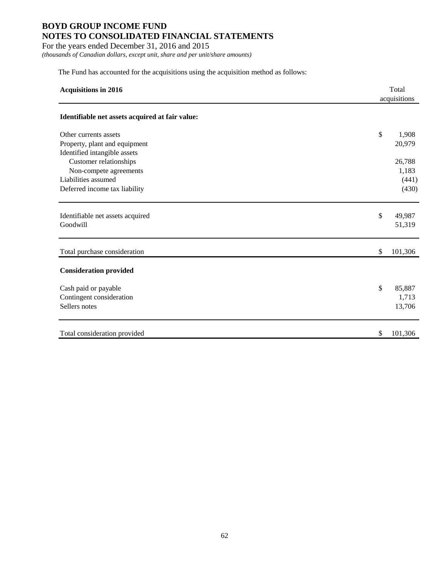For the years ended December 31, 2016 and 2015

*(thousands of Canadian dollars, except unit, share and per unit/share amounts)* 

The Fund has accounted for the acquisitions using the acquisition method as follows:

| <b>Acquisitions in 2016</b>                     |    |                  |  |  |  |  |
|-------------------------------------------------|----|------------------|--|--|--|--|
| Identifiable net assets acquired at fair value: |    |                  |  |  |  |  |
| Other currents assets                           | \$ | 1,908            |  |  |  |  |
| Property, plant and equipment                   |    | 20,979           |  |  |  |  |
| Identified intangible assets                    |    |                  |  |  |  |  |
| Customer relationships                          |    | 26,788           |  |  |  |  |
| Non-compete agreements                          |    | 1,183            |  |  |  |  |
| Liabilities assumed                             |    | (441)            |  |  |  |  |
| Deferred income tax liability                   |    | (430)            |  |  |  |  |
| Identifiable net assets acquired<br>Goodwill    | \$ | 49,987<br>51,319 |  |  |  |  |
| Total purchase consideration                    | \$ | 101,306          |  |  |  |  |
| <b>Consideration provided</b>                   |    |                  |  |  |  |  |
| Cash paid or payable                            | \$ | 85,887           |  |  |  |  |
| Contingent consideration                        |    | 1,713            |  |  |  |  |
| Sellers notes                                   |    | 13,706           |  |  |  |  |
| Total consideration provided                    | \$ | 101,306          |  |  |  |  |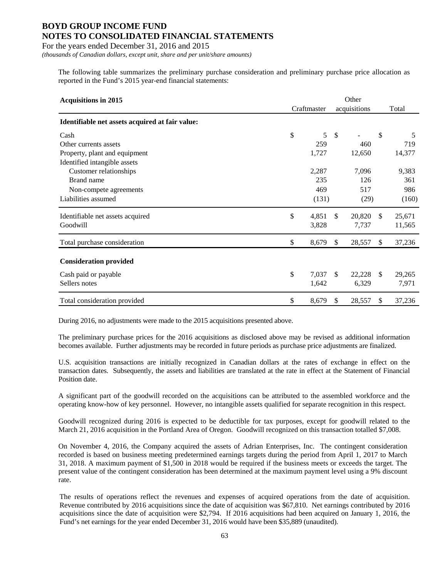For the years ended December 31, 2016 and 2015

*(thousands of Canadian dollars, except unit, share and per unit/share amounts)* 

The following table summarizes the preliminary purchase consideration and preliminary purchase price allocation as reported in the Fund's 2015 year-end financial statements:

| <b>Acquisitions in 2015</b>                     |    |             |               |              |               |        |  |
|-------------------------------------------------|----|-------------|---------------|--------------|---------------|--------|--|
|                                                 |    | Craftmaster |               | acquisitions |               | Total  |  |
| Identifiable net assets acquired at fair value: |    |             |               |              |               |        |  |
| Cash                                            | \$ | 5           | $\mathcal{S}$ |              | \$            | 5      |  |
| Other currents assets                           |    | 259         |               | 460          |               | 719    |  |
| Property, plant and equipment                   |    | 1,727       |               | 12,650       |               | 14,377 |  |
| Identified intangible assets                    |    |             |               |              |               |        |  |
| Customer relationships                          |    | 2,287       |               | 7,096        |               | 9,383  |  |
| Brand name                                      |    | 235         |               | 126          |               | 361    |  |
| Non-compete agreements                          |    | 469         |               | 517          |               | 986    |  |
| Liabilities assumed                             |    | (131)       |               | (29)         |               | (160)  |  |
| Identifiable net assets acquired                | \$ | 4,851       | $\mathbb{S}$  | 20,820       | \$            | 25,671 |  |
| Goodwill                                        |    | 3,828       |               | 7,737        |               | 11,565 |  |
| Total purchase consideration                    | \$ | 8,679       | <sup>\$</sup> | 28,557       | <sup>\$</sup> | 37,236 |  |
| <b>Consideration provided</b>                   |    |             |               |              |               |        |  |
| Cash paid or payable                            | \$ | 7,037       | <sup>\$</sup> | 22,228       | $\mathbb{S}$  | 29,265 |  |
| Sellers notes                                   |    | 1,642       |               | 6,329        |               | 7,971  |  |
|                                                 |    |             |               |              |               |        |  |
| Total consideration provided                    | \$ | 8,679       | \$            | 28,557       | \$            | 37,236 |  |

During 2016, no adjustments were made to the 2015 acquisitions presented above.

The preliminary purchase prices for the 2016 acquisitions as disclosed above may be revised as additional information becomes available. Further adjustments may be recorded in future periods as purchase price adjustments are finalized.

U.S. acquisition transactions are initially recognized in Canadian dollars at the rates of exchange in effect on the transaction dates. Subsequently, the assets and liabilities are translated at the rate in effect at the Statement of Financial Position date.

A significant part of the goodwill recorded on the acquisitions can be attributed to the assembled workforce and the operating know-how of key personnel. However, no intangible assets qualified for separate recognition in this respect.

Goodwill recognized during 2016 is expected to be deductible for tax purposes, except for goodwill related to the March 21, 2016 acquisition in the Portland Area of Oregon. Goodwill recognized on this transaction totalled \$7,008.

On November 4, 2016, the Company acquired the assets of Adrian Enterprises, Inc. The contingent consideration recorded is based on business meeting predetermined earnings targets during the period from April 1, 2017 to March 31, 2018. A maximum payment of \$1,500 in 2018 would be required if the business meets or exceeds the target. The present value of the contingent consideration has been determined at the maximum payment level using a 9% discount rate.

The results of operations reflect the revenues and expenses of acquired operations from the date of acquisition. Revenue contributed by 2016 acquisitions since the date of acquisition was \$67,810. Net earnings contributed by 2016 acquisitions since the date of acquisition were \$2,794. If 2016 acquisitions had been acquired on January 1, 2016, the Fund's net earnings for the year ended December 31, 2016 would have been \$35,889 (unaudited).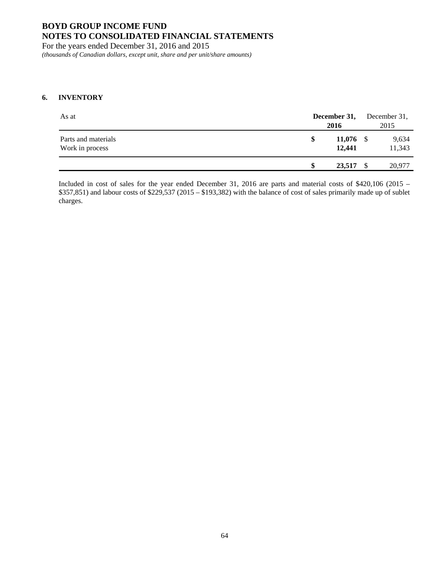For the years ended December 31, 2016 and 2015 *(thousands of Canadian dollars, except unit, share and per unit/share amounts)* 

### **6. INVENTORY**

| As at                                  | December 31,<br>2016   |      | December 31,<br>2015 |
|----------------------------------------|------------------------|------|----------------------|
| Parts and materials<br>Work in process | 11,076<br>\$<br>12,441 | - \$ | 9,634<br>11,343      |
|                                        | \$<br>23,517           |      | 20,977               |

Included in cost of sales for the year ended December 31, 2016 are parts and material costs of \$420,106 (2015 – \$357,851) and labour costs of \$229,537 (2015 – \$193,382) with the balance of cost of sales primarily made up of sublet charges.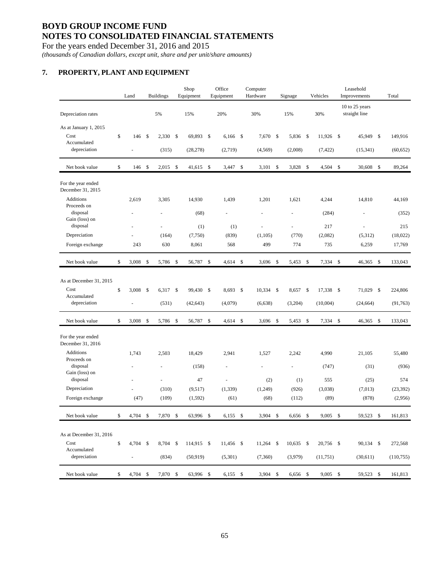For the years ended December 31, 2016 and 2015

*(thousands of Canadian dollars, except unit, share and per unit/share amounts)* 

### **7. PROPERTY, PLANT AND EQUIPMENT**

|                                              | Land                     | <b>Buildings</b> | Shop<br>Equipment | Office<br>Equipment |      | Computer<br>Hardware |     | Signage     |      | Vehicles  |                                 | Leasehold<br>Improvements | Total      |
|----------------------------------------------|--------------------------|------------------|-------------------|---------------------|------|----------------------|-----|-------------|------|-----------|---------------------------------|---------------------------|------------|
| Depreciation rates                           |                          | 5%               | 15%               | 20%                 |      | 30%                  |     | 15%         |      | 30%       | 10 to 25 years<br>straight line |                           |            |
| As at January 1, 2015<br>Cost<br>Accumulated | \$<br>146                | \$<br>2,330      | \$<br>69,893 \$   | $6,166$ \$          |      | 7,670 \$             |     | 5,836 \$    |      | 11,926    | - \$                            | 45,949 \$                 | 149,916    |
| depreciation                                 |                          | (315)            | (28, 278)         | (2,719)             |      | (4, 569)             |     | (2,008)     |      | (7, 422)  |                                 | (15, 341)                 | (60, 652)  |
| Net book value                               | \$<br>146                | \$<br>2,015      | \$<br>41,615 \$   | 3,447               | \$   | 3,101                | -\$ | 3,828       | - \$ | 4,504     | - \$                            | 30,608 \$                 | 89.264     |
| For the year ended<br>December 31, 2015      |                          |                  |                   |                     |      |                      |     |             |      |           |                                 |                           |            |
| Additions<br>Proceeds on                     | 2,619                    | 3,305            | 14,930            | 1,439               |      | 1,201                |     | 1,621       |      | 4,244     |                                 | 14,810                    | 44,169     |
| disposal<br>Gain (loss) on                   | $\overline{\phantom{a}}$ | $\sim$           | (68)              |                     |      | ÷                    |     | ÷,          |      | (284)     |                                 | ÷,                        | (352)      |
| disposal                                     | ÷,                       | ä,               | (1)               | (1)                 |      | ÷                    |     | ä,          |      | 217       |                                 | $\blacksquare$            | 215        |
| Depreciation                                 |                          | (164)            | (7,750)           | (839)               |      | (1,105)              |     | (770)       |      | (2,082)   |                                 | (5,312)                   | (18,022)   |
| Foreign exchange                             | 243                      | 630              | 8,061             | 568                 |      | 499                  |     | 774         |      | 735       |                                 | 6,259                     | 17,769     |
| Net book value                               | \$<br>3,008              | \$<br>5,786      | \$<br>56,787 \$   | $4,614$ \$          |      | $3,696$ \$           |     | 5,453 \$    |      | 7,334     | $\mathbb{S}$                    | 46,365 \$                 | 133,043    |
| As at December 31, 2015                      |                          |                  |                   |                     |      |                      |     |             |      |           |                                 |                           |            |
| Cost                                         | \$<br>3,008              | \$<br>6,317      | \$<br>99,430 \$   | 8,693               | - \$ | $10,334$ \$          |     | 8,657 \$    |      | 17,338 \$ |                                 | 71,029 \$                 | 224,806    |
| Accumulated<br>depreciation                  | ä,                       | (531)            | (42, 643)         | (4,079)             |      | (6, 638)             |     | (3,204)     |      | (10,004)  |                                 | (24, 664)                 | (91, 763)  |
| Net book value                               | \$<br>3,008              | \$<br>5,786 \$   | 56,787 \$         | 4,614 \$            |      | 3,696 \$             |     | 5,453 \$    |      | 7,334 \$  |                                 | 46,365 \$                 | 133,043    |
| For the year ended<br>December 31, 2016      |                          |                  |                   |                     |      |                      |     |             |      |           |                                 |                           |            |
| <b>Additions</b><br>Proceeds on              | 1,743                    | 2,503            | 18,429            | 2,941               |      | 1,527                |     | 2,242       |      | 4,990     |                                 | 21,105                    | 55,480     |
| disposal<br>Gain (loss) on                   |                          | ÷,               | (158)             |                     |      |                      |     | ÷,          |      | (747)     |                                 | (31)                      | (936)      |
| disposal                                     |                          | ÷,               | 47                |                     |      | (2)                  |     | (1)         |      | 555       |                                 | (25)                      | 574        |
| Depreciation                                 |                          | (310)            | (9,517)           | (1, 339)            |      | (1,249)              |     | (926)       |      | (3,038)   |                                 | (7,013)                   | (23, 392)  |
| Foreign exchange                             | (47)                     | (109)            | (1, 592)          | (61)                |      | (68)                 |     | (112)       |      | (89)      |                                 | (878)                     | (2,956)    |
| Net book value                               | \$<br>4,704 \$           | 7,870 \$         | 63,996 \$         | $6,155$ \$          |      | 3,904 \$             |     | $6,656$ \$  |      | 9,005 \$  |                                 | 59,523 \$                 | 161,813    |
| As at December 31, 2016                      |                          |                  |                   |                     |      |                      |     |             |      |           |                                 |                           |            |
| Cost                                         | \$<br>$4,704$ \$         | 8,704 \$         | 114,915 \$        | 11,456 \$           |      | $11,264$ \$          |     | $10,635$ \$ |      | 20,756 \$ |                                 | 90,134 \$                 | 272,568    |
| Accumulated<br>depreciation                  | ÷,                       | (834)            | (50, 919)         | (5,301)             |      | (7,360)              |     | (3,979)     |      | (11,751)  |                                 | (30,611)                  | (110, 755) |
| Net book value                               | \$<br>4,704 \$           | 7,870 \$         | 63,996 \$         | $6,155$ \$          |      | $3,904$ \$           |     | $6,656$ \$  |      | 9,005 \$  |                                 | 59,523 \$                 | 161,813    |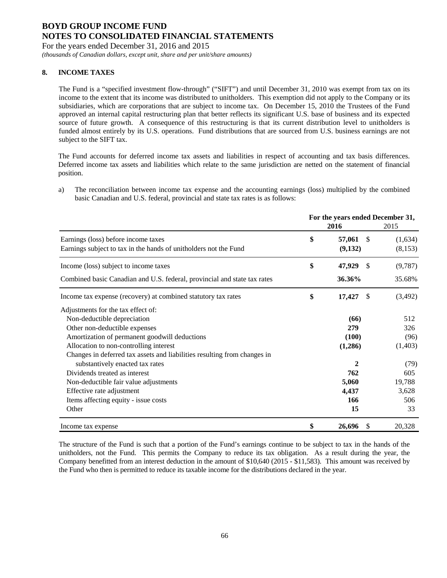For the years ended December 31, 2016 and 2015

*(thousands of Canadian dollars, except unit, share and per unit/share amounts)* 

### **8. INCOME TAXES**

The Fund is a "specified investment flow-through" ("SIFT") and until December 31, 2010 was exempt from tax on its income to the extent that its income was distributed to unitholders. This exemption did not apply to the Company or its subsidiaries, which are corporations that are subject to income tax. On December 15, 2010 the Trustees of the Fund approved an internal capital restructuring plan that better reflects its significant U.S. base of business and its expected source of future growth. A consequence of this restructuring is that its current distribution level to unitholders is funded almost entirely by its U.S. operations. Fund distributions that are sourced from U.S. business earnings are not subject to the SIFT tax.

The Fund accounts for deferred income tax assets and liabilities in respect of accounting and tax basis differences. Deferred income tax assets and liabilities which relate to the same jurisdiction are netted on the statement of financial position.

a) The reconciliation between income tax expense and the accounting earnings (loss) multiplied by the combined basic Canadian and U.S. federal, provincial and state tax rates is as follows:

|                                                                                                         | 2016                    |               | For the years ended December 31,<br>2015 |  |  |
|---------------------------------------------------------------------------------------------------------|-------------------------|---------------|------------------------------------------|--|--|
| Earnings (loss) before income taxes<br>Earnings subject to tax in the hands of unitholders not the Fund | \$<br>57,061<br>(9,132) | <sup>\$</sup> | (1,634)<br>(8,153)                       |  |  |
| Income (loss) subject to income taxes                                                                   | \$<br>47,929            | <sup>\$</sup> | (9,787)                                  |  |  |
| Combined basic Canadian and U.S. federal, provincial and state tax rates                                | 36.36%                  |               | 35.68%                                   |  |  |
| Income tax expense (recovery) at combined statutory tax rates                                           | \$<br>17,427            | <sup>\$</sup> | (3,492)                                  |  |  |
| Adjustments for the tax effect of:                                                                      |                         |               |                                          |  |  |
| Non-deductible depreciation                                                                             | (66)                    |               | 512                                      |  |  |
| Other non-deductible expenses                                                                           | 279                     |               | 326                                      |  |  |
| Amortization of permanent goodwill deductions                                                           | (100)                   |               | (96)                                     |  |  |
| Allocation to non-controlling interest                                                                  | (1,286)                 |               | (1,403)                                  |  |  |
| Changes in deferred tax assets and liabilities resulting from changes in                                |                         |               |                                          |  |  |
| substantively enacted tax rates                                                                         | 2                       |               | (79)                                     |  |  |
| Dividends treated as interest                                                                           | 762                     |               | 605                                      |  |  |
| Non-deductible fair value adjustments                                                                   | 5,060                   |               | 19,788                                   |  |  |
| Effective rate adjustment                                                                               | 4,437                   |               | 3,628                                    |  |  |
| Items affecting equity - issue costs                                                                    | 166                     |               | 506                                      |  |  |
| Other                                                                                                   | 15                      |               | 33                                       |  |  |
| Income tax expense                                                                                      | \$<br>26,696            | \$            | 20,328                                   |  |  |

The structure of the Fund is such that a portion of the Fund's earnings continue to be subject to tax in the hands of the unitholders, not the Fund. This permits the Company to reduce its tax obligation. As a result during the year, the Company benefitted from an interest deduction in the amount of \$10,640 (2015 - \$11,583). This amount was received by the Fund who then is permitted to reduce its taxable income for the distributions declared in the year.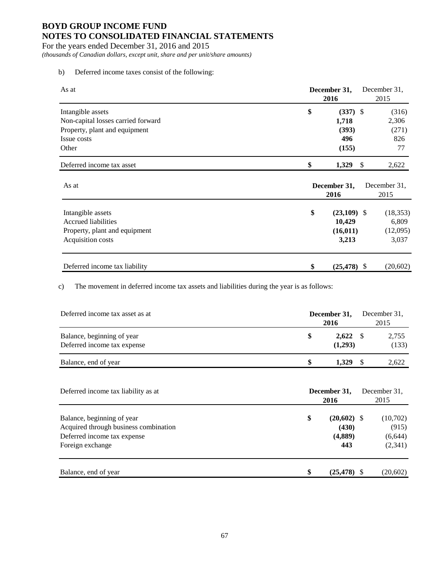For the years ended December 31, 2016 and 2015

*(thousands of Canadian dollars, except unit, share and per unit/share amounts)* 

### b) Deferred income taxes consist of the following:

| As at                              | December 31,<br>2016 |            | December 31,<br>2015 |  |  |  |
|------------------------------------|----------------------|------------|----------------------|--|--|--|
| Intangible assets                  | \$                   | $(337)$ \$ | (316)                |  |  |  |
| Non-capital losses carried forward | 1,718                |            | 2,306                |  |  |  |
| Property, plant and equipment      | (393)                |            | (271)                |  |  |  |
| Issue costs                        | 496                  |            | 826                  |  |  |  |
| Other                              | (155)                |            | 77                   |  |  |  |
| Deferred income tax asset          | \$<br>1,329          | \$         | 2,622                |  |  |  |
| As at                              | December 31,<br>2016 |            | December 31,<br>2015 |  |  |  |
| Intangible assets                  | \$<br>$(23,109)$ \$  |            | (18, 353)            |  |  |  |
| <b>Accrued liabilities</b>         | 10,429               |            | 6,809                |  |  |  |
| Property, plant and equipment      | (16, 011)            |            | (12,095)             |  |  |  |
| Acquisition costs                  | 3,213                |            | 3,037                |  |  |  |
| Deferred income tax liability      | \$<br>$(25, 478)$ \$ |            | (20,602)             |  |  |  |

c) The movement in deferred income tax assets and liabilities during the year is as follows:

| Deferred income tax asset as at                           | December 31,<br>2016  | December 31,<br>2015 |                |  |  |
|-----------------------------------------------------------|-----------------------|----------------------|----------------|--|--|
| Balance, beginning of year<br>Deferred income tax expense | $2,622$ \$<br>(1,293) |                      | 2,755<br>(133) |  |  |
| Balance, end of year                                      | 1.329                 |                      | 2,622          |  |  |

| Deferred income tax liability as at                                                                                    | December 31,<br>2016 |                                          | December 31,<br>2015 |                                          |  |
|------------------------------------------------------------------------------------------------------------------------|----------------------|------------------------------------------|----------------------|------------------------------------------|--|
| Balance, beginning of year<br>Acquired through business combination<br>Deferred income tax expense<br>Foreign exchange | \$                   | $(20,602)$ \$<br>(430)<br>(4,889)<br>443 |                      | (10,702)<br>(915)<br>(6, 644)<br>(2,341) |  |
| Balance, end of year                                                                                                   | \$.                  | $(25, 478)$ \$                           |                      | (20,602)                                 |  |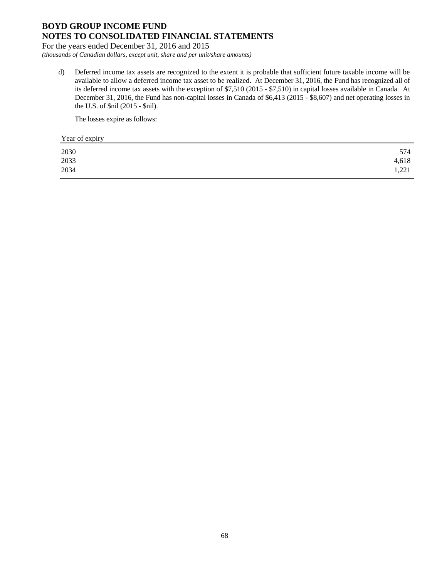For the years ended December 31, 2016 and 2015

*(thousands of Canadian dollars, except unit, share and per unit/share amounts)* 

d) Deferred income tax assets are recognized to the extent it is probable that sufficient future taxable income will be available to allow a deferred income tax asset to be realized. At December 31, 2016, the Fund has recognized all of its deferred income tax assets with the exception of \$7,510 (2015 - \$7,510) in capital losses available in Canada. At December 31, 2016, the Fund has non-capital losses in Canada of \$6,413 (2015 - \$8,607) and net operating losses in the U.S. of \$nil (2015 - \$nil).

The losses expire as follows:

| Year of expiry |       |
|----------------|-------|
| 2030           | 574   |
| 2033           | 4,618 |
| 2034           | 1,221 |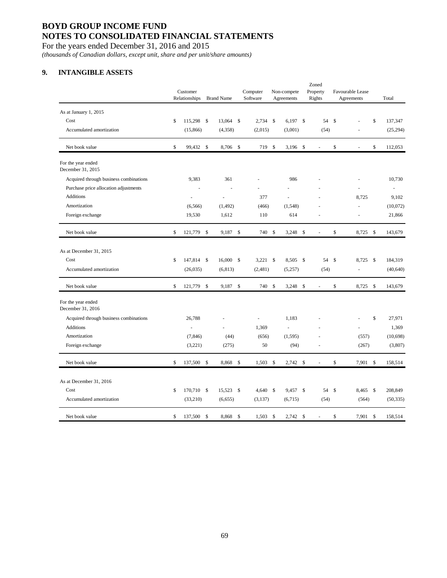For the years ended December 31, 2016 and 2015

*(thousands of Canadian dollars, except unit, share and per unit/share amounts)* 

### **9. INTANGIBLE ASSETS**

|                                         |                  |               |                   |              |                          |    |             | Zoned     |                         |               |
|-----------------------------------------|------------------|---------------|-------------------|--------------|--------------------------|----|-------------|-----------|-------------------------|---------------|
|                                         | Customer         |               |                   |              | Computer                 |    | Non-compete | Property  | <b>Favourable Lease</b> |               |
|                                         | Relationships    |               | <b>Brand Name</b> |              | Software                 |    | Agreements  | Rights    | Agreements              | Total         |
| As at January 1, 2015                   |                  |               |                   |              |                          |    |             |           |                         |               |
| Cost                                    | \$<br>115,298    | -\$           | 13,064 \$         |              | $2,734$ \$               |    | $6,197$ \$  | 54        | \$                      | \$<br>137,347 |
| Accumulated amortization                | (15, 866)        |               | (4, 358)          |              | (2,015)                  |    | (3,001)     | (54)      |                         | (25, 294)     |
| Net book value                          | \$<br>99,432 \$  |               | 8,706 \$          |              | 719 \$                   |    | $3,196$ \$  | $\bar{a}$ | \$<br>ä,                | \$<br>112,053 |
| For the year ended<br>December 31, 2015 |                  |               |                   |              |                          |    |             |           |                         |               |
| Acquired through business combinations  | 9,383            |               | 361               |              | $\overline{\phantom{a}}$ |    | 986         |           | ÷.                      | 10,730        |
| Purchase price allocation adjustments   |                  |               | ÷,                |              | ÷.                       |    |             |           | ÷.                      |               |
| <b>Additions</b>                        | ÷                |               | ÷,                |              | 377                      |    | ÷           |           | 8,725                   | 9,102         |
| Amortization                            | (6, 566)         |               | (1, 492)          |              | (466)                    |    | (1, 548)    |           | L.                      | (10,072)      |
| Foreign exchange                        | 19,530           |               | 1,612             |              | 110                      |    | 614         |           | ä,                      | 21,866        |
| Net book value                          | \$<br>121,779 \$ |               | 9,187 \$          |              | 740 \$                   |    | $3,248$ \$  |           | \$<br>8,725 \$          | 143,679       |
| As at December 31, 2015                 |                  |               |                   |              |                          |    |             |           |                         |               |
| Cost                                    | \$<br>147,814 \$ |               | 16,000 \$         |              | $3,221$ \$               |    | 8,505 \$    | 54 \$     | 8,725 \$                | 184,319       |
| Accumulated amortization                | (26, 035)        |               | (6, 813)          |              | (2,481)                  |    | (5,257)     | (54)      | ä,                      | (40, 640)     |
| Net book value                          | \$<br>121,779 \$ |               | 9,187 \$          |              | 740 \$                   |    | $3,248$ \$  |           | \$<br>8,725 \$          | 143,679       |
| For the year ended                      |                  |               |                   |              |                          |    |             |           |                         |               |
| December 31, 2016                       |                  |               |                   |              |                          |    |             |           |                         |               |
| Acquired through business combinations  | 26,788           |               |                   |              | $\blacksquare$           |    | 1,183       |           |                         | \$<br>27,971  |
| Additions<br>Amortization               | ÷,               |               |                   |              | 1,369                    |    | (1, 595)    |           | (557)                   | 1,369         |
|                                         | (7, 846)         |               | (44)<br>(275)     |              | (656)<br>50              |    |             |           |                         | (10, 698)     |
| Foreign exchange                        | (3,221)          |               |                   |              |                          |    | (94)        |           | (267)                   | (3,807)       |
| Net book value                          | \$<br>137,500 \$ |               | 8,868 \$          |              | 1,503                    | -S | $2,742$ \$  | ÷.        | \$<br>7,901 \$          | 158,514       |
| As at December 31, 2016                 |                  |               |                   |              |                          |    |             |           |                         |               |
| Cost                                    | \$<br>170,710    | $\mathcal{S}$ | 15,523 \$         |              | $4,640$ \$               |    | 9,457 \$    | 54        | \$<br>8,465 \$          | 208,849       |
| Accumulated amortization                | (33,210)         |               | (6,655)           |              | (3, 137)                 |    | (6,715)     | (54)      | (564)                   | (50, 335)     |
| Net book value                          | \$<br>137,500 \$ |               | 8,868             | $\mathbf{s}$ | 1,503                    | \$ | $2,742$ \$  |           | \$<br>7,901 \$          | 158,514       |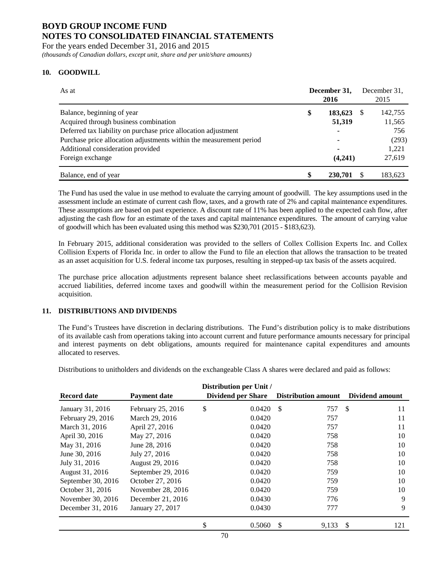For the years ended December 31, 2016 and 2015 *(thousands of Canadian dollars, except unit, share and per unit/share amounts)* 

### **10. GOODWILL**

| As at                                                               |    | December 31,<br>2016 | December 31.<br>2015 |         |  |
|---------------------------------------------------------------------|----|----------------------|----------------------|---------|--|
| Balance, beginning of year                                          | \$ | 183,623              |                      | 142,755 |  |
| Acquired through business combination                               |    | 51,319               |                      | 11,565  |  |
| Deferred tax liability on purchase price allocation adjustment      |    | ۰                    |                      | 756     |  |
| Purchase price allocation adjustments within the measurement period |    |                      |                      | (293)   |  |
| Additional consideration provided                                   |    | ۰                    |                      | 1,221   |  |
| Foreign exchange                                                    |    | (4,241)              |                      | 27,619  |  |
| Balance, end of year                                                |    | 230,701              |                      | 183,623 |  |

The Fund has used the value in use method to evaluate the carrying amount of goodwill. The key assumptions used in the assessment include an estimate of current cash flow, taxes, and a growth rate of 2% and capital maintenance expenditures. These assumptions are based on past experience. A discount rate of 11% has been applied to the expected cash flow, after adjusting the cash flow for an estimate of the taxes and capital maintenance expenditures. The amount of carrying value of goodwill which has been evaluated using this method was \$230,701 (2015 - \$183,623).

In February 2015, additional consideration was provided to the sellers of Collex Collision Experts Inc. and Collex Collision Experts of Florida Inc. in order to allow the Fund to file an election that allows the transaction to be treated as an asset acquisition for U.S. federal income tax purposes, resulting in stepped-up tax basis of the assets acquired.

The purchase price allocation adjustments represent balance sheet reclassifications between accounts payable and accrued liabilities, deferred income taxes and goodwill within the measurement period for the Collision Revision acquisition.

### **11. DISTRIBUTIONS AND DIVIDENDS**

The Fund's Trustees have discretion in declaring distributions. The Fund's distribution policy is to make distributions of its available cash from operations taking into account current and future performance amounts necessary for principal and interest payments on debt obligations, amounts required for maintenance capital expenditures and amounts allocated to reserves.

Distributions to unitholders and dividends on the exchangeable Class A shares were declared and paid as follows:

| Distribution per Unit / |                     |    |                           |    |                     |                 |     |  |  |
|-------------------------|---------------------|----|---------------------------|----|---------------------|-----------------|-----|--|--|
| <b>Record date</b>      | <b>Payment date</b> |    | <b>Dividend per Share</b> |    | Distribution amount | Dividend amount |     |  |  |
| January 31, 2016        | February 25, 2016   | \$ | 0.0420                    | -S | 757                 | \$              | 11  |  |  |
| February 29, 2016       | March 29, 2016      |    | 0.0420                    |    | 757                 |                 | 11  |  |  |
| March 31, 2016          | April 27, 2016      |    | 0.0420                    |    | 757                 |                 | 11  |  |  |
| April 30, 2016          | May 27, 2016        |    | 0.0420                    |    | 758                 |                 | 10  |  |  |
| May 31, 2016            | June 28, 2016       |    | 0.0420                    |    | 758                 |                 | 10  |  |  |
| June 30, 2016           | July 27, 2016       |    | 0.0420                    |    | 758                 |                 | 10  |  |  |
| July 31, 2016           | August 29, 2016     |    | 0.0420                    |    | 758                 |                 | 10  |  |  |
| August 31, 2016         | September 29, 2016  |    | 0.0420                    |    | 759                 |                 | 10  |  |  |
| September 30, 2016      | October 27, 2016    |    | 0.0420                    |    | 759                 |                 | 10  |  |  |
| October 31, 2016        | November 28, 2016   |    | 0.0420                    |    | 759                 |                 | 10  |  |  |
| November 30, 2016       | December 21, 2016   |    | 0.0430                    |    | 776                 |                 | 9   |  |  |
| December 31, 2016       | January 27, 2017    |    | 0.0430                    |    | 777                 |                 | 9   |  |  |
|                         |                     | \$ | 0.5060                    | \$ | 9,133               | \$              | 121 |  |  |
|                         |                     |    |                           |    |                     |                 |     |  |  |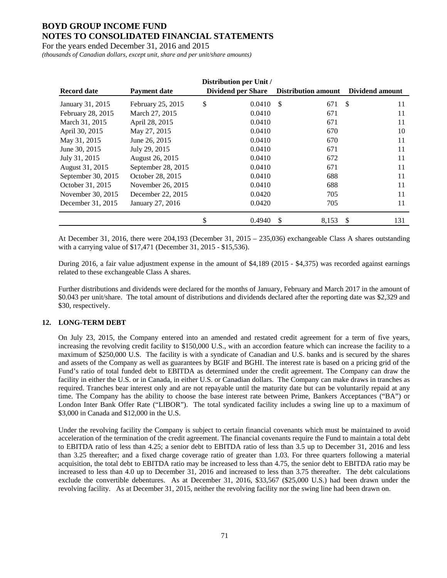For the years ended December 31, 2016 and 2015

*(thousands of Canadian dollars, except unit, share and per unit/share amounts)* 

| <b>Record date</b> | <b>Payment date</b> | Distribution per Unit /<br><b>Dividend per Share</b> |               | <b>Distribution amount</b> |               | Dividend amount |
|--------------------|---------------------|------------------------------------------------------|---------------|----------------------------|---------------|-----------------|
| January 31, 2015   | February 25, 2015   | \$<br>0.0410                                         | <sup>\$</sup> | 671                        | <sup>\$</sup> | 11              |
| February 28, 2015  | March 27, 2015      | 0.0410                                               |               | 671                        |               | 11              |
| March 31, 2015     | April 28, 2015      | 0.0410                                               |               | 671                        |               | 11              |
| April 30, 2015     | May 27, 2015        | 0.0410                                               |               | 670                        |               | 10              |
| May 31, 2015       | June 26, 2015       | 0.0410                                               |               | 670                        |               | 11              |
| June 30, 2015      | July 29, 2015       | 0.0410                                               |               | 671                        |               | 11              |
| July 31, 2015      | August 26, 2015     | 0.0410                                               |               | 672                        |               | 11              |
| August 31, 2015    | September 28, 2015  | 0.0410                                               |               | 671                        |               | 11              |
| September 30, 2015 | October 28, 2015    | 0.0410                                               |               | 688                        |               | 11              |
| October 31, 2015   | November 26, 2015   | 0.0410                                               |               | 688                        |               | 11              |
| November 30, 2015  | December 22, 2015   | 0.0420                                               |               | 705                        |               | 11              |
| December 31, 2015  | January 27, 2016    | 0.0420                                               |               | 705                        |               | 11              |
|                    |                     | \$<br>0.4940                                         | \$            | 8,153                      | \$            | 131             |

At December 31, 2016, there were 204,193 (December 31, 2015 – 235,036) exchangeable Class A shares outstanding with a carrying value of \$17,471 (December 31, 2015 - \$15,536).

During 2016, a fair value adjustment expense in the amount of \$4,189 (2015 - \$4,375) was recorded against earnings related to these exchangeable Class A shares.

Further distributions and dividends were declared for the months of January, February and March 2017 in the amount of \$0.043 per unit/share. The total amount of distributions and dividends declared after the reporting date was \$2,329 and \$30, respectively.

### **12. LONG-TERM DEBT**

On July 23, 2015, the Company entered into an amended and restated credit agreement for a term of five years, increasing the revolving credit facility to \$150,000 U.S., with an accordion feature which can increase the facility to a maximum of \$250,000 U.S. The facility is with a syndicate of Canadian and U.S. banks and is secured by the shares and assets of the Company as well as guarantees by BGIF and BGHI. The interest rate is based on a pricing grid of the Fund's ratio of total funded debt to EBITDA as determined under the credit agreement. The Company can draw the facility in either the U.S. or in Canada, in either U.S. or Canadian dollars. The Company can make draws in tranches as required. Tranches bear interest only and are not repayable until the maturity date but can be voluntarily repaid at any time. The Company has the ability to choose the base interest rate between Prime, Bankers Acceptances ("BA") or London Inter Bank Offer Rate ("LIBOR"). The total syndicated facility includes a swing line up to a maximum of \$3,000 in Canada and \$12,000 in the U.S.

Under the revolving facility the Company is subject to certain financial covenants which must be maintained to avoid acceleration of the termination of the credit agreement. The financial covenants require the Fund to maintain a total debt to EBITDA ratio of less than 4.25; a senior debt to EBITDA ratio of less than 3.5 up to December 31, 2016 and less than 3.25 thereafter; and a fixed charge coverage ratio of greater than 1.03. For three quarters following a material acquisition, the total debt to EBITDA ratio may be increased to less than 4.75, the senior debt to EBITDA ratio may be increased to less than 4.0 up to December 31, 2016 and increased to less than 3.75 thereafter. The debt calculations exclude the convertible debentures. As at December 31, 2016, \$33,567 (\$25,000 U.S.) had been drawn under the revolving facility. As at December 31, 2015, neither the revolving facility nor the swing line had been drawn on.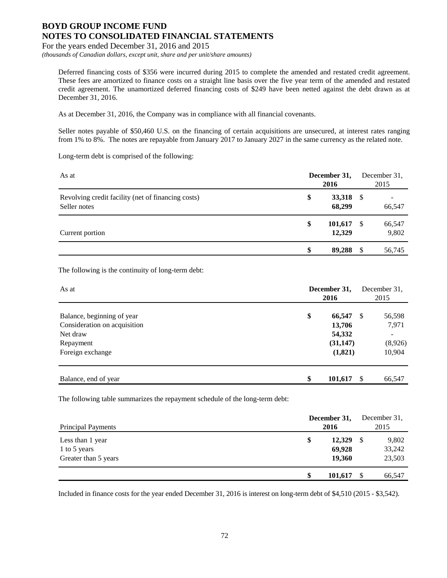For the years ended December 31, 2016 and 2015

*(thousands of Canadian dollars, except unit, share and per unit/share amounts)* 

Deferred financing costs of \$356 were incurred during 2015 to complete the amended and restated credit agreement. These fees are amortized to finance costs on a straight line basis over the five year term of the amended and restated credit agreement. The unamortized deferred financing costs of \$249 have been netted against the debt drawn as at December 31, 2016.

As at December 31, 2016, the Company was in compliance with all financial covenants.

Seller notes payable of \$50,460 U.S. on the financing of certain acquisitions are unsecured, at interest rates ranging from 1% to 8%. The notes are repayable from January 2017 to January 2027 in the same currency as the related note.

Long-term debt is comprised of the following:

| As at                                                              | December 31,<br>2016 |                   |      | December 31.<br>2015 |  |  |
|--------------------------------------------------------------------|----------------------|-------------------|------|----------------------|--|--|
| Revolving credit facility (net of financing costs)<br>Seller notes | \$                   | 33,318<br>68,299  | - \$ | 66,547               |  |  |
| Current portion                                                    | \$                   | 101,617<br>12,329 | - \$ | 66,547<br>9,802      |  |  |
|                                                                    | \$                   | 89,288            |      | 56,745               |  |  |

The following is the continuity of long-term debt:

| As at                                                                                                   | December 31,<br>2016                                     |    | December 31.<br>2015                      |
|---------------------------------------------------------------------------------------------------------|----------------------------------------------------------|----|-------------------------------------------|
| Balance, beginning of year<br>Consideration on acquisition<br>Net draw<br>Repayment<br>Foreign exchange | \$<br>66,547<br>13,706<br>54,332<br>(31, 147)<br>(1,821) | -S | 56,598<br>7,971<br>۰<br>(8,926)<br>10,904 |
| Balance, end of year                                                                                    | \$<br>101,617                                            | -S | 66,547                                    |

The following table summarizes the repayment schedule of the long-term debt:

| <b>Principal Payments</b>                                |    | December 31,<br>2016       | December 31,<br>2015      |
|----------------------------------------------------------|----|----------------------------|---------------------------|
| Less than 1 year<br>1 to 5 years<br>Greater than 5 years | \$ | 12,329<br>69,928<br>19,360 | 9,802<br>33,242<br>23,503 |
|                                                          | S  | 101,617                    | 66,547                    |

Included in finance costs for the year ended December 31, 2016 is interest on long-term debt of \$4,510 (2015 - \$3,542).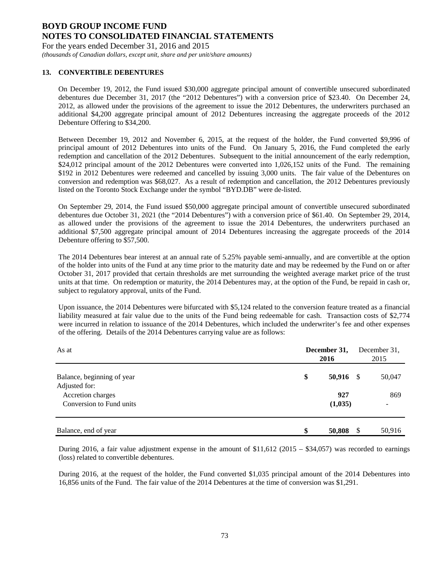For the years ended December 31, 2016 and 2015 *(thousands of Canadian dollars, except unit, share and per unit/share amounts)* 

#### **13. CONVERTIBLE DEBENTURES**

On December 19, 2012, the Fund issued \$30,000 aggregate principal amount of convertible unsecured subordinated debentures due December 31, 2017 (the "2012 Debentures") with a conversion price of \$23.40. On December 24, 2012, as allowed under the provisions of the agreement to issue the 2012 Debentures, the underwriters purchased an additional \$4,200 aggregate principal amount of 2012 Debentures increasing the aggregate proceeds of the 2012 Debenture Offering to \$34,200.

Between December 19, 2012 and November 6, 2015, at the request of the holder, the Fund converted \$9,996 of principal amount of 2012 Debentures into units of the Fund. On January 5, 2016, the Fund completed the early redemption and cancellation of the 2012 Debentures. Subsequent to the initial announcement of the early redemption, \$24,012 principal amount of the 2012 Debentures were converted into 1,026,152 units of the Fund. The remaining \$192 in 2012 Debentures were redeemed and cancelled by issuing 3,000 units. The fair value of the Debentures on conversion and redemption was \$68,027. As a result of redemption and cancellation, the 2012 Debentures previously listed on the Toronto Stock Exchange under the symbol "BYD.DB" were de-listed.

On September 29, 2014, the Fund issued \$50,000 aggregate principal amount of convertible unsecured subordinated debentures due October 31, 2021 (the "2014 Debentures") with a conversion price of \$61.40. On September 29, 2014, as allowed under the provisions of the agreement to issue the 2014 Debentures, the underwriters purchased an additional \$7,500 aggregate principal amount of 2014 Debentures increasing the aggregate proceeds of the 2014 Debenture offering to \$57,500.

The 2014 Debentures bear interest at an annual rate of 5.25% payable semi-annually, and are convertible at the option of the holder into units of the Fund at any time prior to the maturity date and may be redeemed by the Fund on or after October 31, 2017 provided that certain thresholds are met surrounding the weighted average market price of the trust units at that time. On redemption or maturity, the 2014 Debentures may, at the option of the Fund, be repaid in cash or, subject to regulatory approval, units of the Fund.

Upon issuance, the 2014 Debentures were bifurcated with \$5,124 related to the conversion feature treated as a financial liability measured at fair value due to the units of the Fund being redeemable for cash. Transaction costs of \$2,774 were incurred in relation to issuance of the 2014 Debentures, which included the underwriter's fee and other expenses of the offering. Details of the 2014 Debentures carrying value are as follows:

| As at                                       | December 31, |             | December 31,             |  |  |
|---------------------------------------------|--------------|-------------|--------------------------|--|--|
|                                             | 2016         |             | 2015                     |  |  |
| Balance, beginning of year<br>Adjusted for: | \$           | $50,916$ \$ | 50,047                   |  |  |
| Accretion charges                           |              | 927         | 869                      |  |  |
| Conversion to Fund units                    | (1,035)      |             | $\overline{\phantom{a}}$ |  |  |
| Balance, end of year                        | \$<br>50,808 | -S          | 50,916                   |  |  |

During 2016, a fair value adjustment expense in the amount of \$11,612 (2015 – \$34,057) was recorded to earnings (loss) related to convertible debentures.

During 2016, at the request of the holder, the Fund converted \$1,035 principal amount of the 2014 Debentures into 16,856 units of the Fund. The fair value of the 2014 Debentures at the time of conversion was \$1,291.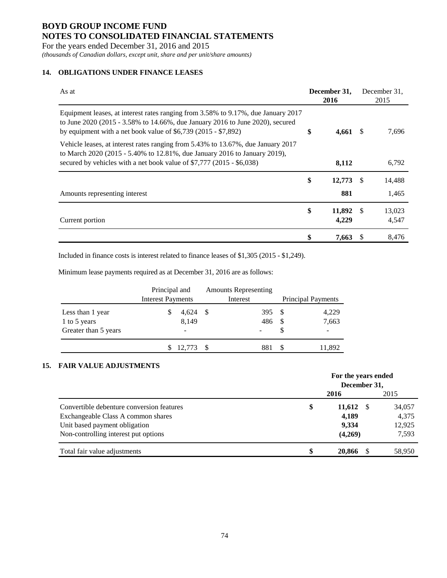For the years ended December 31, 2016 and 2015

*(thousands of Canadian dollars, except unit, share and per unit/share amounts)* 

### **14. OBLIGATIONS UNDER FINANCE LEASES**

| As at                                                                                                                                                                                                                                  | December 31,<br>2016  |    | December 31,<br>2015 |
|----------------------------------------------------------------------------------------------------------------------------------------------------------------------------------------------------------------------------------------|-----------------------|----|----------------------|
| Equipment leases, at interest rates ranging from 3.58% to 9.17%, due January 2017<br>to June 2020 (2015 - 3.58% to 14.66%, due January 2016 to June 2020), secured<br>by equipment with a net book value of $$6,739$ (2015 - \$7,892)  | \$<br>4,661           | -S | 7,696                |
| Vehicle leases, at interest rates ranging from 5.43% to 13.67%, due January 2017<br>to March 2020 (2015 - 5.40% to 12.81%, due January 2016 to January 2019),<br>secured by vehicles with a net book value of \$7,777 (2015 - \$6,038) | 8,112                 |    | 6,792                |
|                                                                                                                                                                                                                                        | \$<br>12,773          | S  | 14,488               |
| Amounts representing interest                                                                                                                                                                                                          | 881                   |    | 1,465                |
| Current portion                                                                                                                                                                                                                        | \$<br>11,892<br>4,229 | -S | 13,023<br>4,547      |
|                                                                                                                                                                                                                                        | 7,663                 |    | 8,476                |

Included in finance costs is interest related to finance leases of \$1,305 (2015 - \$1,249).

Minimum lease payments required as at December 31, 2016 are as follows:

|                      | Principal and |                          | <b>Amounts Representing</b> |     |                           |        |
|----------------------|---------------|--------------------------|-----------------------------|-----|---------------------------|--------|
|                      |               | <b>Interest Payments</b> |                             |     | <b>Principal Payments</b> |        |
| Less than 1 year     |               | 4,624                    | -S                          | 395 | - S                       | 4,229  |
| 1 to 5 years         |               | 8,149                    |                             | 486 | - \$                      | 7,663  |
| Greater than 5 years |               | -                        |                             | -   | S                         |        |
|                      |               | 12,773                   | S                           | 881 | <b>S</b>                  | 11,892 |

### **15. FAIR VALUE ADJUSTMENTS**

|                                           | For the years ended<br>December 31, |         |  |        |
|-------------------------------------------|-------------------------------------|---------|--|--------|
|                                           |                                     | 2016    |  | 2015   |
| Convertible debenture conversion features | \$                                  | 11,612  |  | 34,057 |
| Exchangeable Class A common shares        |                                     | 4,189   |  | 4,375  |
| Unit based payment obligation             |                                     | 9,334   |  | 12,925 |
| Non-controlling interest put options      |                                     | (4,269) |  | 7,593  |
| Total fair value adjustments              | \$                                  | 20,866  |  | 58.950 |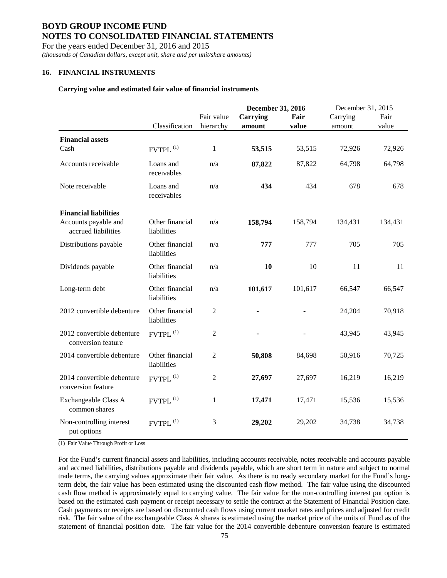For the years ended December 31, 2016 and 2015

*(thousands of Canadian dollars, except unit, share and per unit/share amounts)* 

#### **16. FINANCIAL INSTRUMENTS**

#### **Carrying value and estimated fair value of financial instruments**

|                                                  |                                |                | December 31, 2016 |         | December 31, 2015 |         |
|--------------------------------------------------|--------------------------------|----------------|-------------------|---------|-------------------|---------|
|                                                  |                                | Fair value     | <b>Carrying</b>   | Fair    | Carrying          | Fair    |
|                                                  | Classification                 | hierarchy      | amount            | value   | amount            | value   |
| <b>Financial assets</b><br>Cash                  | $FVTPL$ <sup>(1)</sup>         | $\mathbf{1}$   | 53,515            | 53,515  | 72,926            | 72,926  |
|                                                  |                                |                |                   |         |                   |         |
| Accounts receivable                              | Loans and<br>receivables       | n/a            | 87,822            | 87,822  | 64,798            | 64,798  |
| Note receivable                                  | Loans and<br>receivables       | n/a            | 434               | 434     | 678               | 678     |
| <b>Financial liabilities</b>                     |                                |                |                   |         |                   |         |
| Accounts payable and<br>accrued liabilities      | Other financial<br>liabilities | n/a            | 158,794           | 158,794 | 134,431           | 134,431 |
| Distributions payable                            | Other financial<br>liabilities | n/a            | 777               | 777     | 705               | 705     |
| Dividends payable                                | Other financial<br>liabilities | n/a            | 10                | 10      | 11                | 11      |
| Long-term debt                                   | Other financial<br>liabilities | n/a            | 101,617           | 101,617 | 66,547            | 66,547  |
| 2012 convertible debenture                       | Other financial<br>liabilities | $\overline{2}$ |                   |         | 24,204            | 70,918  |
| 2012 convertible debenture<br>conversion feature | $FVTPL$ <sup>(1)</sup>         | $\sqrt{2}$     |                   |         | 43,945            | 43,945  |
| 2014 convertible debenture                       | Other financial<br>liabilities | $\overline{2}$ | 50,808            | 84,698  | 50,916            | 70,725  |
| 2014 convertible debenture<br>conversion feature | $FVTPL$ <sup>(1)</sup>         | $\overline{2}$ | 27,697            | 27,697  | 16,219            | 16,219  |
| Exchangeable Class A<br>common shares            | $FVTPL$ <sup>(1)</sup>         | $\mathbf{1}$   | 17,471            | 17,471  | 15,536            | 15,536  |
| Non-controlling interest<br>put options          | $FVTPL$ <sup>(1)</sup>         | 3              | 29,202            | 29,202  | 34,738            | 34,738  |

(1) Fair Value Through Profit or Loss

For the Fund's current financial assets and liabilities, including accounts receivable, notes receivable and accounts payable and accrued liabilities, distributions payable and dividends payable, which are short term in nature and subject to normal trade terms, the carrying values approximate their fair value. As there is no ready secondary market for the Fund's longterm debt, the fair value has been estimated using the discounted cash flow method. The fair value using the discounted cash flow method is approximately equal to carrying value. The fair value for the non-controlling interest put option is based on the estimated cash payment or receipt necessary to settle the contract at the Statement of Financial Position date. Cash payments or receipts are based on discounted cash flows using current market rates and prices and adjusted for credit risk. The fair value of the exchangeable Class A shares is estimated using the market price of the units of Fund as of the statement of financial position date. The fair value for the 2014 convertible debenture conversion feature is estimated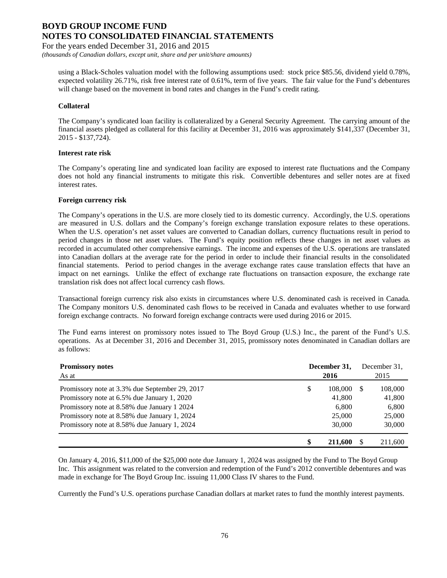For the years ended December 31, 2016 and 2015

*(thousands of Canadian dollars, except unit, share and per unit/share amounts)* 

using a Black-Scholes valuation model with the following assumptions used: stock price \$85.56, dividend yield 0.78%, expected volatility 26.71%, risk free interest rate of 0.61%, term of five years. The fair value for the Fund's debentures will change based on the movement in bond rates and changes in the Fund's credit rating.

#### **Collateral**

The Company's syndicated loan facility is collateralized by a General Security Agreement. The carrying amount of the financial assets pledged as collateral for this facility at December 31, 2016 was approximately \$141,337 (December 31, 2015 - \$137,724).

#### **Interest rate risk**

The Company's operating line and syndicated loan facility are exposed to interest rate fluctuations and the Company does not hold any financial instruments to mitigate this risk. Convertible debentures and seller notes are at fixed interest rates.

#### **Foreign currency risk**

The Company's operations in the U.S. are more closely tied to its domestic currency. Accordingly, the U.S. operations are measured in U.S. dollars and the Company's foreign exchange translation exposure relates to these operations. When the U.S. operation's net asset values are converted to Canadian dollars, currency fluctuations result in period to period changes in those net asset values. The Fund's equity position reflects these changes in net asset values as recorded in accumulated other comprehensive earnings. The income and expenses of the U.S. operations are translated into Canadian dollars at the average rate for the period in order to include their financial results in the consolidated financial statements. Period to period changes in the average exchange rates cause translation effects that have an impact on net earnings. Unlike the effect of exchange rate fluctuations on transaction exposure, the exchange rate translation risk does not affect local currency cash flows.

Transactional foreign currency risk also exists in circumstances where U.S. denominated cash is received in Canada. The Company monitors U.S. denominated cash flows to be received in Canada and evaluates whether to use forward foreign exchange contracts. No forward foreign exchange contracts were used during 2016 or 2015.

The Fund earns interest on promissory notes issued to The Boyd Group (U.S.) Inc., the parent of the Fund's U.S. operations. As at December 31, 2016 and December 31, 2015, promissory notes denominated in Canadian dollars are as follows:

| <b>Promissory notes</b><br>As at               |    | December 31,<br>2016 | December 31,<br>2015 |         |  |
|------------------------------------------------|----|----------------------|----------------------|---------|--|
| Promissory note at 3.3% due September 29, 2017 | \$ | 108,000              |                      | 108,000 |  |
| Promissory note at 6.5% due January 1, 2020    |    | 41,800               |                      | 41,800  |  |
| Promissory note at 8.58% due January 1 2024    |    | 6.800                |                      | 6,800   |  |
| Promissory note at 8.58% due January 1, 2024   |    | 25,000               |                      | 25,000  |  |
| Promissory note at 8.58% due January 1, 2024   |    | 30,000               |                      | 30,000  |  |
|                                                |    | 211,600              |                      | 211,600 |  |

On January 4, 2016, \$11,000 of the \$25,000 note due January 1, 2024 was assigned by the Fund to The Boyd Group Inc. This assignment was related to the conversion and redemption of the Fund's 2012 convertible debentures and was made in exchange for The Boyd Group Inc. issuing 11,000 Class IV shares to the Fund.

Currently the Fund's U.S. operations purchase Canadian dollars at market rates to fund the monthly interest payments.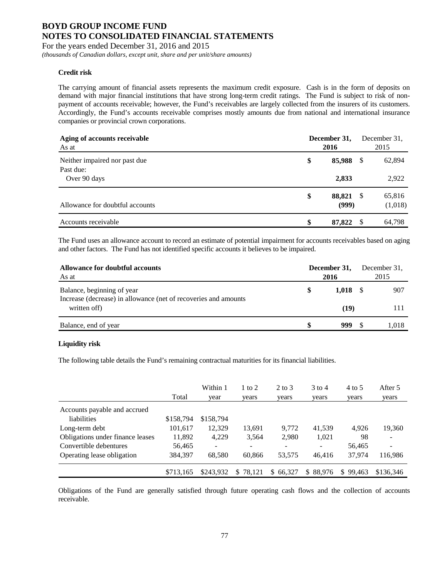For the years ended December 31, 2016 and 2015

*(thousands of Canadian dollars, except unit, share and per unit/share amounts)* 

### **Credit risk**

The carrying amount of financial assets represents the maximum credit exposure. Cash is in the form of deposits on demand with major financial institutions that have strong long-term credit ratings. The Fund is subject to risk of nonpayment of accounts receivable; however, the Fund's receivables are largely collected from the insurers of its customers. Accordingly, the Fund's accounts receivable comprises mostly amounts due from national and international insurance companies or provincial crown corporations.

| Aging of accounts receivable<br>As at      | December 31,<br>2016  | December 31,<br>2015 |                   |  |
|--------------------------------------------|-----------------------|----------------------|-------------------|--|
| Neither impaired nor past due<br>Past due: | \$<br>85,988          | - \$                 | 62,894            |  |
| Over 90 days                               | 2,833                 |                      | 2,922             |  |
| Allowance for doubtful accounts            | \$<br>88,821<br>(999) | - \$                 | 65,816<br>(1,018) |  |
| Accounts receivable                        | \$<br>87,822          |                      | 64,798            |  |

The Fund uses an allowance account to record an estimate of potential impairment for accounts receivables based on aging and other factors. The Fund has not identified specific accounts it believes to be impaired.

| Allowance for doubtful accounts<br>As at                                                      | December 31,<br>2016 |       |  | December 31,<br>2015 |
|-----------------------------------------------------------------------------------------------|----------------------|-------|--|----------------------|
| Balance, beginning of year<br>Increase (decrease) in allowance (net of recoveries and amounts | S                    | 1.018 |  | 907                  |
| written off)                                                                                  |                      | (19)  |  | 111                  |
| Balance, end of year                                                                          |                      | 999   |  | 1.018                |

#### **Liquidity risk**

The following table details the Fund's remaining contractual maturities for its financial liabilities.

|                                  | Total     | Within 1<br>year | $1 \text{ to } 2$<br>years | 2 to 3<br>vears          | $3$ to 4<br>years | 4 to 5<br>years | After 5<br>years |
|----------------------------------|-----------|------------------|----------------------------|--------------------------|-------------------|-----------------|------------------|
| Accounts payable and accrued     |           |                  |                            |                          |                   |                 |                  |
| liabilities                      | \$158,794 | \$158,794        |                            |                          |                   |                 |                  |
| Long-term debt                   | 101,617   | 12,329           | 13,691                     | 9,772                    | 41,539            | 4.926           | 19,360           |
| Obligations under finance leases | 11,892    | 4.229            | 3,564                      | 2,980                    | 1,021             | 98              |                  |
| Convertible debentures           | 56,465    |                  |                            | $\overline{\phantom{a}}$ | ۰                 | 56,465          |                  |
| Operating lease obligation       | 384,397   | 68,580           | 60.866                     | 53.575                   | 46.416            | 37.974          | 116,986          |
|                                  | \$713,165 | \$243.932        | 78.121<br>S.               | \$66.327                 | \$88.976          | \$99.463        | \$136.346        |

Obligations of the Fund are generally satisfied through future operating cash flows and the collection of accounts receivable.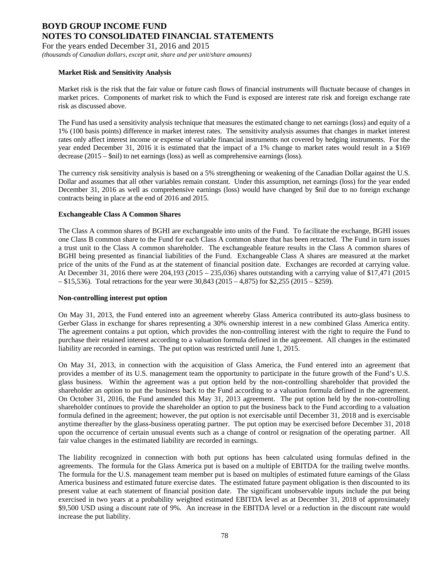For the years ended December 31, 2016 and 2015

*(thousands of Canadian dollars, except unit, share and per unit/share amounts)* 

#### **Market Risk and Sensitivity Analysis**

Market risk is the risk that the fair value or future cash flows of financial instruments will fluctuate because of changes in market prices. Components of market risk to which the Fund is exposed are interest rate risk and foreign exchange rate risk as discussed above.

The Fund has used a sensitivity analysis technique that measures the estimated change to net earnings (loss) and equity of a 1% (100 basis points) difference in market interest rates. The sensitivity analysis assumes that changes in market interest rates only affect interest income or expense of variable financial instruments not covered by hedging instruments. For the year ended December 31, 2016 it is estimated that the impact of a 1% change to market rates would result in a \$169 decrease (2015 – \$nil) to net earnings (loss) as well as comprehensive earnings (loss).

The currency risk sensitivity analysis is based on a 5% strengthening or weakening of the Canadian Dollar against the U.S. Dollar and assumes that all other variables remain constant. Under this assumption, net earnings (loss) for the year ended December 31, 2016 as well as comprehensive earnings (loss) would have changed by \$nil due to no foreign exchange contracts being in place at the end of 2016 and 2015.

#### **Exchangeable Class A Common Shares**

The Class A common shares of BGHI are exchangeable into units of the Fund. To facilitate the exchange, BGHI issues one Class B common share to the Fund for each Class A common share that has been retracted. The Fund in turn issues a trust unit to the Class A common shareholder. The exchangeable feature results in the Class A common shares of BGHI being presented as financial liabilities of the Fund. Exchangeable Class A shares are measured at the market price of the units of the Fund as at the statement of financial position date. Exchanges are recorded at carrying value. At December 31, 2016 there were 204,193 (2015 – 235,036) shares outstanding with a carrying value of \$17,471 (2015  $-$  \$15,536). Total retractions for the year were 30,843 (2015 – 4,875) for \$2,255 (2015 – \$259).

#### **Non-controlling interest put option**

On May 31, 2013, the Fund entered into an agreement whereby Glass America contributed its auto-glass business to Gerber Glass in exchange for shares representing a 30% ownership interest in a new combined Glass America entity. The agreement contains a put option, which provides the non-controlling interest with the right to require the Fund to purchase their retained interest according to a valuation formula defined in the agreement. All changes in the estimated liability are recorded in earnings. The put option was restricted until June 1, 2015.

On May 31, 2013, in connection with the acquisition of Glass America, the Fund entered into an agreement that provides a member of its U.S. management team the opportunity to participate in the future growth of the Fund's U.S. glass business. Within the agreement was a put option held by the non-controlling shareholder that provided the shareholder an option to put the business back to the Fund according to a valuation formula defined in the agreement. On October 31, 2016, the Fund amended this May 31, 2013 agreement. The put option held by the non-controlling shareholder continues to provide the shareholder an option to put the business back to the Fund according to a valuation formula defined in the agreement; however, the put option is not exercisable until December 31, 2018 and is exercisable anytime thereafter by the glass-business operating partner. The put option may be exercised before December 31, 2018 upon the occurrence of certain unusual events such as a change of control or resignation of the operating partner. All fair value changes in the estimated liability are recorded in earnings.

The liability recognized in connection with both put options has been calculated using formulas defined in the agreements. The formula for the Glass America put is based on a multiple of EBITDA for the trailing twelve months. The formula for the U.S. management team member put is based on multiples of estimated future earnings of the Glass America business and estimated future exercise dates. The estimated future payment obligation is then discounted to its present value at each statement of financial position date. The significant unobservable inputs include the put being exercised in two years at a probability weighted estimated EBITDA level as at December 31, 2018 of approximately \$9,500 USD using a discount rate of 9%. An increase in the EBITDA level or a reduction in the discount rate would increase the put liability.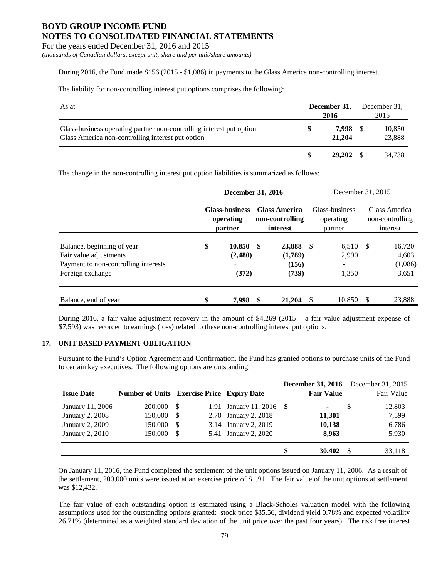For the years ended December 31, 2016 and 2015

*(thousands of Canadian dollars, except unit, share and per unit/share amounts)* 

During 2016, the Fund made \$156 (2015 - \$1,086) in payments to the Glass America non-controlling interest.

The liability for non-controlling interest put options comprises the following:

| As at                                                                                                                     | December 31,<br>2016 | December 31,<br>2015 |                  |  |
|---------------------------------------------------------------------------------------------------------------------------|----------------------|----------------------|------------------|--|
| Glass-business operating partner non-controlling interest put option<br>Glass America non-controlling interest put option |                      | 7.998<br>21,204      | 10,850<br>23,888 |  |
|                                                                                                                           |                      | 29.202               | 34,738           |  |

The change in the non-controlling interest put option liabilities is summarized as follows:

|                                                                                                                  | <b>December 31, 2016</b> |                                               |      |                                                     | December 31, 2015 |                                        |    |                                              |  |
|------------------------------------------------------------------------------------------------------------------|--------------------------|-----------------------------------------------|------|-----------------------------------------------------|-------------------|----------------------------------------|----|----------------------------------------------|--|
|                                                                                                                  |                          | <b>Glass-business</b><br>operating<br>partner |      | <b>Glass America</b><br>non-controlling<br>interest |                   | Glass-business<br>operating<br>partner |    | Glass America<br>non-controlling<br>interest |  |
| Balance, beginning of year<br>Fair value adjustments<br>Payment to non-controlling interests<br>Foreign exchange | \$                       | 10,850<br>(2,480)<br>(372)                    | - \$ | 23,888<br>(1,789)<br>(156)<br>(739)                 | - \$              | $6,510$ \$<br>2,990<br>-<br>1,350      |    | 16,720<br>4,603<br>(1,086)<br>3,651          |  |
| Balance, end of year                                                                                             | \$                       | 7.998                                         | \$   | 21,204                                              |                   | 10.850                                 | \$ | 23,888                                       |  |

During 2016, a fair value adjustment recovery in the amount of \$4,269 (2015 – a fair value adjustment expense of \$7,593) was recorded to earnings (loss) related to these non-controlling interest put options.

#### **17. UNIT BASED PAYMENT OBLIGATION**

Pursuant to the Fund's Option Agreement and Confirmation, the Fund has granted options to purchase units of the Fund to certain key executives. The following options are outstanding:

|                        |                                                   |      |                          | <b>December 31, 2016</b> |      | December 31, 2015 |
|------------------------|---------------------------------------------------|------|--------------------------|--------------------------|------|-------------------|
| <b>Issue Date</b>      | <b>Number of Units Exercise Price Expiry Date</b> |      |                          | <b>Fair Value</b>        |      | Fair Value        |
| January 11, 2006       | $200,000 \quad$ \$                                |      | 1.91 January 11, 2016 \$ | ۰.                       | -S   | 12,803            |
| <b>January 2, 2008</b> | 150,000                                           | - \$ | 2.70 January 2, 2018     | 11,301                   |      | 7,599             |
| January 2, 2009        | 150,000                                           | - \$ | 3.14 January 2, 2019     | 10,138                   |      | 6,786             |
| January 2, 2010        | 150,000 \$                                        |      | 5.41 January 2, 2020     | 8,963                    |      | 5,930             |
|                        |                                                   |      |                          | \$<br>30,402             | - \$ | 33,118            |

On January 11, 2016, the Fund completed the settlement of the unit options issued on January 11, 2006. As a result of the settlement, 200,000 units were issued at an exercise price of \$1.91. The fair value of the unit options at settlement was \$12,432.

The fair value of each outstanding option is estimated using a Black-Scholes valuation model with the following assumptions used for the outstanding options granted: stock price \$85.56, dividend yield 0.78% and expected volatility 26.71% (determined as a weighted standard deviation of the unit price over the past four years). The risk free interest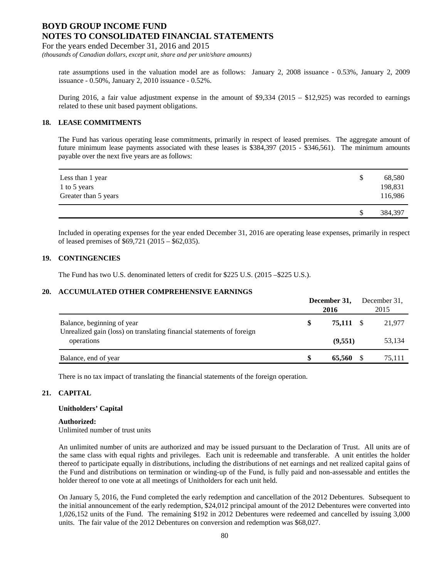For the years ended December 31, 2016 and 2015

*(thousands of Canadian dollars, except unit, share and per unit/share amounts)* 

rate assumptions used in the valuation model are as follows: January 2, 2008 issuance - 0.53%, January 2, 2009 issuance - 0.50%, January 2, 2010 issuance - 0.52%.

During 2016, a fair value adjustment expense in the amount of \$9,334 (2015 – \$12,925) was recorded to earnings related to these unit based payment obligations.

#### **18. LEASE COMMITMENTS**

The Fund has various operating lease commitments, primarily in respect of leased premises. The aggregate amount of future minimum lease payments associated with these leases is \$384,397 (2015 - \$346,561). The minimum amounts payable over the next five years are as follows:

| Less than 1 year<br>1 to 5 years<br>Greater than 5 years | S | 68,580<br>198,831<br>116,986 |
|----------------------------------------------------------|---|------------------------------|
|                                                          |   | 384,397                      |

Included in operating expenses for the year ended December 31, 2016 are operating lease expenses, primarily in respect of leased premises of \$69,721 (2015 – \$62,035).

#### **19. CONTINGENCIES**

The Fund has two U.S. denominated letters of credit for \$225 U.S. (2015 –\$225 U.S.).

### **20. ACCUMULATED OTHER COMPREHENSIVE EARNINGS**

|                                                                                                     |   | December 31,<br>2016 | December 31,<br>2015 |
|-----------------------------------------------------------------------------------------------------|---|----------------------|----------------------|
| Balance, beginning of year<br>Unrealized gain (loss) on translating financial statements of foreign | S | 75,111 \$            | 21.977               |
| operations                                                                                          |   | (9,551)              | 53,134               |
| Balance, end of year                                                                                | S | 65,560               | 75.111               |

There is no tax impact of translating the financial statements of the foreign operation.

#### **21. CAPITAL**

#### **Unitholders' Capital**

#### **Authorized:**

Unlimited number of trust units

An unlimited number of units are authorized and may be issued pursuant to the Declaration of Trust. All units are of the same class with equal rights and privileges. Each unit is redeemable and transferable. A unit entitles the holder thereof to participate equally in distributions, including the distributions of net earnings and net realized capital gains of the Fund and distributions on termination or winding-up of the Fund, is fully paid and non-assessable and entitles the holder thereof to one vote at all meetings of Unitholders for each unit held.

On January 5, 2016, the Fund completed the early redemption and cancellation of the 2012 Debentures. Subsequent to the initial announcement of the early redemption, \$24,012 principal amount of the 2012 Debentures were converted into 1,026,152 units of the Fund. The remaining \$192 in 2012 Debentures were redeemed and cancelled by issuing 3,000 units. The fair value of the 2012 Debentures on conversion and redemption was \$68,027.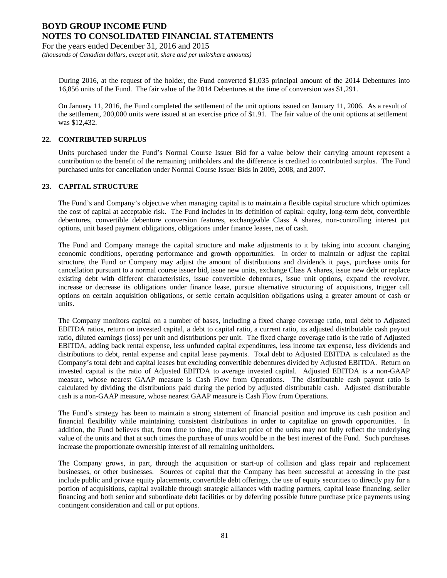For the years ended December 31, 2016 and 2015

*(thousands of Canadian dollars, except unit, share and per unit/share amounts)* 

During 2016, at the request of the holder, the Fund converted \$1,035 principal amount of the 2014 Debentures into 16,856 units of the Fund. The fair value of the 2014 Debentures at the time of conversion was \$1,291.

On January 11, 2016, the Fund completed the settlement of the unit options issued on January 11, 2006. As a result of the settlement, 200,000 units were issued at an exercise price of \$1.91. The fair value of the unit options at settlement was \$12,432.

#### **22. CONTRIBUTED SURPLUS**

Units purchased under the Fund's Normal Course Issuer Bid for a value below their carrying amount represent a contribution to the benefit of the remaining unitholders and the difference is credited to contributed surplus. The Fund purchased units for cancellation under Normal Course Issuer Bids in 2009, 2008, and 2007.

#### **23. CAPITAL STRUCTURE**

The Fund's and Company's objective when managing capital is to maintain a flexible capital structure which optimizes the cost of capital at acceptable risk. The Fund includes in its definition of capital: equity, long-term debt, convertible debentures, convertible debenture conversion features, exchangeable Class A shares, non-controlling interest put options, unit based payment obligations, obligations under finance leases, net of cash.

The Fund and Company manage the capital structure and make adjustments to it by taking into account changing economic conditions, operating performance and growth opportunities. In order to maintain or adjust the capital structure, the Fund or Company may adjust the amount of distributions and dividends it pays, purchase units for cancellation pursuant to a normal course issuer bid, issue new units, exchange Class A shares, issue new debt or replace existing debt with different characteristics, issue convertible debentures, issue unit options, expand the revolver, increase or decrease its obligations under finance lease, pursue alternative structuring of acquisitions, trigger call options on certain acquisition obligations, or settle certain acquisition obligations using a greater amount of cash or units.

The Company monitors capital on a number of bases, including a fixed charge coverage ratio, total debt to Adjusted EBITDA ratios, return on invested capital, a debt to capital ratio, a current ratio, its adjusted distributable cash payout ratio, diluted earnings (loss) per unit and distributions per unit. The fixed charge coverage ratio is the ratio of Adjusted EBITDA, adding back rental expense, less unfunded capital expenditures, less income tax expense, less dividends and distributions to debt, rental expense and capital lease payments. Total debt to Adjusted EBITDA is calculated as the Company's total debt and capital leases but excluding convertible debentures divided by Adjusted EBITDA. Return on invested capital is the ratio of Adjusted EBITDA to average invested capital. Adjusted EBITDA is a non-GAAP measure, whose nearest GAAP measure is Cash Flow from Operations. The distributable cash payout ratio is calculated by dividing the distributions paid during the period by adjusted distributable cash. Adjusted distributable cash is a non-GAAP measure, whose nearest GAAP measure is Cash Flow from Operations.

The Fund's strategy has been to maintain a strong statement of financial position and improve its cash position and financial flexibility while maintaining consistent distributions in order to capitalize on growth opportunities. In addition, the Fund believes that, from time to time, the market price of the units may not fully reflect the underlying value of the units and that at such times the purchase of units would be in the best interest of the Fund. Such purchases increase the proportionate ownership interest of all remaining unitholders.

The Company grows, in part, through the acquisition or start-up of collision and glass repair and replacement businesses, or other businesses. Sources of capital that the Company has been successful at accessing in the past include public and private equity placements, convertible debt offerings, the use of equity securities to directly pay for a portion of acquisitions, capital available through strategic alliances with trading partners, capital lease financing, seller financing and both senior and subordinate debt facilities or by deferring possible future purchase price payments using contingent consideration and call or put options.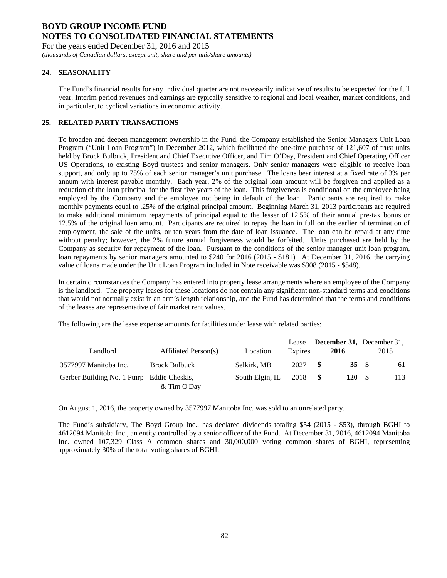For the years ended December 31, 2016 and 2015 *(thousands of Canadian dollars, except unit, share and per unit/share amounts)* 

### **24. SEASONALITY**

The Fund's financial results for any individual quarter are not necessarily indicative of results to be expected for the full year. Interim period revenues and earnings are typically sensitive to regional and local weather, market conditions, and in particular, to cyclical variations in economic activity.

#### **25. RELATED PARTY TRANSACTIONS**

To broaden and deepen management ownership in the Fund, the Company established the Senior Managers Unit Loan Program ("Unit Loan Program") in December 2012, which facilitated the one-time purchase of 121,607 of trust units held by Brock Bulbuck, President and Chief Executive Officer, and Tim O'Day, President and Chief Operating Officer US Operations, to existing Boyd trustees and senior managers. Only senior managers were eligible to receive loan support, and only up to 75% of each senior manager's unit purchase. The loans bear interest at a fixed rate of 3% per annum with interest payable monthly. Each year, 2% of the original loan amount will be forgiven and applied as a reduction of the loan principal for the first five years of the loan. This forgiveness is conditional on the employee being employed by the Company and the employee not being in default of the loan. Participants are required to make monthly payments equal to .25% of the original principal amount. Beginning March 31, 2013 participants are required to make additional minimum repayments of principal equal to the lesser of 12.5% of their annual pre-tax bonus or 12.5% of the original loan amount. Participants are required to repay the loan in full on the earlier of termination of employment, the sale of the units, or ten years from the date of loan issuance. The loan can be repaid at any time without penalty; however, the 2% future annual forgiveness would be forfeited. Units purchased are held by the Company as security for repayment of the loan. Pursuant to the conditions of the senior manager unit loan program, loan repayments by senior managers amounted to \$240 for 2016 (2015 - \$181). At December 31, 2016, the carrying value of loans made under the Unit Loan Program included in Note receivable was \$308 (2015 - \$548).

In certain circumstances the Company has entered into property lease arrangements where an employee of the Company is the landlord. The property leases for these locations do not contain any significant non-standard terms and conditions that would not normally exist in an arm's length relationship, and the Fund has determined that the terms and conditions of the leases are representative of fair market rent values.

The following are the lease expense amounts for facilities under lease with related parties:

| Landlord                                   | <b>Affiliated Person(s)</b> | Location        | Lease<br>Expires |      | <b>December 31, December 31,</b><br>2016 |      | 2015 |
|--------------------------------------------|-----------------------------|-----------------|------------------|------|------------------------------------------|------|------|
| 3577997 Manitoba Inc.                      | <b>Brock Bulbuck</b>        | Selkirk, MB     | 2027             | - SS | 35 S                                     |      | 61   |
| Gerber Building No. 1 Ptnrp Eddie Cheskis, | & Tim O'Day                 | South Elgin, IL | 2018             | - \$ | 120                                      | - \$ | 113  |

On August 1, 2016, the property owned by 3577997 Manitoba Inc. was sold to an unrelated party.

The Fund's subsidiary, The Boyd Group Inc., has declared dividends totaling \$54 (2015 - \$53), through BGHI to 4612094 Manitoba Inc., an entity controlled by a senior officer of the Fund. At December 31, 2016, 4612094 Manitoba Inc. owned 107,329 Class A common shares and 30,000,000 voting common shares of BGHI, representing approximately 30% of the total voting shares of BGHI.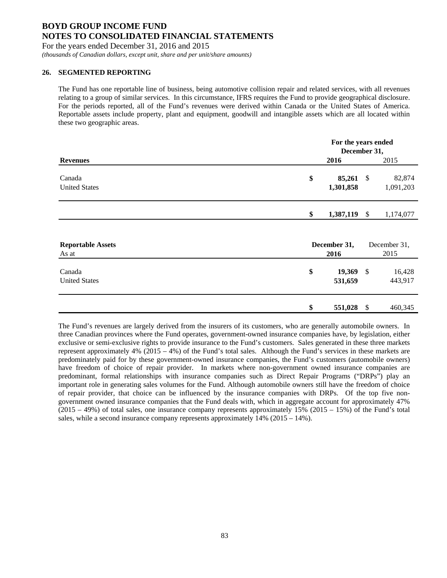For the years ended December 31, 2016 and 2015

*(thousands of Canadian dollars, except unit, share and per unit/share amounts)* 

#### **26. SEGMENTED REPORTING**

The Fund has one reportable line of business, being automotive collision repair and related services, with all revenues relating to a group of similar services. In this circumstance, IFRS requires the Fund to provide geographical disclosure. For the periods reported, all of the Fund's revenues were derived within Canada or the United States of America. Reportable assets include property, plant and equipment, goodwill and intangible assets which are all located within these two geographic areas.

|                                   |                            | For the years ended<br>December 31, |                      |  |  |
|-----------------------------------|----------------------------|-------------------------------------|----------------------|--|--|
| <b>Revenues</b>                   | 2016                       |                                     | 2015                 |  |  |
| Canada<br><b>United States</b>    | \$<br>85,261<br>1,301,858  | $\boldsymbol{\mathsf{S}}$           | 82,874<br>1,091,203  |  |  |
|                                   | \$<br>1,387,119            | $\mathcal{S}$                       | 1,174,077            |  |  |
| <b>Reportable Assets</b><br>As at | December 31,<br>2016       |                                     | December 31,<br>2015 |  |  |
| Canada<br><b>United States</b>    | \$<br>19,369 \$<br>531,659 |                                     | 16,428<br>443,917    |  |  |
|                                   | \$<br>551,028              | $\boldsymbol{\mathsf{S}}$           | 460,345              |  |  |

 The Fund's revenues are largely derived from the insurers of its customers, who are generally automobile owners. In three Canadian provinces where the Fund operates, government-owned insurance companies have, by legislation, either exclusive or semi-exclusive rights to provide insurance to the Fund's customers. Sales generated in these three markets represent approximately 4%  $(2015 - 4%)$  of the Fund's total sales. Although the Fund's services in these markets are predominately paid for by these government-owned insurance companies, the Fund's customers (automobile owners) have freedom of choice of repair provider. In markets where non-government owned insurance companies are predominant, formal relationships with insurance companies such as Direct Repair Programs ("DRPs") play an important role in generating sales volumes for the Fund. Although automobile owners still have the freedom of choice of repair provider, that choice can be influenced by the insurance companies with DRPs. Of the top five nongovernment owned insurance companies that the Fund deals with, which in aggregate account for approximately 47%  $(2015 - 49%)$  of total sales, one insurance company represents approximately 15%  $(2015 - 15%)$  of the Fund's total sales, while a second insurance company represents approximately 14% (2015 – 14%).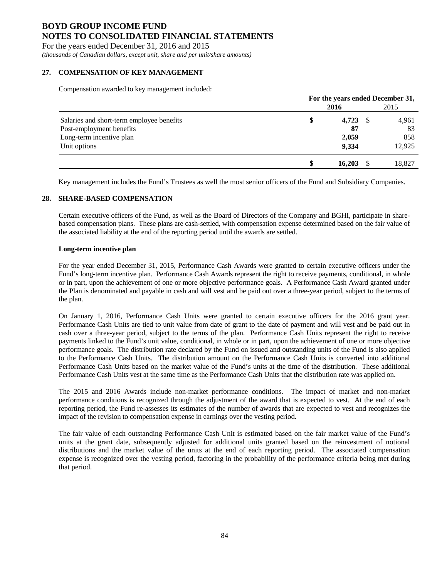For the years ended December 31, 2016 and 2015

*(thousands of Canadian dollars, except unit, share and per unit/share amounts)* 

#### **27. COMPENSATION OF KEY MANAGEMENT**

Compensation awarded to key management included:

|                                           | For the years ended December 31, |        |  |        |
|-------------------------------------------|----------------------------------|--------|--|--------|
|                                           | 2016                             |        |  | 2015   |
| Salaries and short-term employee benefits | \$                               | 4,723  |  | 4,961  |
| Post-employment benefits                  |                                  | 87     |  | 83     |
| Long-term incentive plan                  |                                  | 2,059  |  | 858    |
| Unit options                              |                                  | 9,334  |  | 12,925 |
|                                           | \$                               | 16,203 |  | 18,827 |

Key management includes the Fund's Trustees as well the most senior officers of the Fund and Subsidiary Companies.

#### **28. SHARE-BASED COMPENSATION**

Certain executive officers of the Fund, as well as the Board of Directors of the Company and BGHI, participate in sharebased compensation plans. These plans are cash-settled, with compensation expense determined based on the fair value of the associated liability at the end of the reporting period until the awards are settled.

#### **Long-term incentive plan**

For the year ended December 31, 2015, Performance Cash Awards were granted to certain executive officers under the Fund's long-term incentive plan. Performance Cash Awards represent the right to receive payments, conditional, in whole or in part, upon the achievement of one or more objective performance goals. A Performance Cash Award granted under the Plan is denominated and payable in cash and will vest and be paid out over a three-year period, subject to the terms of the plan.

On January 1, 2016, Performance Cash Units were granted to certain executive officers for the 2016 grant year. Performance Cash Units are tied to unit value from date of grant to the date of payment and will vest and be paid out in cash over a three-year period, subject to the terms of the plan. Performance Cash Units represent the right to receive payments linked to the Fund's unit value, conditional, in whole or in part, upon the achievement of one or more objective performance goals. The distribution rate declared by the Fund on issued and outstanding units of the Fund is also applied to the Performance Cash Units. The distribution amount on the Performance Cash Units is converted into additional Performance Cash Units based on the market value of the Fund's units at the time of the distribution. These additional Performance Cash Units vest at the same time as the Performance Cash Units that the distribution rate was applied on.

The 2015 and 2016 Awards include non-market performance conditions. The impact of market and non-market performance conditions is recognized through the adjustment of the award that is expected to vest. At the end of each reporting period, the Fund re-assesses its estimates of the number of awards that are expected to vest and recognizes the impact of the revision to compensation expense in earnings over the vesting period.

The fair value of each outstanding Performance Cash Unit is estimated based on the fair market value of the Fund's units at the grant date, subsequently adjusted for additional units granted based on the reinvestment of notional distributions and the market value of the units at the end of each reporting period. The associated compensation expense is recognized over the vesting period, factoring in the probability of the performance criteria being met during that period.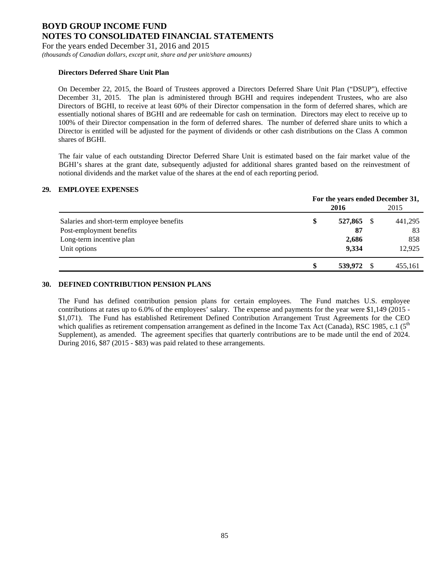For the years ended December 31, 2016 and 2015

*(thousands of Canadian dollars, except unit, share and per unit/share amounts)* 

#### **Directors Deferred Share Unit Plan**

On December 22, 2015, the Board of Trustees approved a Directors Deferred Share Unit Plan ("DSUP"), effective December 31, 2015. The plan is administered through BGHI and requires independent Trustees, who are also Directors of BGHI, to receive at least 60% of their Director compensation in the form of deferred shares, which are essentially notional shares of BGHI and are redeemable for cash on termination. Directors may elect to receive up to 100% of their Director compensation in the form of deferred shares. The number of deferred share units to which a Director is entitled will be adjusted for the payment of dividends or other cash distributions on the Class A common shares of BGHI.

The fair value of each outstanding Director Deferred Share Unit is estimated based on the fair market value of the BGHI's shares at the grant date, subsequently adjusted for additional shares granted based on the reinvestment of notional dividends and the market value of the shares at the end of each reporting period.

#### **29. EMPLOYEE EXPENSES**

|                                           | For the years ended December 31, |            |         |
|-------------------------------------------|----------------------------------|------------|---------|
|                                           |                                  | 2016       | 2015    |
| Salaries and short-term employee benefits | \$                               | 527,865 \$ | 441,295 |
| Post-employment benefits                  |                                  | 87         | 83      |
| Long-term incentive plan                  |                                  | 2,686      | 858     |
| Unit options                              |                                  | 9,334      | 12,925  |
|                                           | \$                               | 539,972    | 455,161 |

#### **30. DEFINED CONTRIBUTION PENSION PLANS**

The Fund has defined contribution pension plans for certain employees. The Fund matches U.S. employee contributions at rates up to 6.0% of the employees' salary. The expense and payments for the year were \$1,149 (2015 - \$1,071). The Fund has established Retirement Defined Contribution Arrangement Trust Agreements for the CEO which qualifies as retirement compensation arrangement as defined in the Income Tax Act (Canada), RSC 1985, c.1 ( $5<sup>th</sup>$ Supplement), as amended. The agreement specifies that quarterly contributions are to be made until the end of 2024. During 2016, \$87 (2015 - \$83) was paid related to these arrangements.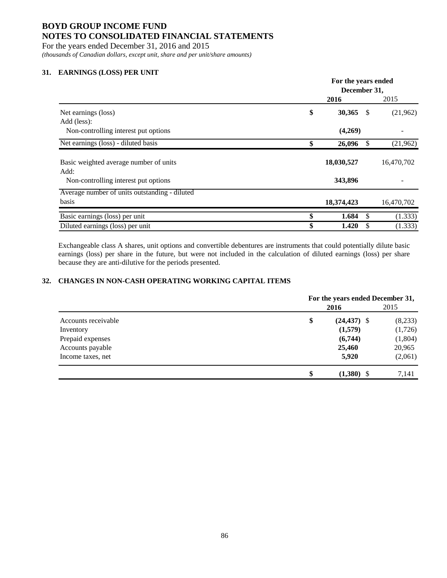For the years ended December 31, 2016 and 2015

*(thousands of Canadian dollars, except unit, share and per unit/share amounts)* 

### **31. EARNINGS (LOSS) PER UNIT**

|                                                                                        | For the years ended<br>December 31, |      |            |
|----------------------------------------------------------------------------------------|-------------------------------------|------|------------|
|                                                                                        | 2016                                |      | 2015       |
| Net earnings (loss)                                                                    | \$<br>30,365                        | - \$ | (21,962)   |
| Add (less):<br>Non-controlling interest put options                                    | (4,269)                             |      |            |
| Net earnings (loss) - diluted basis                                                    | \$<br>26,096                        |      | (21,962)   |
| Basic weighted average number of units<br>Add:<br>Non-controlling interest put options | 18,030,527<br>343,896               |      | 16,470,702 |
| Average number of units outstanding - diluted<br>basis                                 | 18,374,423                          |      | 16,470,702 |
| Basic earnings (loss) per unit                                                         | \$<br>1.684                         | \$   | (1.333)    |
| Diluted earnings (loss) per unit                                                       | \$<br>1.420                         | \$   | (1.333)    |

Exchangeable class A shares, unit options and convertible debentures are instruments that could potentially dilute basic earnings (loss) per share in the future, but were not included in the calculation of diluted earnings (loss) per share because they are anti-dilutive for the periods presented.

### **32. CHANGES IN NON-CASH OPERATING WORKING CAPITAL ITEMS**

|                     | For the years ended December 31, |         |  |
|---------------------|----------------------------------|---------|--|
|                     | 2016                             | 2015    |  |
| Accounts receivable | \$<br>$(24, 437)$ \$             | (8,233) |  |
| Inventory           | (1,579)                          | (1,726) |  |
| Prepaid expenses    | (6,744)                          | (1,804) |  |
| Accounts payable    | 25,460                           | 20,965  |  |
| Income taxes, net   | 5,920                            | (2,061) |  |
|                     | \$<br>(1,380)                    | 7,141   |  |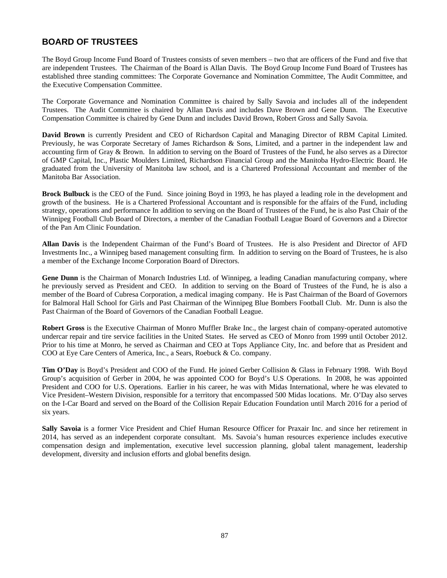### **BOARD OF TRUSTEES**

The Boyd Group Income Fund Board of Trustees consists of seven members – two that are officers of the Fund and five that are independent Trustees. The Chairman of the Board is Allan Davis. The Boyd Group Income Fund Board of Trustees has established three standing committees: The Corporate Governance and Nomination Committee, The Audit Committee, and the Executive Compensation Committee.

The Corporate Governance and Nomination Committee is chaired by Sally Savoia and includes all of the independent Trustees. The Audit Committee is chaired by Allan Davis and includes Dave Brown and Gene Dunn. The Executive Compensation Committee is chaired by Gene Dunn and includes David Brown, Robert Gross and Sally Savoia.

**David Brown** is currently President and CEO of Richardson Capital and Managing Director of RBM Capital Limited. Previously, he was Corporate Secretary of James Richardson & Sons, Limited, and a partner in the independent law and accounting firm of Gray & Brown. In addition to serving on the Board of Trustees of the Fund, he also serves as a Director of GMP Capital, Inc., Plastic Moulders Limited, Richardson Financial Group and the Manitoba Hydro-Electric Board. He graduated from the University of Manitoba law school, and is a Chartered Professional Accountant and member of the Manitoba Bar Association.

**Brock Bulbuck** is the CEO of the Fund. Since joining Boyd in 1993, he has played a leading role in the development and growth of the business. He is a Chartered Professional Accountant and is responsible for the affairs of the Fund, including strategy, operations and performance In addition to serving on the Board of Trustees of the Fund, he is also Past Chair of the Winnipeg Football Club Board of Directors, a member of the Canadian Football League Board of Governors and a Director of the Pan Am Clinic Foundation.

**Allan Davis** is the Independent Chairman of the Fund's Board of Trustees. He is also President and Director of AFD Investments Inc., a Winnipeg based management consulting firm. In addition to serving on the Board of Trustees, he is also a member of the Exchange Income Corporation Board of Directors.

**Gene Dunn** is the Chairman of Monarch Industries Ltd. of Winnipeg, a leading Canadian manufacturing company, where he previously served as President and CEO. In addition to serving on the Board of Trustees of the Fund, he is also a member of the Board of Cubresa Corporation, a medical imaging company. He is Past Chairman of the Board of Governors for Balmoral Hall School for Girls and Past Chairman of the Winnipeg Blue Bombers Football Club. Mr. Dunn is also the Past Chairman of the Board of Governors of the Canadian Football League.

**Robert Gross** is the Executive Chairman of Monro Muffler Brake Inc., the largest chain of company-operated automotive undercar repair and tire service facilities in the United States. He served as CEO of Monro from 1999 until October 2012. Prior to his time at Monro, he served as Chairman and CEO at Tops Appliance City, Inc. and before that as President and COO at Eye Care Centers of America, Inc., a Sears, Roebuck & Co. company.

**Tim O'Day** is Boyd's President and COO of the Fund. He joined Gerber Collision & Glass in February 1998. With Boyd Group's acquisition of Gerber in 2004, he was appointed COO for Boyd's U.S Operations. In 2008, he was appointed President and COO for U.S. Operations. Earlier in his career, he was with Midas International, where he was elevated to Vice President–Western Division, responsible for a territory that encompassed 500 Midas locations. Mr. O'Day also serves on the I-Car Board and served on theBoard of the Collision Repair Education Foundation until March 2016 for a period of six years.

**Sally Savoia** is a former Vice President and Chief Human Resource Officer for Praxair Inc. and since her retirement in 2014, has served as an independent corporate consultant. Ms. Savoia's human resources experience includes executive compensation design and implementation, executive level succession planning, global talent management, leadership development, diversity and inclusion efforts and global benefits design.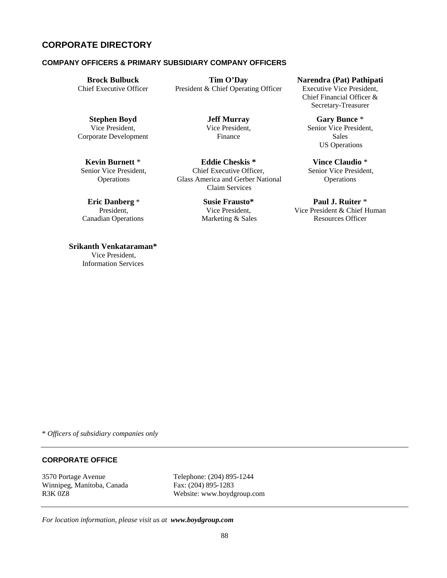### **CORPORATE DIRECTORY**

### **COMPANY OFFICERS & PRIMARY SUBSIDIARY COMPANY OFFICERS**

**Brock Bulbuck**  Chief Executive Officer

**Tim O'Day**  President & Chief Operating Officer

**Stephen Boyd** Vice President, Corporate Development

**Kevin Burnett** \* Senior Vice President, **Operations** 

**Eric Danberg** \* President, Canadian Operations

**Jeff Murray** Vice President, Finance

**Eddie Cheskis \***  Chief Executive Officer, Glass America and Gerber National Claim Services

> **Susie Frausto\*** Vice President, Marketing & Sales

**Narendra (Pat) Pathipati**  Executive Vice President, Chief Financial Officer & Secretary-Treasurer

> **Gary Bunce** \* Senior Vice President, Sales US Operations

**Vince Claudio** \* Senior Vice President, **Operations** 

**Paul J. Ruiter** \* Vice President & Chief Human Resources Officer

**Srikanth Venkataraman\***  Vice President, Information Services

\* *Officers of subsidiary companies only* 

#### **CORPORATE OFFICE**

Winnipeg, Manitoba, Canada Fax: (204) 895-1283

3570 Portage Avenue Telephone: (204) 895-1244 R3K 0Z8 Website: www.boydgroup.com

*For location information, please visit us at www.boydgroup.com*